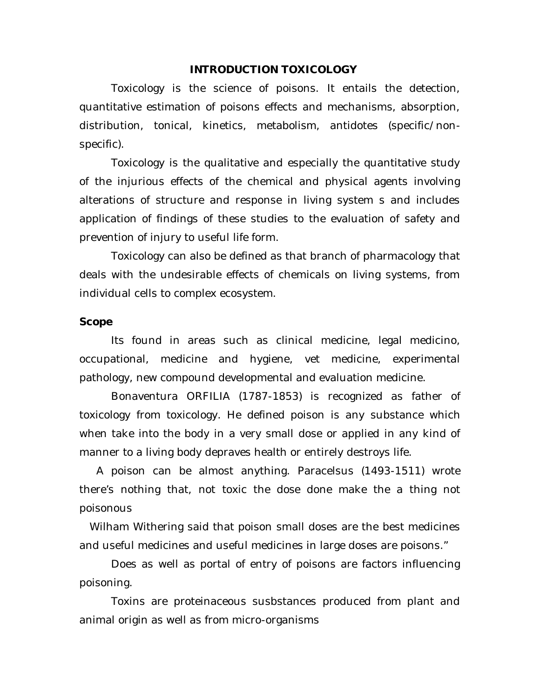#### **INTRODUCTION TOXICOLOGY**

Toxicology is the science of poisons. It entails the detection, quantitative estimation of poisons effects and mechanisms, absorption, distribution, tonical, kinetics, metabolism, antidotes (specific/nonspecific).

Toxicology is the qualitative and especially the quantitative study of the injurious effects of the chemical and physical agents involving alterations of structure and response in living system s and includes application of findings of these studies to the evaluation of safety and prevention of injury to useful life form.

Toxicology can also be defined as that branch of pharmacology that deals with the undesirable effects of chemicals on living systems, from individual cells to complex ecosystem.

#### **Scope**

Its found in areas such as clinical medicine, legal medicino, occupational, medicine and hygiene, vet medicine, experimental pathology, new compound developmental and evaluation medicine.

Bonaventura ORFILIA (1787-1853) is recognized as father of toxicology from toxicology. He defined poison is any substance which when take into the body in a very small dose or applied in any kind of manner to a living body depraves health or entirely destroys life.

 A poison can be almost anything. Paracelsus (1493-1511) wrote there's nothing that, not toxic the dose done make the a thing not poisonous

 Wilham Withering said that poison small doses are the best medicines and useful medicines and useful medicines in large doses are poisons."

Does as well as portal of entry of poisons are factors influencing poisoning.

Toxins are proteinaceous susbstances produced from plant and animal origin as well as from micro-organisms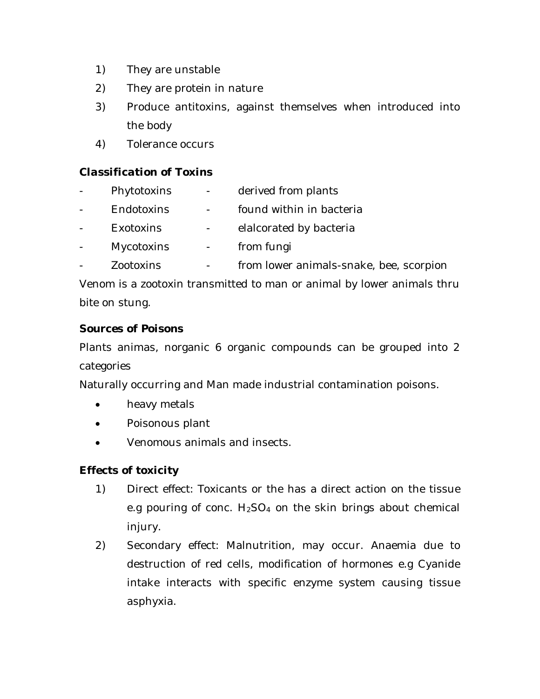- 1) They are unstable
- 2) They are protein in nature
- 3) Produce antitoxins, against themselves when introduced into the body
- 4) Tolerance occurs

# *Classification of Toxins*

- Phytotoxins derived from plants - Endotoxins - found within in bacteria Exotoxins - elalcorated by bacteria
- Mycotoxins from fungi
- Zootoxins from lower animals-snake, bee, scorpion

Venom is a zootoxin transmitted to man or animal by lower animals thru bite on stung.

### *Sources of Poisons*

Plants animas, norganic 6 organic compounds can be grouped into 2 categories

Naturally occurring and Man made industrial contamination poisons.

- heavy metals
- Poisonous plant
- Venomous animals and insects.

# *Effects of toxicity*

- 1) Direct effect: Toxicants or the has a direct action on the tissue e.g pouring of conc.  $H_2SO_4$  on the skin brings about chemical injury.
- 2) Secondary effect: Malnutrition, may occur. Anaemia due to destruction of red cells, modification of hormones e.g Cyanide intake interacts with specific enzyme system causing tissue asphyxia.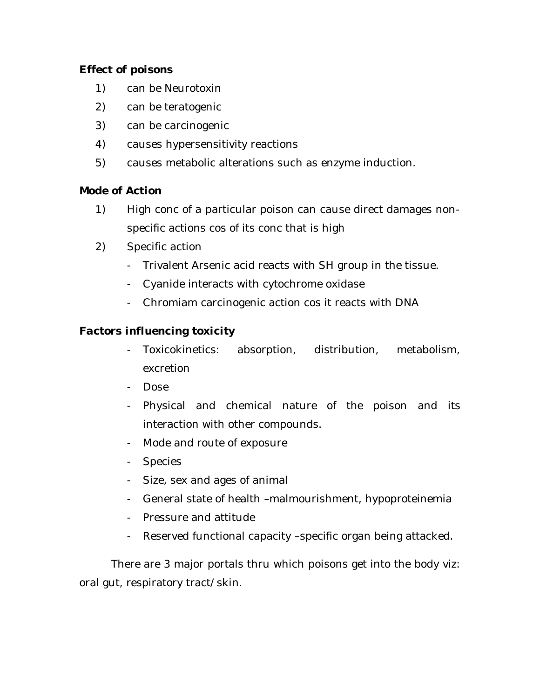### *Effect of poisons*

- 1) can be Neurotoxin
- 2) can be teratogenic
- 3) can be carcinogenic
- 4) causes hypersensitivity reactions
- 5) causes metabolic alterations such as enzyme induction.

# *Mode of Action*

- 1) High conc of a particular poison can cause direct damages nonspecific actions cos of its conc that is high
- 2) Specific action
	- Trivalent Arsenic acid reacts with SH group in the tissue.
	- Cyanide interacts with cytochrome oxidase
	- Chromiam carcinogenic action cos it reacts with DNA

# *Factors influencing toxicity*

- Toxicokinetics: absorption, distribution, metabolism, excretion
- Dose
- Physical and chemical nature of the poison and its interaction with other compounds.
- Mode and route of exposure
- Species
- Size, sex and ages of animal
- General state of health –malmourishment, hypoproteinemia
- Pressure and attitude
- Reserved functional capacity –specific organ being attacked.

There are 3 major portals thru which poisons get into the body viz: oral gut, respiratory tract/skin.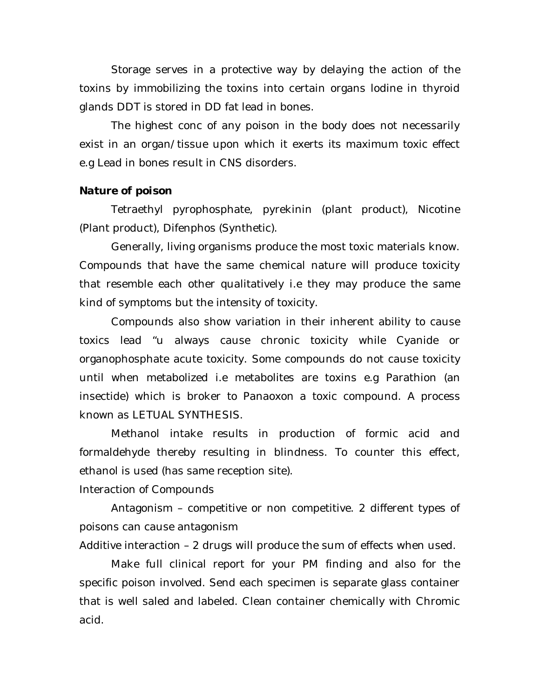Storage serves in a protective way by delaying the action of the toxins by immobilizing the toxins into certain organs lodine in thyroid glands DDT is stored in DD fat lead in bones.

The highest conc of any poison in the body does not necessarily exist in an organ/tissue upon which it exerts its maximum toxic effect e.g Lead in bones result in CNS disorders.

#### *Nature of poison*

Tetraethyl pyrophosphate, pyrekinin (plant product), Nicotine (Plant product), Difenphos (Synthetic).

Generally, living organisms produce the most toxic materials know. Compounds that have the same chemical nature will produce toxicity that resemble each other qualitatively i.e they may produce the same kind of symptoms but the intensity of toxicity.

Compounds also show variation in their inherent ability to cause toxics lead "u always cause chronic toxicity while Cyanide or organophosphate acute toxicity. Some compounds do not cause toxicity until when metabolized i.e metabolites are toxins e.g Parathion (an insectide) which is broker to Panaoxon a toxic compound. A process known as LETUAL SYNTHESIS.

Methanol intake results in production of formic acid and formaldehyde thereby resulting in blindness. To counter this effect, ethanol is used (has same reception site).

Interaction of Compounds

Antagonism – competitive or non competitive. 2 different types of poisons can cause antagonism

Additive interaction – 2 drugs will produce the sum of effects when used.

Make full clinical report for your PM finding and also for the specific poison involved. Send each specimen is separate glass container that is well saled and labeled. Clean container chemically with Chromic acid.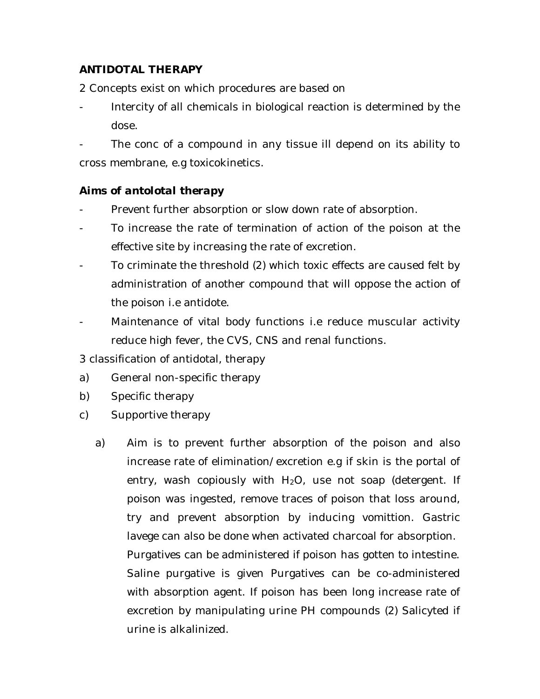# **ANTIDOTAL THERAPY**

2 Concepts exist on which procedures are based on

Intercity of all chemicals in biological reaction is determined by the dose.

The conc of a compound in any tissue ill depend on its ability to cross membrane, e.g toxicokinetics.

### *Aims of antolotal therapy*

- Prevent further absorption or slow down rate of absorption.
- To increase the rate of termination of action of the poison at the effective site by increasing the rate of excretion.
- To criminate the threshold (2) which toxic effects are caused felt by administration of another compound that will oppose the action of the poison i.e antidote.
- Maintenance of vital body functions i.e reduce muscular activity reduce high fever, the CVS, CNS and renal functions.
- 3 classification of antidotal, therapy
- a) General non-specific therapy
- b) Specific therapy
- c) Supportive therapy
	- a) Aim is to prevent further absorption of the poison and also increase rate of elimination/excretion e.g if skin is the portal of entry, wash copiously with  $H_2O$ , use not soap (detergent. If poison was ingested, remove traces of poison that loss around, try and prevent absorption by inducing vomittion. Gastric lavege can also be done when activated charcoal for absorption. Purgatives can be administered if poison has gotten to intestine. Saline purgative is given Purgatives can be co-administered with absorption agent. If poison has been long increase rate of excretion by manipulating urine PH compounds (2) Salicyted if urine is alkalinized.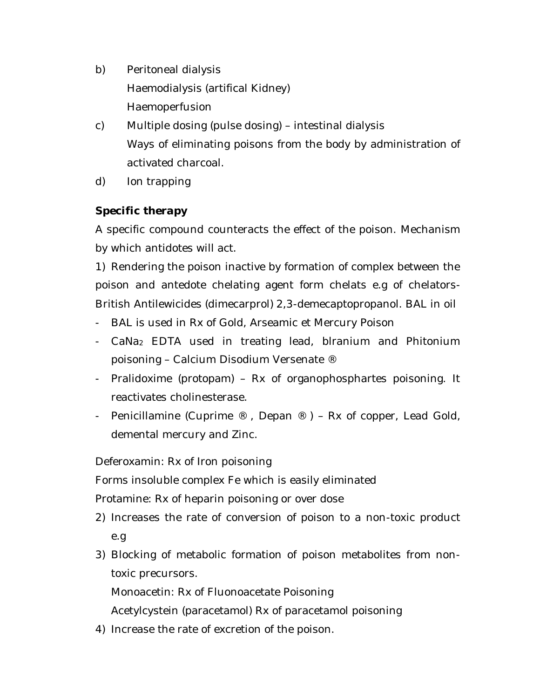- b) Peritoneal dialysis Haemodialysis (artifical Kidney) Haemoperfusion
- c) Multiple dosing (pulse dosing) intestinal dialysis Ways of eliminating poisons from the body by administration of activated charcoal.
- d) Ion trapping

# *Specific therapy*

A specific compound counteracts the effect of the poison. Mechanism by which antidotes will act.

1) Rendering the poison inactive by formation of complex between the poison and antedote chelating agent form chelats e.g of chelators-British Antilewicides (dimecarprol) 2,3-demecaptopropanol. BAL in oil

- BAL is used in Rx of Gold, Arseamic et Mercury Poison
- CaNa<sub>2</sub> EDTA used in treating lead, blranium and Phitonium poisoning – Calcium Disodium Versenate ®
- Pralidoxime (protopam) Rx of organophosphartes poisoning. It reactivates cholinesterase.
- Penicillamine (Cuprime  $\mathcal{R}$ , Depan  $\mathcal{R}$ ) Rx of copper, Lead Gold, demental mercury and Zinc.

Deferoxamin: Rx of Iron poisoning

Forms insoluble complex Fe which is easily eliminated

Protamine: Rx of heparin poisoning or over dose

- 2) Increases the rate of conversion of poison to a non-toxic product e.g
- 3) Blocking of metabolic formation of poison metabolites from nontoxic precursors.

Monoacetin: Rx of Fluonoacetate Poisoning

Acetylcystein (paracetamol) Rx of paracetamol poisoning

4) Increase the rate of excretion of the poison.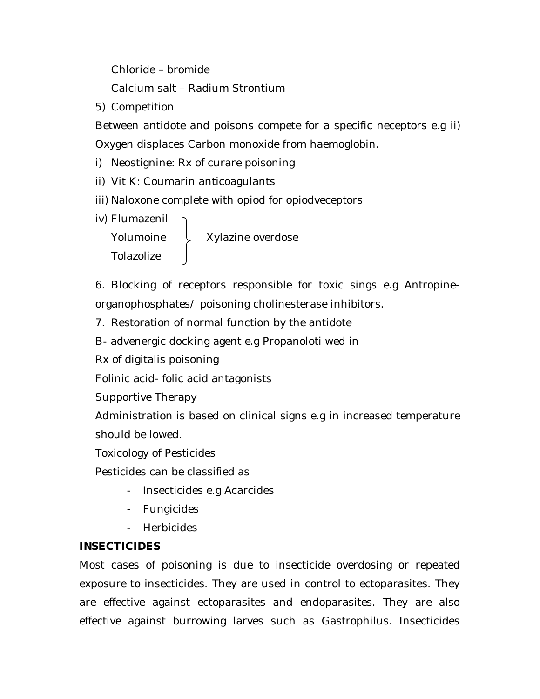Chloride – bromide

Calcium salt – Radium Strontium

5) Competition

Between antidote and poisons compete for a specific neceptors e.g ii) Oxygen displaces Carbon monoxide from haemoglobin.

- i) Neostignine: Rx of curare poisoning
- ii) Vit K: Coumarin anticoagulants
- iii) Naloxone complete with opiod for opiodveceptors
- iv) Flumazenil

Yolumoine  $\downarrow$  Xylazine overdose Tolazolize

6. Blocking of receptors responsible for toxic sings e.g Antropineorganophosphates/ poisoning cholinesterase inhibitors.

7. Restoration of normal function by the antidote

B- advenergic docking agent e.g Propanoloti wed in

Rx of digitalis poisoning

Folinic acid- folic acid antagonists

Supportive Therapy

Administration is based on clinical signs e.g in increased temperature should be lowed.

Toxicology of Pesticides

Pesticides can be classified as

- Insecticides e.g Acarcides
- Fungicides
- Herbicides

# **INSECTICIDES**

Most cases of poisoning is due to insecticide overdosing or repeated exposure to insecticides. They are used in control to ectoparasites. They are effective against ectoparasites and endoparasites. They are also effective against burrowing larves such as Gastrophilus. Insecticides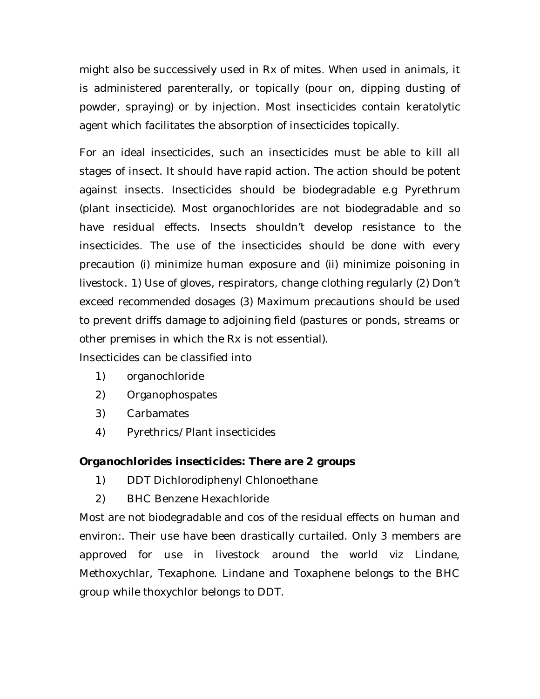might also be successively used in Rx of mites. When used in animals, it is administered parenterally, or topically (pour on, dipping dusting of powder, spraying) or by injection. Most insecticides contain keratolytic agent which facilitates the absorption of insecticides topically.

For an ideal insecticides, such an insecticides must be able to kill all stages of insect. It should have rapid action. The action should be potent against insects. Insecticides should be biodegradable e.g Pyrethrum (plant insecticide). Most organochlorides are not biodegradable and so have residual effects. Insects shouldn't develop resistance to the insecticides. The use of the insecticides should be done with every precaution (i) minimize human exposure and (ii) minimize poisoning in livestock. 1) Use of gloves, respirators, change clothing regularly (2) Don't exceed recommended dosages (3) Maximum precautions should be used to prevent driffs damage to adjoining field (pastures or ponds, streams or other premises in which the Rx is not essential).

Insecticides can be classified into

- 1) organochloride
- 2) Organophospates
- 3) Carbamates
- 4) Pyrethrics/Plant insecticides

# *Organochlorides insecticides: There are 2 groups*

- 1) DDT Dichlorodiphenyl Chlonoethane
- 2) BHC Benzene Hexachloride

Most are not biodegradable and cos of the residual effects on human and environ:. Their use have been drastically curtailed. Only 3 members are approved for use in livestock around the world viz Lindane, Methoxychlar, Texaphone. Lindane and Toxaphene belongs to the BHC group while thoxychlor belongs to DDT.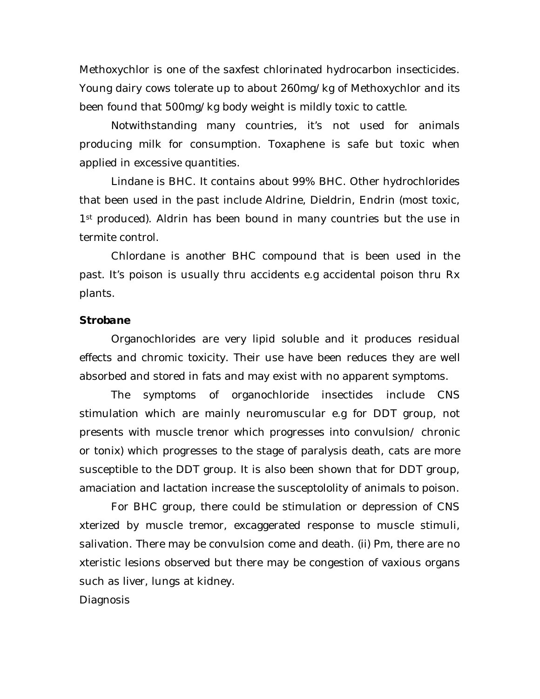Methoxychlor is one of the saxfest chlorinated hydrocarbon insecticides. Young dairy cows tolerate up to about 260mg/kg of Methoxychlor and its been found that 500mg/kg body weight is mildly toxic to cattle.

Notwithstanding many countries, it's not used for animals producing milk for consumption. Toxaphene is safe but toxic when applied in excessive quantities.

Lindane is BHC. It contains about 99% BHC. Other hydrochlorides that been used in the past include Aldrine, Dieldrin, Endrin (most toxic, 1<sup>st</sup> produced). Aldrin has been bound in many countries but the use in termite control.

Chlordane is another BHC compound that is been used in the past. It's poison is usually thru accidents e.g accidental poison thru Rx plants.

#### *Strobane*

Organochlorides are very lipid soluble and it produces residual effects and chromic toxicity. Their use have been reduces they are well absorbed and stored in fats and may exist with no apparent symptoms.

The symptoms of organochloride insectides include CNS stimulation which are mainly neuromuscular e.g for DDT group, not presents with muscle trenor which progresses into convulsion/ chronic or tonix) which progresses to the stage of paralysis death, cats are more susceptible to the DDT group. It is also been shown that for DDT group, amaciation and lactation increase the susceptololity of animals to poison.

For BHC group, there could be stimulation or depression of CNS xterized by muscle tremor, excaggerated response to muscle stimuli, salivation. There may be convulsion come and death. (ii) Pm, there are no xteristic lesions observed but there may be congestion of vaxious organs such as liver, lungs at kidney.

Diagnosis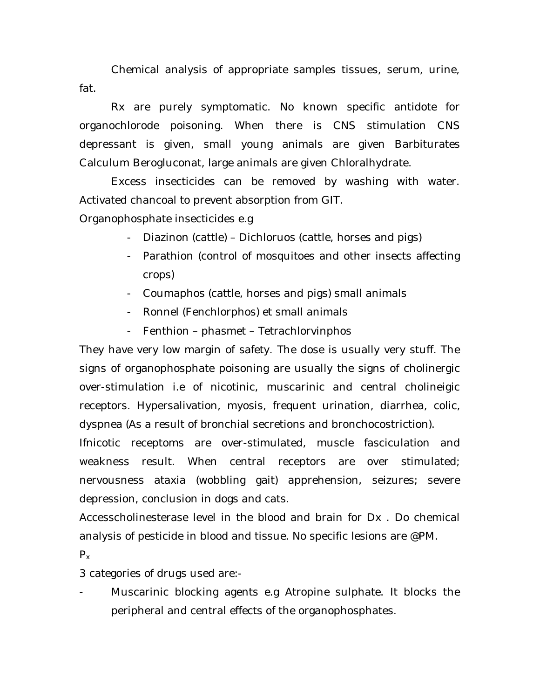Chemical analysis of appropriate samples tissues, serum, urine, fat.

Rx are purely symptomatic. No known specific antidote for organochlorode poisoning. When there is CNS stimulation CNS depressant is given, small young animals are given Barbiturates Calculum Berogluconat, large animals are given Chloralhydrate.

Excess insecticides can be removed by washing with water. Activated chancoal to prevent absorption from GIT.

Organophosphate insecticides e.g

- Diazinon (cattle) Dichloruos (cattle, horses and pigs)
- Parathion (control of mosquitoes and other insects affecting crops)
- Coumaphos (cattle, horses and pigs) small animals
- Ronnel (Fenchlorphos) et small animals
- Fenthion phasmet Tetrachlorvinphos

They have very low margin of safety. The dose is usually very stuff. The signs of organophosphate poisoning are usually the signs of cholinergic over-stimulation i.e of nicotinic, muscarinic and central cholineigic receptors. Hypersalivation, myosis, frequent urination, diarrhea, colic, dyspnea (As a result of bronchial secretions and bronchocostriction).

Ifnicotic receptoms are over-stimulated, muscle fasciculation and weakness result. When central receptors are over stimulated; nervousness ataxia (wobbling gait) apprehension, seizures; severe depression, conclusion in dogs and cats.

Accesscholinesterase level in the blood and brain for Dx . Do chemical analysis of pesticide in blood and tissue. No specific lesions are @PM.

 $P_{x}$ 

3 categories of drugs used are:-

Muscarinic blocking agents e.g Atropine sulphate. It blocks the peripheral and central effects of the organophosphates.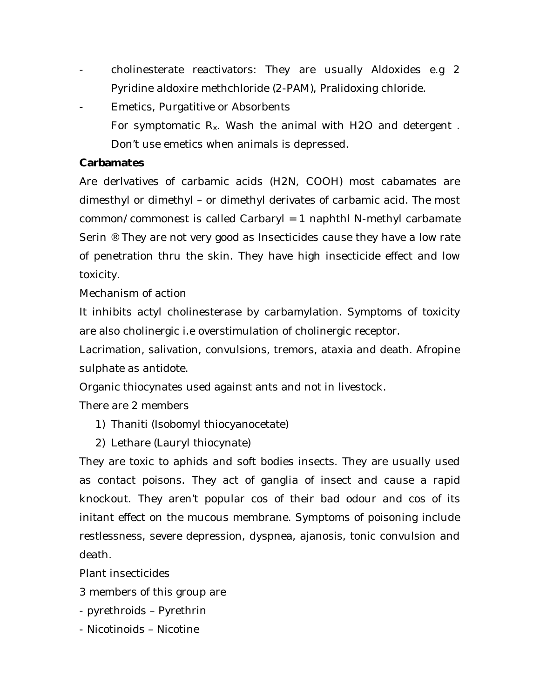- cholinesterate reactivators: They are usually Aldoxides e.g 2 Pyridine aldoxire methchloride (2-PAM), Pralidoxing chloride.
- Emetics, Purgatitive or Absorbents For symptomatic  $R_x$ . Wash the animal with H2O and detergent. Don't use emetics when animals is depressed.

### **Carbamates**

Are derlvatives of carbamic acids (H2N, COOH) most cabamates are dimesthyl or dimethyl – or dimethyl derivates of carbamic acid. The most common/commonest is called Carbaryl = 1 naphthl N-methyl carbamate Serin ® They are not very good as Insecticides cause they have a low rate of penetration thru the skin. They have high insecticide effect and low toxicity.

Mechanism of action

It inhibits actyl cholinesterase by carbamylation. Symptoms of toxicity are also cholinergic i.e overstimulation of cholinergic receptor.

Lacrimation, salivation, convulsions, tremors, ataxia and death. Afropine sulphate as antidote.

Organic thiocynates used against ants and not in livestock.

There are 2 members

- 1) Thaniti (Isobomyl thiocyanocetate)
- 2) Lethare (Lauryl thiocynate)

They are toxic to aphids and soft bodies insects. They are usually used as contact poisons. They act of ganglia of insect and cause a rapid knockout. They aren't popular cos of their bad odour and cos of its initant effect on the mucous membrane. Symptoms of poisoning include restlessness, severe depression, dyspnea, ajanosis, tonic convulsion and death.

Plant insecticides

- 3 members of this group are
- pyrethroids Pyrethrin
- Nicotinoids Nicotine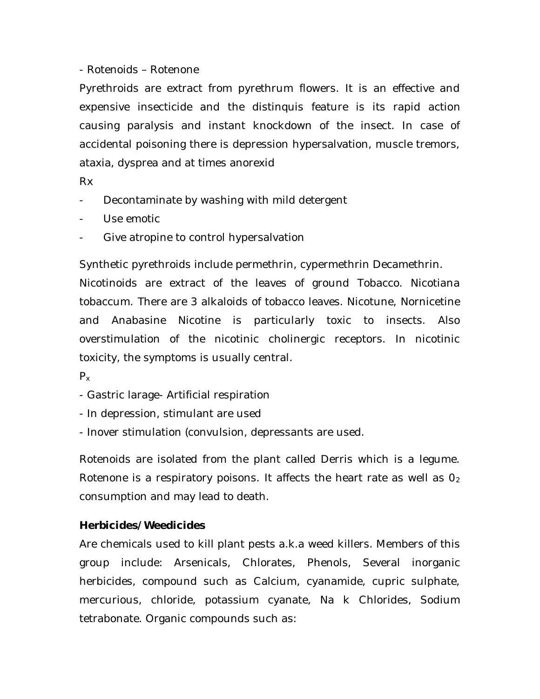### - Rotenoids – Rotenone

Pyrethroids are extract from pyrethrum flowers. It is an effective and expensive insecticide and the distinquis feature is its rapid action causing paralysis and instant knockdown of the insect. In case of accidental poisoning there is depression hypersalvation, muscle tremors, ataxia, dysprea and at times anorexid

Rx

- Decontaminate by washing with mild detergent
- Use emotic
- Give atropine to control hypersalvation

Synthetic pyrethroids include permethrin, cypermethrin Decamethrin.

Nicotinoids are extract of the leaves of ground Tobacco. Nicotiana tobaccum. There are 3 alkaloids of tobacco leaves. Nicotune, Nornicetine and Anabasine Nicotine is particularly toxic to insects. Also overstimulation of the nicotinic cholinergic receptors. In nicotinic toxicity, the symptoms is usually central.

 $P_{x}$ 

- Gastric larage- Artificial respiration
- In depression, stimulant are used
- Inover stimulation (convulsion, depressants are used.

Rotenoids are isolated from the plant called Derris which is a legume. Rotenone is a respiratory poisons. It affects the heart rate as well as  $O<sub>2</sub>$ consumption and may lead to death.

### **Herbicides/Weedicides**

Are chemicals used to kill plant pests a.k.a weed killers. Members of this group include: Arsenicals, Chlorates, Phenols, Several inorganic herbicides, compound such as Calcium, cyanamide, cupric sulphate, mercurious, chloride, potassium cyanate, Na k Chlorides, Sodium tetrabonate. Organic compounds such as: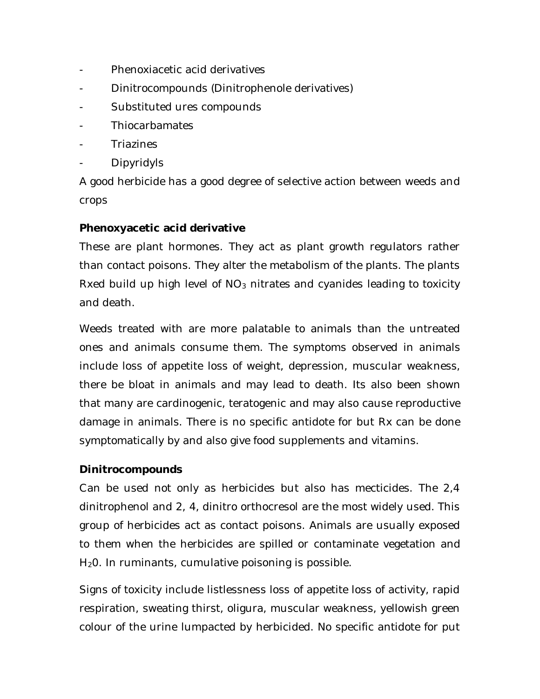- Phenoxiacetic acid derivatives
- Dinitrocompounds (Dinitrophenole derivatives)
- Substituted ures compounds
- **Thiocarbamates**
- **Triazines**
- Dipyridyls

A good herbicide has a good degree of selective action between weeds and crops

### **Phenoxyacetic acid derivative**

These are plant hormones. They act as plant growth regulators rather than contact poisons. They alter the metabolism of the plants. The plants Rxed build up high level of  $NO<sub>3</sub>$  nitrates and cyanides leading to toxicity and death.

Weeds treated with are more palatable to animals than the untreated ones and animals consume them. The symptoms observed in animals include loss of appetite loss of weight, depression, muscular weakness, there be bloat in animals and may lead to death. Its also been shown that many are cardinogenic, teratogenic and may also cause reproductive damage in animals. There is no specific antidote for but Rx can be done symptomatically by and also give food supplements and vitamins.

#### **Dinitrocompounds**

Can be used not only as herbicides but also has mecticides. The 2,4 dinitrophenol and 2, 4, dinitro orthocresol are the most widely used. This group of herbicides act as contact poisons. Animals are usually exposed to them when the herbicides are spilled or contaminate vegetation and H<sub>2</sub>O. In ruminants, cumulative poisoning is possible.

Signs of toxicity include listlessness loss of appetite loss of activity, rapid respiration, sweating thirst, oligura, muscular weakness, yellowish green colour of the urine lumpacted by herbicided. No specific antidote for put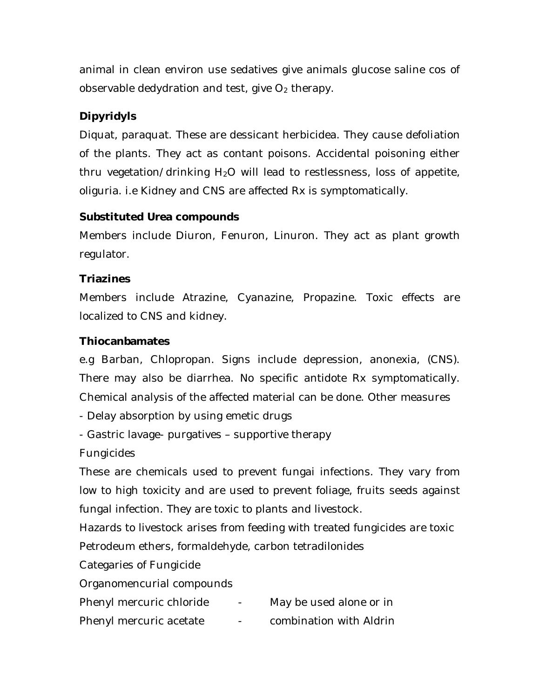animal in clean environ use sedatives give animals glucose saline cos of observable dedydration and test, give  $O<sub>2</sub>$  therapy.

# **Dipyridyls**

Diquat, paraquat. These are dessicant herbicidea. They cause defoliation of the plants. They act as contant poisons. Accidental poisoning either thru vegetation/drinking  $H_2O$  will lead to restlessness, loss of appetite, oliguria. i.e Kidney and CNS are affected Rx is symptomatically.

# **Substituted Urea compounds**

Members include Diuron, Fenuron, Linuron. They act as plant growth regulator.

# **Triazines**

Members include Atrazine, Cyanazine, Propazine. Toxic effects are localized to CNS and kidney.

# **Thiocanbamates**

e.g Barban, Chlopropan. Signs include depression, anonexia, (CNS). There may also be diarrhea. No specific antidote Rx symptomatically. Chemical analysis of the affected material can be done. Other measures

- Delay absorption by using emetic drugs

- Gastric lavage- purgatives – supportive therapy

Fungicides

These are chemicals used to prevent fungai infections. They vary from low to high toxicity and are used to prevent foliage, fruits seeds against fungal infection. They are toxic to plants and livestock.

Hazards to livestock arises from feeding with treated fungicides are toxic Petrodeum ethers, formaldehyde, carbon tetradilonides

Categaries of Fungicide

Organomencurial compounds

- Phenyl mercuric chloride May be used alone or in
- Phenyl mercuric acetate combination with Aldrin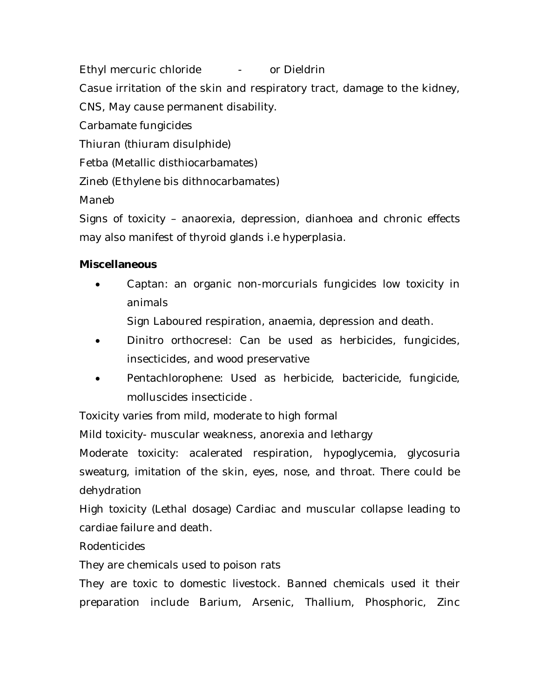Ethyl mercuric chloride - or Dieldrin

Casue irritation of the skin and respiratory tract, damage to the kidney,

CNS, May cause permanent disability.

Carbamate fungicides

Thiuran (thiuram disulphide)

Fetba (Metallic disthiocarbamates)

Zineb (Ethylene bis dithnocarbamates)

Maneb

Signs of toxicity – anaorexia, depression, dianhoea and chronic effects may also manifest of thyroid glands i.e hyperplasia.

# **Miscellaneous**

 Captan: an organic non-morcurials fungicides low toxicity in animals

Sign Laboured respiration, anaemia, depression and death.

- Dinitro orthocresel: Can be used as herbicides, fungicides, insecticides, and wood preservative
- Pentachlorophene: Used as herbicide, bactericide, fungicide, molluscides insecticide .

Toxicity varies from mild, moderate to high formal

Mild toxicity- muscular weakness, anorexia and lethargy

Moderate toxicity: acalerated respiration, hypoglycemia, glycosuria sweaturg, imitation of the skin, eyes, nose, and throat. There could be dehydration

High toxicity (Lethal dosage) Cardiac and muscular collapse leading to cardiae failure and death.

Rodenticides

They are chemicals used to poison rats

They are toxic to domestic livestock. Banned chemicals used it their preparation include Barium, Arsenic, Thallium, Phosphoric, Zinc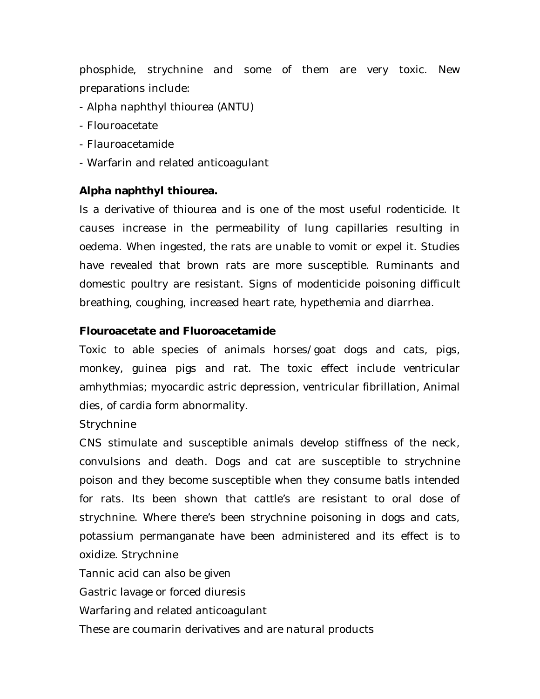phosphide, strychnine and some of them are very toxic. New preparations include:

- Alpha naphthyl thiourea (ANTU)
- Flouroacetate
- Flauroacetamide
- Warfarin and related anticoagulant

### **Alpha naphthyl thiourea.**

Is a derivative of thiourea and is one of the most useful rodenticide. It causes increase in the permeability of lung capillaries resulting in oedema. When ingested, the rats are unable to vomit or expel it. Studies have revealed that brown rats are more susceptible. Ruminants and domestic poultry are resistant. Signs of modenticide poisoning difficult breathing, coughing, increased heart rate, hypethemia and diarrhea.

#### **Flouroacetate and Fluoroacetamide**

Toxic to able species of animals horses/goat dogs and cats, pigs, monkey, guinea pigs and rat. The toxic effect include ventricular amhythmias; myocardic astric depression, ventricular fibrillation, Animal dies, of cardia form abnormality.

Strychnine

CNS stimulate and susceptible animals develop stiffness of the neck, convulsions and death. Dogs and cat are susceptible to strychnine poison and they become susceptible when they consume batls intended for rats. Its been shown that cattle's are resistant to oral dose of strychnine. Where there's been strychnine poisoning in dogs and cats, potassium permanganate have been administered and its effect is to oxidize. Strychnine

Tannic acid can also be given

Gastric lavage or forced diuresis

Warfaring and related anticoagulant

These are coumarin derivatives and are natural products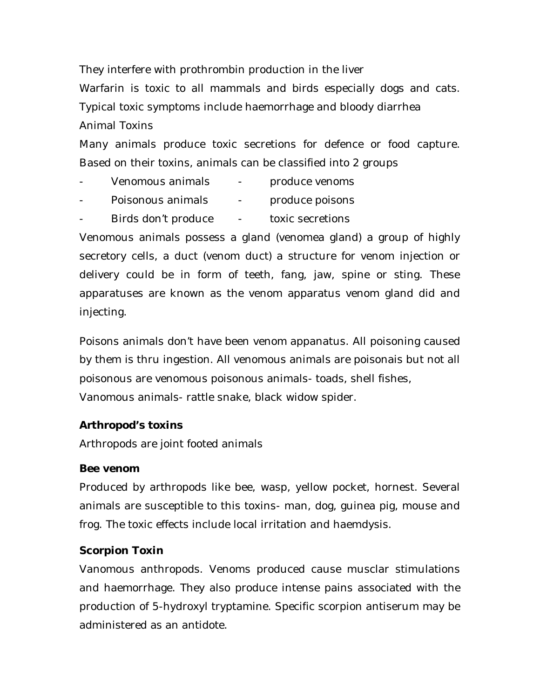They interfere with prothrombin production in the liver Warfarin is toxic to all mammals and birds especially dogs and cats. Typical toxic symptoms include haemorrhage and bloody diarrhea Animal Toxins

Many animals produce toxic secretions for defence or food capture. Based on their toxins, animals can be classified into 2 groups

- Venomous animals produce venoms
- Poisonous animals produce poisons
- Birds don't produce toxic secretions

Venomous animals possess a gland (venomea gland) a group of highly secretory cells, a duct (venom duct) a structure for venom injection or delivery could be in form of teeth, fang, jaw, spine or sting. These apparatuses are known as the venom apparatus venom gland did and injecting.

Poisons animals don't have been venom appanatus. All poisoning caused by them is thru ingestion. All venomous animals are poisonais but not all poisonous are venomous poisonous animals- toads, shell fishes, Vanomous animals- rattle snake, black widow spider.

#### **Arthropod's toxins**

Arthropods are joint footed animals

#### **Bee venom**

Produced by arthropods like bee, wasp, yellow pocket, hornest. Several animals are susceptible to this toxins- man, dog, guinea pig, mouse and frog. The toxic effects include local irritation and haemdysis.

### **Scorpion Toxin**

Vanomous anthropods. Venoms produced cause musclar stimulations and haemorrhage. They also produce intense pains associated with the production of 5-hydroxyl tryptamine. Specific scorpion antiserum may be administered as an antidote.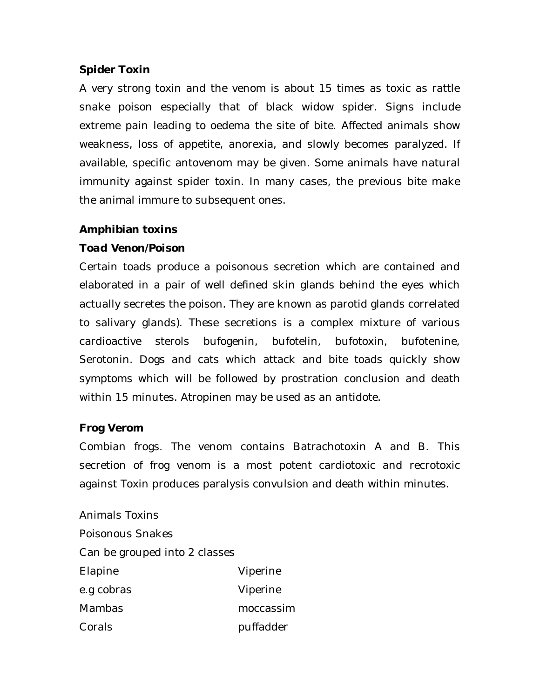### **Spider Toxin**

A very strong toxin and the venom is about 15 times as toxic as rattle snake poison especially that of black widow spider. Signs include extreme pain leading to oedema the site of bite. Affected animals show weakness, loss of appetite, anorexia, and slowly becomes paralyzed. If available, specific antovenom may be given. Some animals have natural immunity against spider toxin. In many cases, the previous bite make the animal immure to subsequent ones.

### **Amphibian toxins**

### *Toad Venon/Poison*

Certain toads produce a poisonous secretion which are contained and elaborated in a pair of well defined skin glands behind the eyes which actually secretes the poison. They are known as parotid glands correlated to salivary glands). These secretions is a complex mixture of various cardioactive sterols bufogenin, bufotelin, bufotoxin, bufotenine, Serotonin. Dogs and cats which attack and bite toads quickly show symptoms which will be followed by prostration conclusion and death within 15 minutes. Atropinen may be used as an antidote.

#### **Frog Verom**

Combian frogs. The venom contains Batrachotoxin A and B. This secretion of frog venom is a most potent cardiotoxic and recrotoxic against Toxin produces paralysis convulsion and death within minutes.

Animals Toxins Poisonous Snakes Can be grouped into 2 classes Elapine Viperine e.g cobras Viperine Mambas moccassim Corals **puffadder**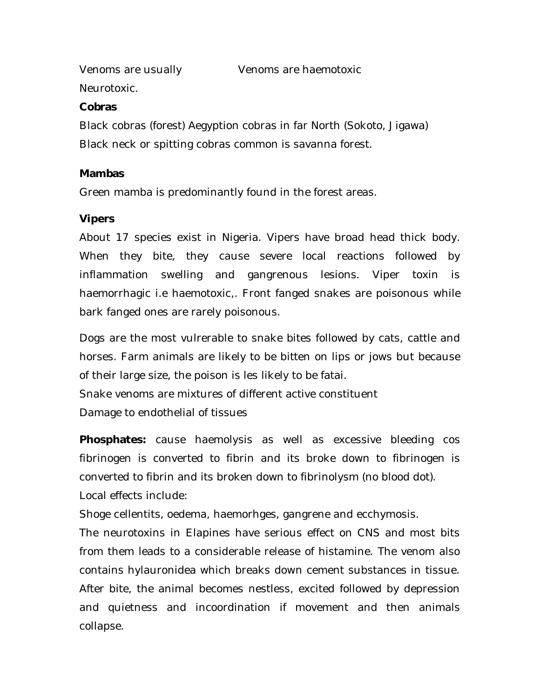Venoms are usually Venoms are haemotoxic

Neurotoxic.

### **Cobras**

Black cobras (forest) Aegyption cobras in far North (Sokoto, Jigawa) Black neck or spitting cobras common is savanna forest.

### **Mambas**

Green mamba is predominantly found in the forest areas.

### **Vipers**

About 17 species exist in Nigeria. Vipers have broad head thick body. When they bite, they cause severe local reactions followed by inflammation swelling and gangrenous lesions. Viper toxin is haemorrhagic i.e haemotoxic,. Front fanged snakes are poisonous while bark fanged ones are rarely poisonous.

Dogs are the most vulrerable to snake bites followed by cats, cattle and horses. Farm animals are likely to be bitten on lips or jows but because of their large size, the poison is les likely to be fatai. Snake venoms are mixtures of different active constituent

Damage to endothelial of tissues

**Phosphates:** cause haemolysis as well as excessive bleeding cos fibrinogen is converted to fibrin and its broke down to fibrinogen is converted to fibrin and its broken down to fibrinolysm (no blood dot). Local effects include:

Shoge cellentits, oedema, haemorhges, gangrene and ecchymosis.

The neurotoxins in Elapines have serious effect on CNS and most bits from them leads to a considerable release of histamine. The venom also contains hylauronidea which breaks down cement substances in tissue. After bite, the animal becomes nestless, excited followed by depression and quietness and incoordination if movement and then animals collapse.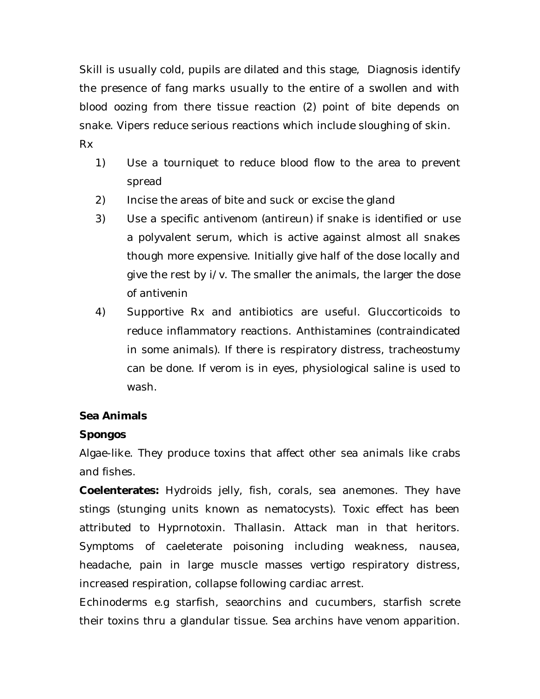Skill is usually cold, pupils are dilated and this stage, Diagnosis identify the presence of fang marks usually to the entire of a swollen and with blood oozing from there tissue reaction (2) point of bite depends on snake. Vipers reduce serious reactions which include sloughing of skin. Rx

- 1) Use a tourniquet to reduce blood flow to the area to prevent spread
- 2) Incise the areas of bite and suck or excise the gland
- 3) Use a specific antivenom (antireun) if snake is identified or use a polyvalent serum, which is active against almost all snakes though more expensive. Initially give half of the dose locally and give the rest by i/v. The smaller the animals, the larger the dose of antivenin
- 4) Supportive Rx and antibiotics are useful. Gluccorticoids to reduce inflammatory reactions. Anthistamines (contraindicated in some animals). If there is respiratory distress, tracheostumy can be done. If verom is in eyes, physiological saline is used to wash.

### **Sea Animals**

### *Spongos*

Algae-like. They produce toxins that affect other sea animals like crabs and fishes.

**Coelenterates:** Hydroids jelly, fish, corals, sea anemones. They have stings (stunging units known as nematocysts). Toxic effect has been attributed to Hyprnotoxin. Thallasin. Attack man in that heritors. Symptoms of caeleterate poisoning including weakness, nausea, headache, pain in large muscle masses vertigo respiratory distress, increased respiration, collapse following cardiac arrest.

Echinoderms e.g starfish, seaorchins and cucumbers, starfish screte their toxins thru a glandular tissue. Sea archins have venom apparition.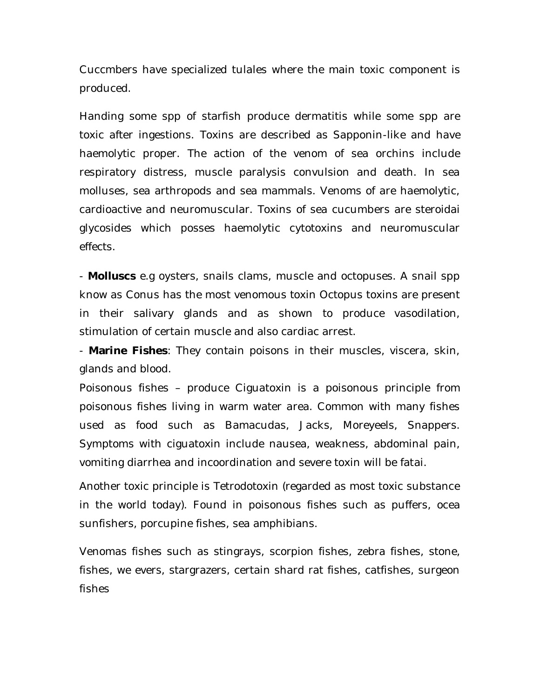Cuccmbers have specialized tulales where the main toxic component is produced.

Handing some spp of starfish produce dermatitis while some spp are toxic after ingestions. Toxins are described as Sapponin-like and have haemolytic proper. The action of the venom of sea orchins include respiratory distress, muscle paralysis convulsion and death. In sea molluses, sea arthropods and sea mammals. Venoms of are haemolytic, cardioactive and neuromuscular. Toxins of sea cucumbers are steroidai glycosides which posses haemolytic cytotoxins and neuromuscular effects.

- **Molluscs** e.g oysters, snails clams, muscle and octopuses. A snail spp know as Conus has the most venomous toxin Octopus toxins are present in their salivary glands and as shown to produce vasodilation, stimulation of certain muscle and also cardiac arrest.

- **Marine Fishes**: They contain poisons in their muscles, viscera, skin, glands and blood.

Poisonous fishes – produce Ciguatoxin is a poisonous principle from poisonous fishes living in warm water area. Common with many fishes used as food such as Bamacudas, Jacks, Moreyeels, Snappers. Symptoms with ciguatoxin include nausea, weakness, abdominal pain, vomiting diarrhea and incoordination and severe toxin will be fatai.

Another toxic principle is Tetrodotoxin (regarded as most toxic substance in the world today). Found in poisonous fishes such as puffers, ocea sunfishers, porcupine fishes, sea amphibians.

Venomas fishes such as stingrays, scorpion fishes, zebra fishes, stone, fishes, we evers, stargrazers, certain shard rat fishes, catfishes, surgeon fishes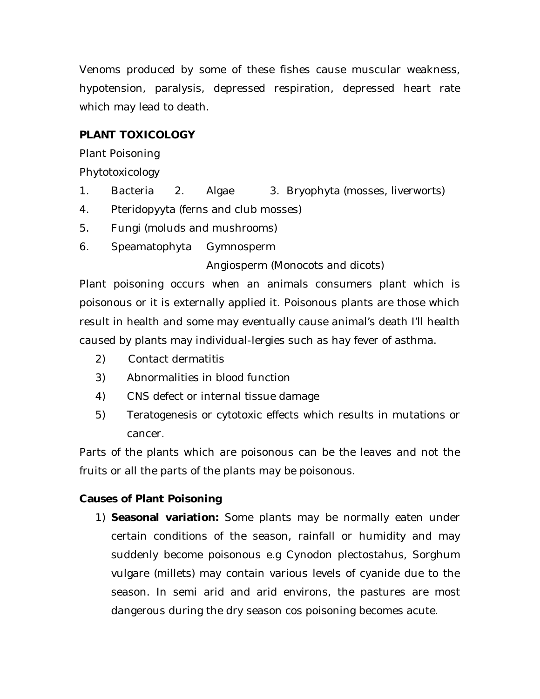Venoms produced by some of these fishes cause muscular weakness, hypotension, paralysis, depressed respiration, depressed heart rate which may lead to death.

# **PLANT TOXICOLOGY**

Plant Poisoning

Phytotoxicology

- 1. Bacteria 2. Algae 3. Bryophyta (mosses, liverworts)
- 4. Pteridopyyta (ferns and club mosses)
- 5. Fungi (moluds and mushrooms)
- 6. Speamatophyta Gymnosperm

Angiosperm (Monocots and dicots)

Plant poisoning occurs when an animals consumers plant which is poisonous or it is externally applied it. Poisonous plants are those which result in health and some may eventually cause animal's death I'll health caused by plants may individual-lergies such as hay fever of asthma.

- 2) Contact dermatitis
- 3) Abnormalities in blood function
- 4) CNS defect or internal tissue damage
- 5) Teratogenesis or cytotoxic effects which results in mutations or cancer.

Parts of the plants which are poisonous can be the leaves and not the fruits or all the parts of the plants may be poisonous.

# **Causes of Plant Poisoning**

1) **Seasonal variation:** Some plants may be normally eaten under certain conditions of the season, rainfall or humidity and may suddenly become poisonous e.g Cynodon plectostahus, Sorghum vulgare (millets) may contain various levels of cyanide due to the season. In semi arid and arid environs, the pastures are most dangerous during the dry season cos poisoning becomes acute.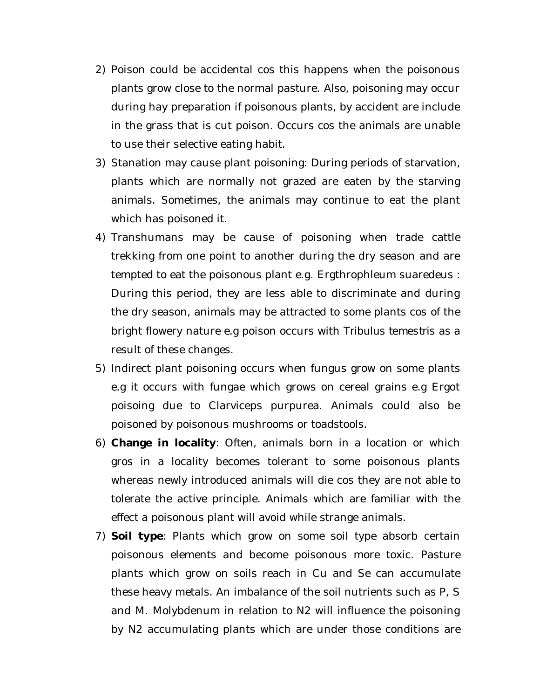- 2) Poison could be accidental cos this happens when the poisonous plants grow close to the normal pasture. Also, poisoning may occur during hay preparation if poisonous plants, by accident are include in the grass that is cut poison. Occurs cos the animals are unable to use their selective eating habit.
- 3) Stanation may cause plant poisoning: During periods of starvation, plants which are normally not grazed are eaten by the starving animals. Sometimes, the animals may continue to eat the plant which has poisoned it.
- 4) Transhumans may be cause of poisoning when trade cattle trekking from one point to another during the dry season and are tempted to eat the poisonous plant e.g. Ergthrophleum suaredeus : During this period, they are less able to discriminate and during the dry season, animals may be attracted to some plants cos of the bright flowery nature e.g poison occurs with *Tribulus temestris* as a result of these changes.
- 5) Indirect plant poisoning occurs when fungus grow on some plants e.g it occurs with fungae which grows on cereal grains e.g Ergot poisoing due to Clarviceps purpurea. Animals could also be poisoned by poisonous mushrooms or toadstools.
- 6) **Change in locality**: Often, animals born in a location or which gros in a locality becomes tolerant to some poisonous plants whereas newly introduced animals will die cos they are not able to tolerate the active principle. Animals which are familiar with the effect a poisonous plant will avoid while strange animals.
- 7) **Soil type**: Plants which grow on some soil type absorb certain poisonous elements and become poisonous more toxic. Pasture plants which grow on soils reach in Cu and Se can accumulate these heavy metals. An imbalance of the soil nutrients such as P, S and M. Molybdenum in relation to N2 will influence the poisoning by N2 accumulating plants which are under those conditions are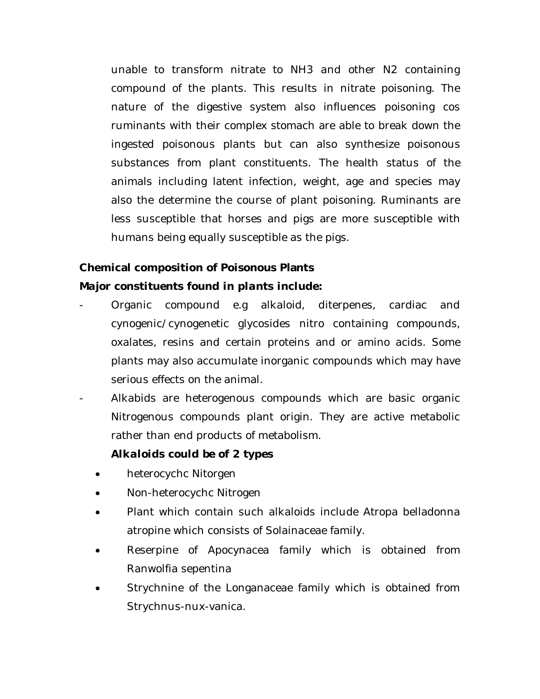unable to transform nitrate to NH3 and other N2 containing compound of the plants. This results in nitrate poisoning. The nature of the digestive system also influences poisoning cos ruminants with their complex stomach are able to break down the ingested poisonous plants but can also synthesize poisonous substances from plant constituents. The health status of the animals including latent infection, weight, age and species may also the determine the course of plant poisoning. Ruminants are less susceptible that horses and pigs are more susceptible with humans being equally susceptible as the pigs.

### **Chemical composition of Poisonous Plants**

### *Major constituents found in plants include:*

- Organic compound e.g alkaloid, diterpenes, cardiac and cynogenic/cynogenetic glycosides nitro containing compounds, oxalates, resins and certain proteins and or amino acids. Some plants may also accumulate inorganic compounds which may have serious effects on the animal.
- Alkabids are heterogenous compounds which are basic organic Nitrogenous compounds plant origin. They are active metabolic rather than end products of metabolism.

#### *Alkaloids could be of 2 types*

- heterocychc Nitorgen
- Non-heterocychc Nitrogen
- Plant which contain such alkaloids include Atropa belladonna atropine which consists of Solainaceae family.
- Reserpine of Apocynacea family which is obtained from Ranwolfia sepentina
- Strychnine of the Longanaceae family which is obtained from Strychnus-nux-vanica.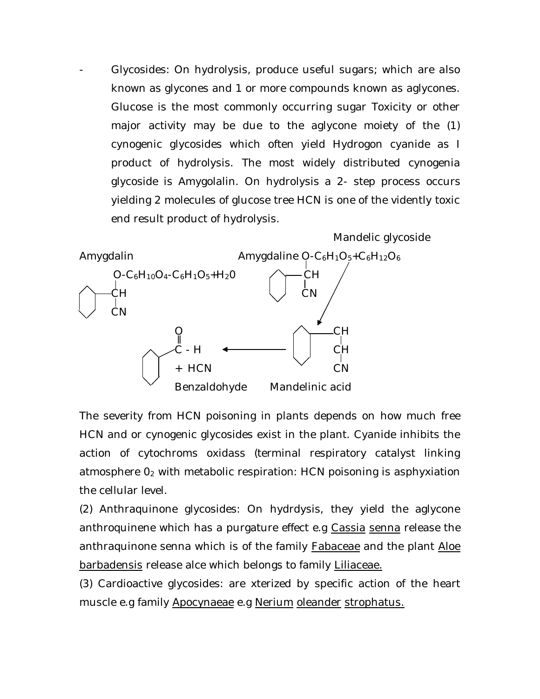- Glycosides: On hydrolysis, produce useful sugars; which are also known as glycones and 1 or more compounds known as aglycones. Glucose is the most commonly occurring sugar Toxicity or other major activity may be due to the aglycone moiety of the (1) cynogenic glycosides which often yield Hydrogon cyanide as I product of hydrolysis. The most widely distributed cynogenia glycoside is Amygolalin. On hydrolysis a 2- step process occurs yielding 2 molecules of glucose tree HCN is one of the vidently toxic end result product of hydrolysis.



The severity from HCN poisoning in plants depends on how much free HCN and or cynogenic glycosides exist in the plant. Cyanide inhibits the action of cytochroms oxidass (terminal respiratory catalyst linking atmosphere 0<sup>2</sup> with metabolic respiration: HCN poisoning is asphyxiation the cellular level.

(2) Anthraquinone glycosides: On hydrdysis, they yield the aglycone anthroquinene which has a purgature effect e.g Cassia senna release the anthraquinone senna which is of the family Fabaceae and the plant Aloe barbadensis release alce which belongs to family Liliaceae.

(3) Cardioactive glycosides: are xterized by specific action of the heart muscle e.g family Apocynaeae e.g Nerium oleander strophatus.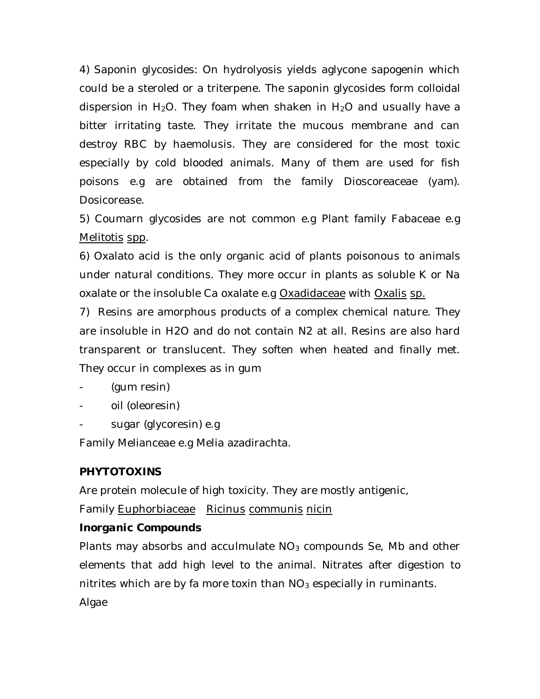4) Saponin glycosides: On hydrolyosis yields aglycone sapogenin which could be a steroled or a triterpene. The saponin glycosides form colloidal dispersion in H<sub>2</sub>O. They foam when shaken in H<sub>2</sub>O and usually have a bitter irritating taste. They irritate the mucous membrane and can destroy RBC by haemolusis. They are considered for the most toxic especially by cold blooded animals. Many of them are used for fish poisons e.g are obtained from the family Dioscoreaceae (yam). Dosicorease.

5) Coumarn glycosides are not common e.g Plant family Fabaceae e.g Melitotis spp.

6) Oxalato acid is the only organic acid of plants poisonous to animals under natural conditions. They more occur in plants as soluble K or Na oxalate or the insoluble Ca oxalate e.g Oxadidaceae with Oxalis sp.

7) Resins are amorphous products of a complex chemical nature. They are insoluble in H2O and do not contain N2 at all. Resins are also hard transparent or translucent. They soften when heated and finally met. They occur in complexes as in gum

- (gum resin)
- oil (oleoresin)
- sugar (glycoresin) e.g

Family Melianceae e.g Melia azadirachta.

# **PHYTOTOXINS**

Are protein molecule of high toxicity. They are mostly antigenic,

Family Euphorbiaceae Ricinus communis nicin

### *Inorganic Compounds*

Plants may absorbs and acculmulate  $NO<sub>3</sub>$  compounds Se, Mb and other elements that add high level to the animal. Nitrates after digestion to nitrites which are by fa more toxin than  $NO<sub>3</sub>$  especially in ruminants.

Algae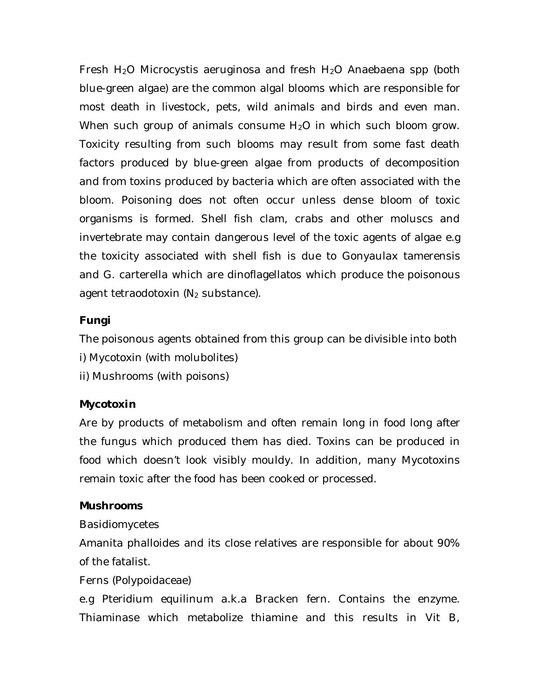Fresh  $H_2O$  Microcystis aeruginosa and fresh  $H_2O$  Anaebaena spp (both blue-green algae) are the common algal blooms which are responsible for most death in livestock, pets, wild animals and birds and even man. When such group of animals consume H<sub>2</sub>O in which such bloom grow. Toxicity resulting from such blooms may result from some fast death factors produced by blue-green algae from products of decomposition and from toxins produced by bacteria which are often associated with the bloom. Poisoning does not often occur unless dense bloom of toxic organisms is formed. Shell fish clam, crabs and other moluscs and invertebrate may contain dangerous level of the toxic agents of algae e.g the toxicity associated with shell fish is due to Gonyaulax tamerensis and G. carterella which are dinoflagellatos which produce the poisonous agent tetraodotoxin  $(N_2$  substance).

# *Fungi*

The poisonous agents obtained from this group can be divisible into both

- i) Mycotoxin (with molubolites)
- ii) Mushrooms (with poisons)

### *Mycotoxin*

Are by products of metabolism and often remain long in food long after the fungus which produced them has died. Toxins can be produced in food which doesn't look visibly mouldy. In addition, many Mycotoxins remain toxic after the food has been cooked or processed.

### *Mushrooms*

Basidiomycetes

Amanita phalloides and its close relatives are responsible for about 90% of the fatalist.

### Ferns (Polypoidaceae)

e.g Pteridium equilinum a.k.a Bracken fern. Contains the enzyme. Thiaminase which metabolize thiamine and this results in Vit B,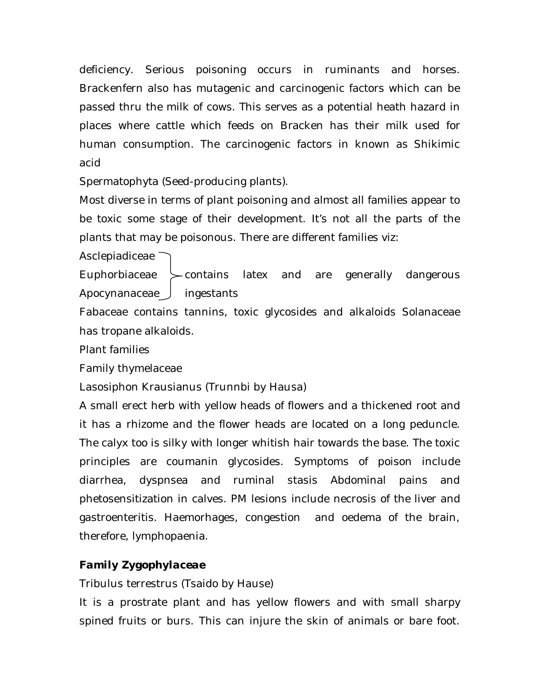deficiency. Serious poisoning occurs in ruminants and horses. Brackenfern also has mutagenic and carcinogenic factors which can be passed thru the milk of cows. This serves as a potential heath hazard in places where cattle which feeds on Bracken has their milk used for human consumption. The carcinogenic factors in known as Shikimic acid

Spermatophyta (Seed-producing plants).

Most diverse in terms of plant poisoning and almost all families appear to be toxic some stage of their development. It's not all the parts of the plants that may be poisonous. There are different families viz:

Asclepiadiceae  $\overline{\phantom{a}}$ 

Euphorbiaceae  $\succ$  contains latex and are generally dangerous Apocynanaceae  $\int$  ingestants

Fabaceae contains tannins, toxic glycosides and alkaloids Solanaceae has tropane alkaloids.

Plant families

Family thymelaceae

Lasosiphon Krausianus (Trunnbi by Hausa)

A small erect herb with yellow heads of flowers and a thickened root and it has a rhizome and the flower heads are located on a long peduncle. The calyx too is silky with longer whitish hair towards the base. The toxic principles are coumanin glycosides. Symptoms of poison include diarrhea, dyspnsea and ruminal stasis Abdominal pains and phetosensitization in calves. PM lesions include necrosis of the liver and gastroenteritis. Haemorhages, congestion and oedema of the brain, therefore, lymphopaenia.

# *Family Zygophylaceae*

Tribulus terrestrus (Tsaido by Hause)

It is a prostrate plant and has yellow flowers and with small sharpy spined fruits or burs. This can injure the skin of animals or bare foot.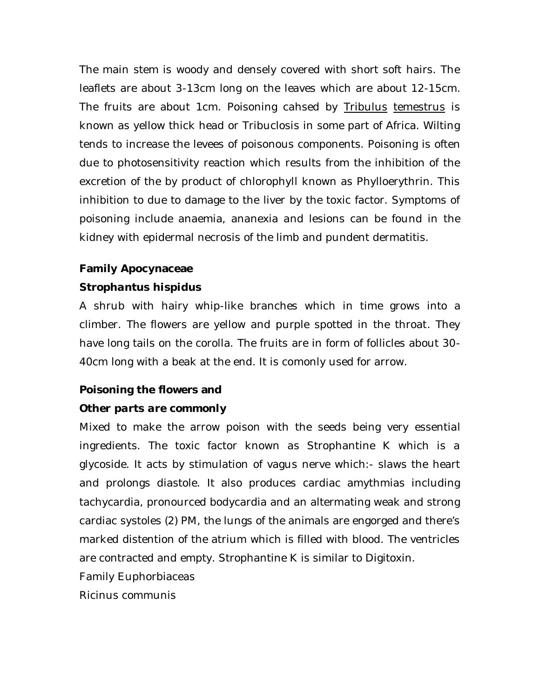The main stem is woody and densely covered with short soft hairs. The leaflets are about 3-13cm long on the leaves which are about 12-15cm. The fruits are about 1cm. Poisoning cahsed by Tribulus temestrus is known as yellow thick head or Tribuclosis in some part of Africa. Wilting tends to increase the levees of poisonous components. Poisoning is often due to photosensitivity reaction which results from the inhibition of the excretion of the by product of chlorophyll known as Phylloerythrin. This inhibition to due to damage to the liver by the toxic factor. Symptoms of poisoning include anaemia, ananexia and lesions can be found in the kidney with epidermal necrosis of the limb and pundent dermatitis.

# **Family Apocynaceae**

### *Strophantus hispidus*

A shrub with hairy whip-like branches which in time grows into a climber. The flowers are yellow and purple spotted in the throat. They have long tails on the corolla. The fruits are in form of follicles about 30- 40cm long with a beak at the end. It is comonly used for arrow.

### **Poisoning the flowers and**

### *Other parts are commonly*

Mixed to make the arrow poison with the seeds being very essential ingredients. The toxic factor known as Strophantine K which is a glycoside. It acts by stimulation of vagus nerve which:- slaws the heart and prolongs diastole. It also produces cardiac amythmias including tachycardia, pronourced bodycardia and an altermating weak and strong cardiac systoles (2) PM, the lungs of the animals are engorged and there's marked distention of the atrium which is filled with blood. The ventricles are contracted and empty. Strophantine K is similar to Digitoxin.

Family Euphorbiaceas

Ricinus communis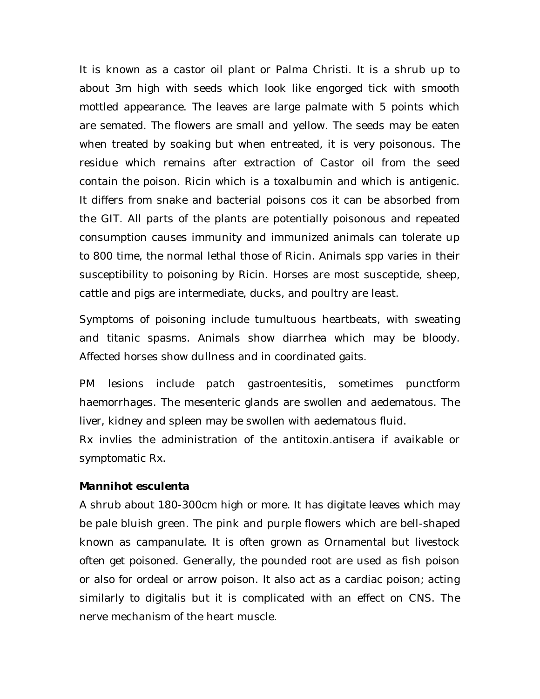It is known as a castor oil plant or Palma Christi. It is a shrub up to about 3m high with seeds which look like engorged tick with smooth mottled appearance. The leaves are large palmate with 5 points which are semated. The flowers are small and yellow. The seeds may be eaten when treated by soaking but when entreated, it is very poisonous. The residue which remains after extraction of Castor oil from the seed contain the poison. Ricin which is a toxalbumin and which is antigenic. It differs from snake and bacterial poisons cos it can be absorbed from the GIT. All parts of the plants are potentially poisonous and repeated consumption causes immunity and immunized animals can tolerate up to 800 time, the normal lethal those of Ricin. Animals spp varies in their susceptibility to poisoning by Ricin. Horses are most susceptide, sheep, cattle and pigs are intermediate, ducks, and poultry are least.

Symptoms of poisoning include tumultuous heartbeats, with sweating and titanic spasms. Animals show diarrhea which may be bloody. Affected horses show dullness and in coordinated gaits.

PM lesions include patch gastroentesitis, sometimes punctform haemorrhages. The mesenteric glands are swollen and aedematous. The liver, kidney and spleen may be swollen with aedematous fluid.

Rx invlies the administration of the antitoxin.antisera if avaikable or symptomatic Rx.

#### *Mannihot esculenta*

A shrub about 180-300cm high or more. It has digitate leaves which may be pale bluish green. The pink and purple flowers which are bell-shaped known as campanulate. It is often grown as Ornamental but livestock often get poisoned. Generally, the pounded root are used as fish poison or also for ordeal or arrow poison. It also act as a cardiac poison; acting similarly to digitalis but it is complicated with an effect on CNS. The nerve mechanism of the heart muscle.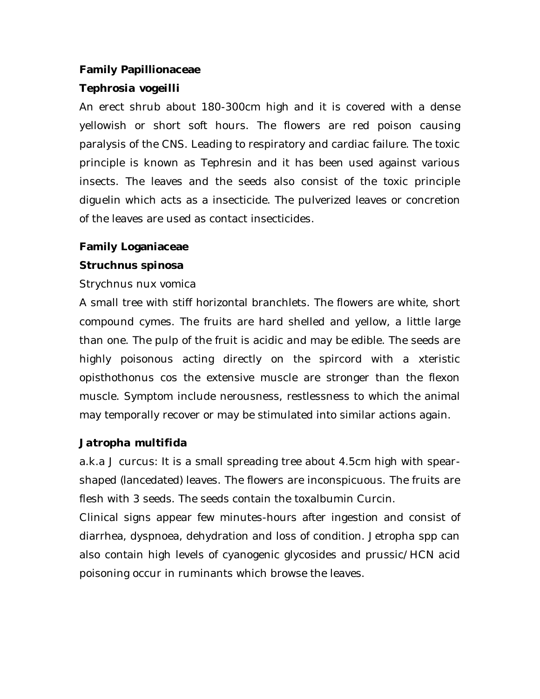### **Family Papillionaceae**

### *Tephrosia vogeilli*

An erect shrub about 180-300cm high and it is covered with a dense yellowish or short soft hours. The flowers are red poison causing paralysis of the CNS. Leading to respiratory and cardiac failure. The toxic principle is known as Tephresin and it has been used against various insects. The leaves and the seeds also consist of the toxic principle diguelin which acts as a insecticide. The pulverized leaves or concretion of the leaves are used as contact insecticides.

#### **Family Loganiaceae**

#### *Struchnus spinosa*

#### Strychnus nux vomica

A small tree with stiff horizontal branchlets. The flowers are white, short compound cymes. The fruits are hard shelled and yellow, a little large than one. The pulp of the fruit is acidic and may be edible. The seeds are highly poisonous acting directly on the spircord with a xteristic opisthothonus cos the extensive muscle are stronger than the flexon muscle. Symptom include nerousness, restlessness to which the animal may temporally recover or may be stimulated into similar actions again.

#### *Jatropha multifida*

a.k.a J curcus: It is a small spreading tree about 4.5cm high with spearshaped (lancedated) leaves. The flowers are inconspicuous. The fruits are flesh with 3 seeds. The seeds contain the toxalbumin Curcin.

Clinical signs appear few minutes-hours after ingestion and consist of diarrhea, dyspnoea, dehydration and loss of condition. Jetropha spp can also contain high levels of cyanogenic glycosides and prussic/HCN acid poisoning occur in ruminants which browse the leaves.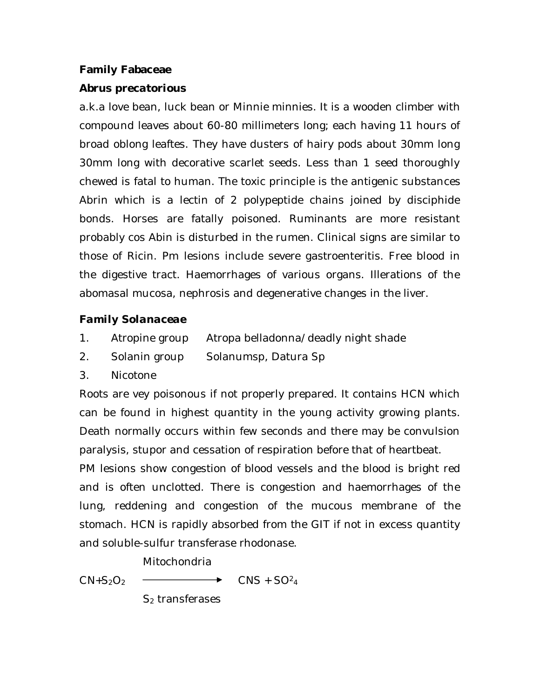### **Family Fabaceae**

### *Abrus precatorious*

a.k.a love bean, luck bean or Minnie minnies. It is a wooden climber with compound leaves about 60-80 millimeters long; each having 11 hours of broad oblong leaftes. They have dusters of hairy pods about 30mm long 30mm long with decorative scarlet seeds. Less than 1 seed thoroughly chewed is fatal to human. The toxic principle is the antigenic substances Abrin which is a lectin of 2 polypeptide chains joined by disciphide bonds. Horses are fatally poisoned. Ruminants are more resistant probably cos Abin is disturbed in the rumen. Clinical signs are similar to those of Ricin. Pm lesions include severe gastroenteritis. Free blood in the digestive tract. Haemorrhages of various organs. Illerations of the abomasal mucosa, nephrosis and degenerative changes in the liver.

# *Family Solanaceae*

- 1. Atropine group Atropa belladonna/deadly night shade
- 2. Solanin group Solanumsp, Datura Sp
- 3. Nicotone

Roots are vey poisonous if not properly prepared. It contains HCN which can be found in highest quantity in the young activity growing plants. Death normally occurs within few seconds and there may be convulsion paralysis, stupor and cessation of respiration before that of heartbeat.

PM lesions show congestion of blood vessels and the blood is bright red and is often unclotted. There is congestion and haemorrhages of the lung, reddening and congestion of the mucous membrane of the stomach. HCN is rapidly absorbed from the GIT if not in excess quantity and soluble-sulfur transferase rhodonase.

Mitochondria

 $CN+S_2O_2$   $\longrightarrow$   $CNS + SO^2_4$ 

S<sub>2</sub> transferases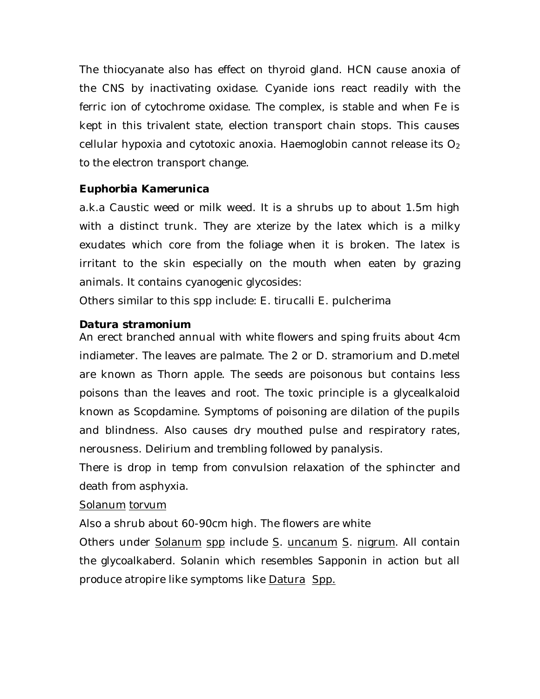The thiocyanate also has effect on thyroid gland. HCN cause anoxia of the CNS by inactivating oxidase. Cyanide ions react readily with the ferric ion of cytochrome oxidase. The complex, is stable and when Fe is kept in this trivalent state, election transport chain stops. This causes cellular hypoxia and cytotoxic anoxia. Haemoglobin cannot release its  $O<sub>2</sub>$ to the electron transport change.

### *Euphorbia Kamerunica*

a.k.a Caustic weed or milk weed. It is a shrubs up to about 1.5m high with a distinct trunk. They are xterize by the latex which is a milky exudates which core from the foliage when it is broken. The latex is irritant to the skin especially on the mouth when eaten by grazing animals. It contains cyanogenic glycosides:

Others similar to this spp include: E. tirucalli E. pulcherima

# *Datura stramonium*

An erect branched annual with white flowers and sping fruits about 4cm indiameter. The leaves are palmate. The 2 or D. stramorium and D.metel are known as Thorn apple. The seeds are poisonous but contains less poisons than the leaves and root. The toxic principle is a glycealkaloid known as Scopdamine. Symptoms of poisoning are dilation of the pupils and blindness. Also causes dry mouthed pulse and respiratory rates, nerousness. Delirium and trembling followed by panalysis.

There is drop in temp from convulsion relaxation of the sphincter and death from asphyxia.

### Solanum torvum

Also a shrub about 60-90cm high. The flowers are white

Others under Solanum spp include S. uncanum S. nigrum. All contain the glycoalkaberd. Solanin which resembles Sapponin in action but all produce atropire like symptoms like Datura Spp.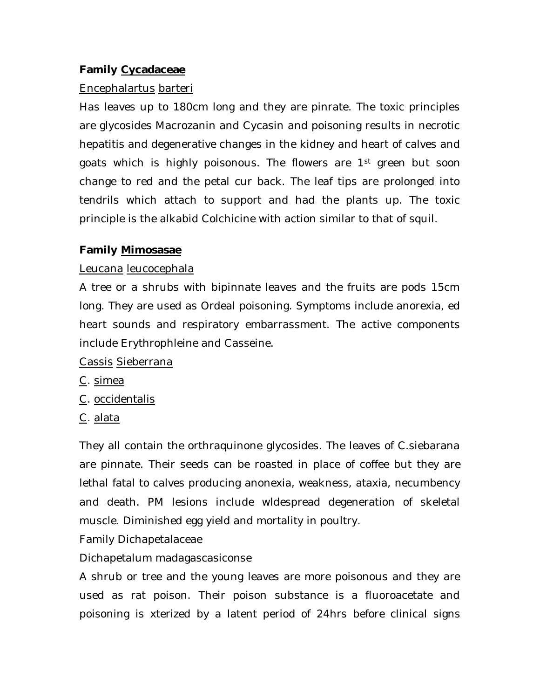### **Family Cycadaceae**

#### Encephalartus barteri

Has leaves up to 180cm long and they are pinrate. The toxic principles are glycosides Macrozanin and Cycasin and poisoning results in necrotic hepatitis and degenerative changes in the kidney and heart of calves and goats which is highly poisonous. The flowers are 1<sup>st</sup> green but soon change to red and the petal cur back. The leaf tips are prolonged into tendrils which attach to support and had the plants up. The toxic principle is the alkabid Colchicine with action similar to that of squil.

### **Family Mimosasae**

#### Leucana leucocephala

A tree or a shrubs with bipinnate leaves and the fruits are pods 15cm long. They are used as Ordeal poisoning. Symptoms include anorexia, ed heart sounds and respiratory embarrassment. The active components include Erythrophleine and Casseine.

#### Cassis Sieberrana

- C. simea
- C. occidentalis
- C. alata

They all contain the orthraquinone glycosides. The leaves of C.siebarana are pinnate. Their seeds can be roasted in place of coffee but they are lethal fatal to calves producing anonexia, weakness, ataxia, necumbency and death. PM lesions include wldespread degeneration of skeletal muscle. Diminished egg yield and mortality in poultry.

Family Dichapetalaceae

### Dichapetalum madagascasiconse

A shrub or tree and the young leaves are more poisonous and they are used as rat poison. Their poison substance is a fluoroacetate and poisoning is xterized by a latent period of 24hrs before clinical signs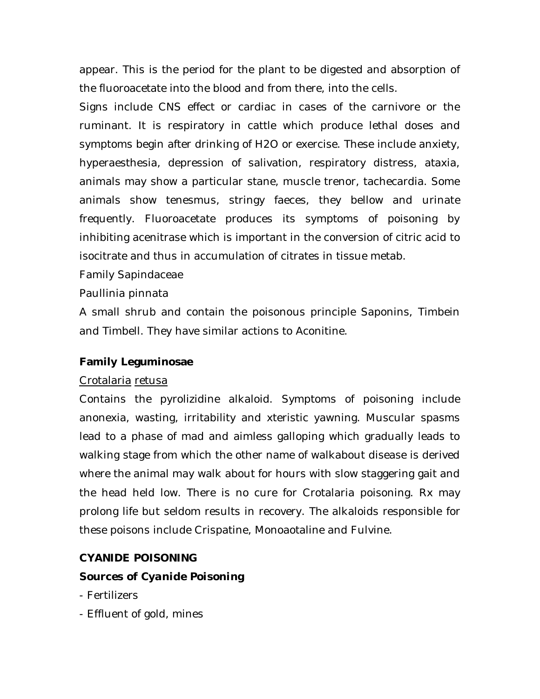appear. This is the period for the plant to be digested and absorption of the fluoroacetate into the blood and from there, into the cells.

Signs include CNS effect or cardiac in cases of the carnivore or the ruminant. It is respiratory in cattle which produce lethal doses and symptoms begin after drinking of H2O or exercise. These include anxiety, hyperaesthesia, depression of salivation, respiratory distress, ataxia, animals may show a particular stane, muscle trenor, tachecardia. Some animals show tenesmus, stringy faeces, they bellow and urinate frequently. Fluoroacetate produces its symptoms of poisoning by inhibiting acenitrase which is important in the conversion of citric acid to isocitrate and thus in accumulation of citrates in tissue metab.

Family Sapindaceae

Paullinia pinnata

A small shrub and contain the poisonous principle Saponins, Timbein and Timbell. They have similar actions to Aconitine.

# **Family Leguminosae**

# Crotalaria retusa

Contains the pyrolizidine alkaloid. Symptoms of poisoning include anonexia, wasting, irritability and xteristic yawning. Muscular spasms lead to a phase of mad and aimless galloping which gradually leads to walking stage from which the other name of walkabout disease is derived where the animal may walk about for hours with slow staggering gait and the head held low. There is no cure for Crotalaria poisoning. Rx may prolong life but seldom results in recovery. The alkaloids responsible for these poisons include Crispatine, Monoaotaline and Fulvine.

# **CYANIDE POISONING**

# *Sources of Cyanide Poisoning*

- Fertilizers
- Effluent of gold, mines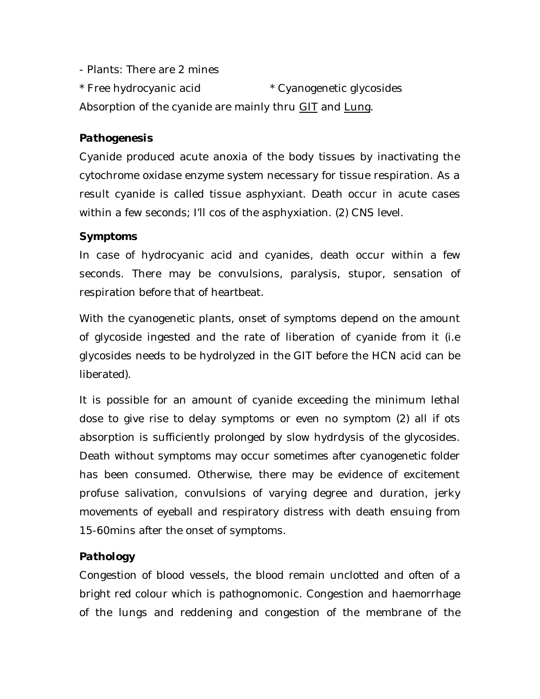- Plants: There are 2 mines

\* Free hydrocyanic acid \* Cyanogenetic glycosides Absorption of the cyanide are mainly thru GIT and Lung.

# *Pathogenesis*

Cyanide produced acute anoxia of the body tissues by inactivating the cytochrome oxidase enzyme system necessary for tissue respiration. As a result cyanide is called tissue asphyxiant. Death occur in acute cases within a few seconds; I'll cos of the asphyxiation. (2) CNS level.

# *Symptoms*

In case of hydrocyanic acid and cyanides, death occur within a few seconds. There may be convulsions, paralysis, stupor, sensation of respiration before that of heartbeat.

With the cyanogenetic plants, onset of symptoms depend on the amount of glycoside ingested and the rate of liberation of cyanide from it (i.e glycosides needs to be hydrolyzed in the GIT before the HCN acid can be liberated).

It is possible for an amount of cyanide exceeding the minimum lethal dose to give rise to delay symptoms or even no symptom (2) all if ots absorption is sufficiently prolonged by slow hydrdysis of the glycosides. Death without symptoms may occur sometimes after cyanogenetic folder has been consumed. Otherwise, there may be evidence of excitement profuse salivation, convulsions of varying degree and duration, jerky movements of eyeball and respiratory distress with death ensuing from 15-60mins after the onset of symptoms.

# *Pathology*

Congestion of blood vessels, the blood remain unclotted and often of a bright red colour which is pathognomonic. Congestion and haemorrhage of the lungs and reddening and congestion of the membrane of the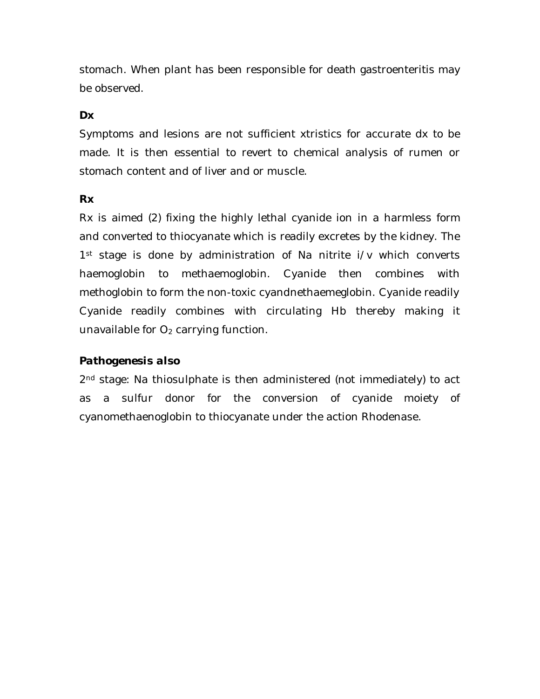stomach. When plant has been responsible for death gastroenteritis may be observed.

# *Dx*

Symptoms and lesions are not sufficient xtristics for accurate dx to be made. It is then essential to revert to chemical analysis of rumen or stomach content and of liver and or muscle.

### *Rx*

Rx is aimed (2) fixing the highly lethal cyanide ion in a harmless form and converted to thiocyanate which is readily excretes by the kidney. The 1<sup>st</sup> stage is done by administration of Na nitrite i/v which converts haemoglobin to methaemoglobin. Cyanide then combines with methoglobin to form the non-toxic cyandnethaemeglobin. Cyanide readily Cyanide readily combines with circulating Hb thereby making it unavailable for  $O_2$  carrying function.

# *Pathogenesis also*

2<sup>nd</sup> stage: Na thiosulphate is then administered (not immediately) to act as a sulfur donor for the conversion of cyanide moiety of cyanomethaenoglobin to thiocyanate under the action Rhodenase.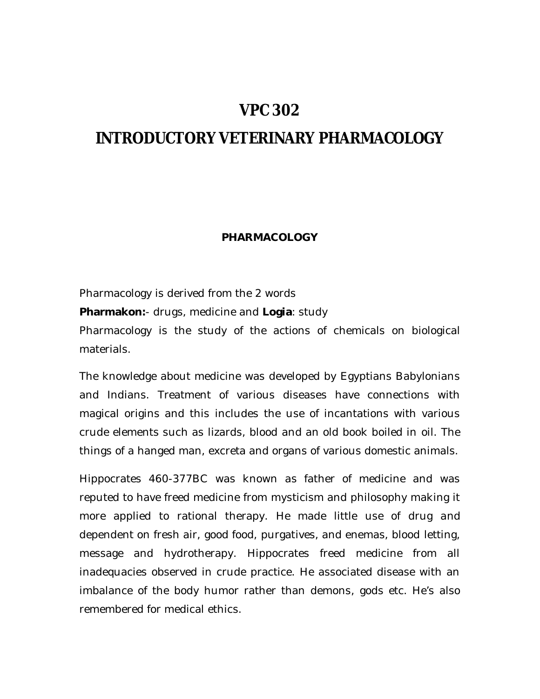# **VPC 302**

# **INTRODUCTORY VETERINARY PHARMACOLOGY**

#### **PHARMACOLOGY**

Pharmacology is derived from the 2 words **Pharmakon:**- drugs, medicine and **Logia**: study Pharmacology is the study of the actions of chemicals on biological materials.

The knowledge about medicine was developed by Egyptians Babylonians and Indians. Treatment of various diseases have connections with magical origins and this includes the use of incantations with various crude elements such as lizards, blood and an old book boiled in oil. The things of a hanged man, excreta and organs of various domestic animals.

Hippocrates 460-377BC was known as father of medicine and was reputed to have freed medicine from mysticism and philosophy making it more applied to rational therapy. He made little use of drug and dependent on fresh air, good food, purgatives, and enemas, blood letting, message and hydrotherapy. Hippocrates freed medicine from all inadequacies observed in crude practice. He associated disease with an imbalance of the body humor rather than demons, gods etc. He's also remembered for medical ethics.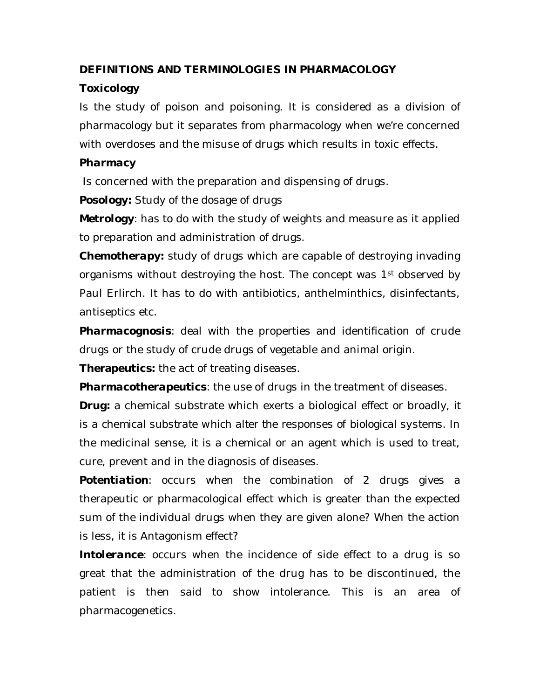# **DEFINITIONS AND TERMINOLOGIES IN PHARMACOLOGY**

# *Toxicology*

Is the study of poison and poisoning. It is considered as a division of pharmacology but it separates from pharmacology when we're concerned with overdoses and the misuse of drugs which results in toxic effects.

# *Pharmacy*

Is concerned with the preparation and dispensing of drugs.

**Posology:** Study of the dosage of drugs

*Metrology*: has to do with the study of weights and measure as it applied to preparation and administration of drugs.

*Chemotherapy:* study of drugs which are capable of destroying invading organisms without destroying the host. The concept was 1<sup>st</sup> observed by Paul Erlirch. It has to do with antibiotics, anthelminthics, disinfectants, antiseptics etc.

*Pharmacognosis*: deal with the properties and identification of crude drugs or the study of crude drugs of vegetable and animal origin.

**Therapeutics:** the act of treating diseases.

*Pharmacotherapeutics*: the use of drugs in the treatment of diseases.

*Drug:* a chemical substrate which exerts a biological effect or broadly, *it is a chemical substrate which alter the responses of biological systems.* In the medicinal sense, it is a chemical or an agent which is used to treat, cure, prevent and in the diagnosis of diseases.

**Potentiation**: occurs when the combination of 2 drugs gives a therapeutic or pharmacological effect which is greater than the expected sum of the individual drugs when they are given alone? When the action is less, it is Antagonism effect?

**Intolerance**: occurs when the incidence of side effect to a drug is so great that the administration of the drug has to be discontinued, the patient is then said to show intolerance. This is an area of pharmacogenetics.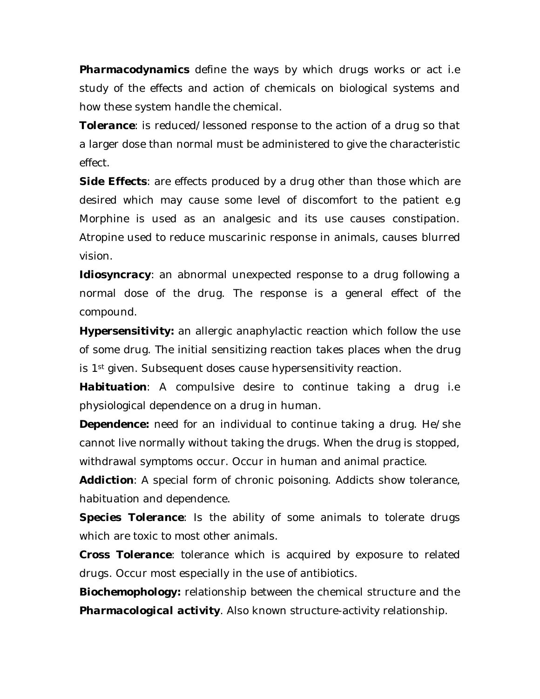*Pharmacodynamics* define the ways by which drugs works or act i.e study of the effects and action of chemicals on biological systems and how these system handle the chemical.

*Tolerance*: is reduced/lessoned response to the action of a drug so that a larger dose than normal must be administered to give the characteristic effect.

**Side Effects:** are effects produced by a drug other than those which are desired which may cause some level of discomfort to the patient e.g Morphine is used as an analgesic and its use causes constipation. Atropine used to reduce muscarinic response in animals, causes blurred vision.

*Idiosyncracy*: an abnormal unexpected response to a drug following a normal dose of the drug. The response is a general effect of the compound.

*Hypersensitivity:* an allergic anaphylactic reaction which follow the use of some drug. The initial sensitizing reaction takes places when the drug is 1<sup>st</sup> given. Subsequent doses cause hypersensitivity reaction.

*Habituation*: A compulsive desire to continue taking a drug i.e physiological dependence on a drug in human.

*Dependence:* need for an individual to continue taking a drug. He/she cannot live normally without taking the drugs. When the drug is stopped, withdrawal symptoms occur. Occur in human and animal practice.

*Addiction*: A special form of chronic poisoning. Addicts show tolerance, habituation and dependence.

**Species Tolerance**: Is the ability of some animals to tolerate drugs which are toxic to most other animals.

*Cross Tolerance*: tolerance which is acquired by exposure to related drugs. Occur most especially in the use of antibiotics.

*Biochemophology:* relationship between the chemical structure and the *Pharmacological activity*. Also known structure-activity relationship.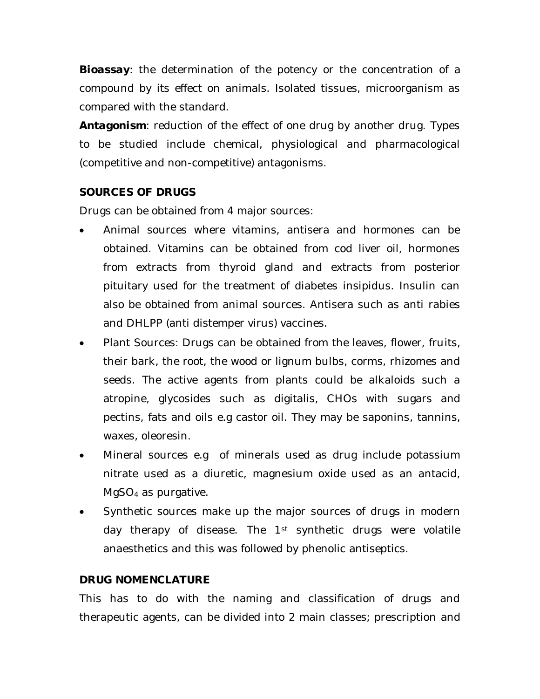**Bioassay:** the determination of the potency or the concentration of a compound by its effect on animals. Isolated tissues, microorganism as compared with the standard.

*Antagonism*: reduction of the effect of one drug by another drug. Types to be studied include chemical, physiological and pharmacological (competitive and non-competitive) antagonisms.

# **SOURCES OF DRUGS**

Drugs can be obtained from 4 major sources:

- Animal sources where vitamins, antisera and hormones can be obtained. Vitamins can be obtained from cod liver oil, hormones from extracts from thyroid gland and extracts from posterior pituitary used for the treatment of diabetes insipidus. Insulin can also be obtained from animal sources. Antisera such as anti rabies and DHLPP (anti distemper virus) vaccines.
- Plant Sources: Drugs can be obtained from the leaves, flower, fruits, their bark, the root, the wood or lignum bulbs, corms, rhizomes and seeds. The active agents from plants could be alkaloids such a atropine, glycosides such as digitalis, CHOs with sugars and pectins, fats and oils e.g castor oil. They may be saponins, tannins, waxes, oleoresin.
- Mineral sources e.g of minerals used as drug include potassium nitrate used as a diuretic, magnesium oxide used as an antacid, MgSO<sup>4</sup> as purgative.
- Synthetic sources make up the major sources of drugs in modern day therapy of disease. The 1<sup>st</sup> synthetic drugs were volatile anaesthetics and this was followed by phenolic antiseptics.

# **DRUG NOMENCLATURE**

This has to do with the naming and classification of drugs and therapeutic agents, can be divided into 2 main classes; prescription and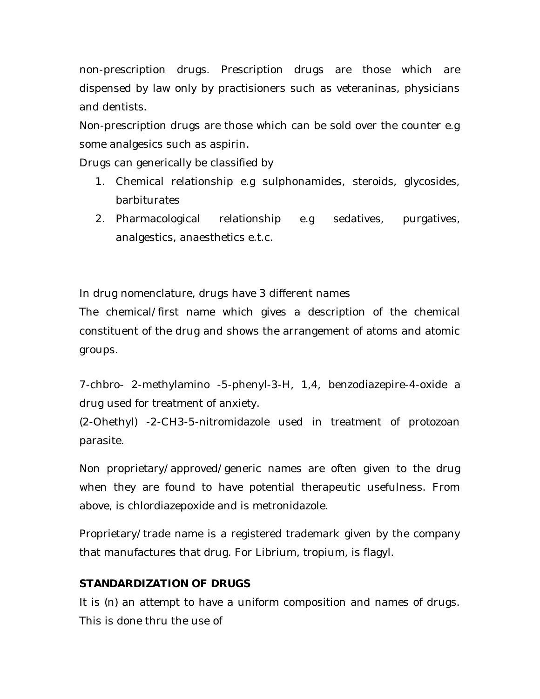non-prescription drugs. Prescription drugs are those which are dispensed by law only by practisioners such as veteraninas, physicians and dentists.

Non-prescription drugs are those which can be sold over the counter e.g some analgesics such as aspirin.

Drugs can generically be classified by

- 1. Chemical relationship e.g sulphonamides, steroids, glycosides, barbiturates
- 2. Pharmacological relationship e.g sedatives, purgatives, analgestics, anaesthetics e.t.c.

In drug nomenclature, drugs have 3 different names

The chemical/first name which gives a description of the chemical constituent of the drug and shows the arrangement of atoms and atomic groups.

7-chbro- 2-methylamino -5-phenyl-3-H, 1,4, benzodiazepire-4-oxide a drug used for treatment of anxiety.

(2-Ohethyl) -2-CH3-5-nitromidazole used in treatment of protozoan parasite.

Non proprietary/approved/generic names are often given to the drug when they are found to have potential therapeutic usefulness. From above, is chlordiazepoxide and is metronidazole.

Proprietary/trade name is a registered trademark given by the company that manufactures that drug. For Librium, tropium, is flagyl.

# **STANDARDIZATION OF DRUGS**

It is (n) an attempt to have a uniform composition and names of drugs. This is done thru the use of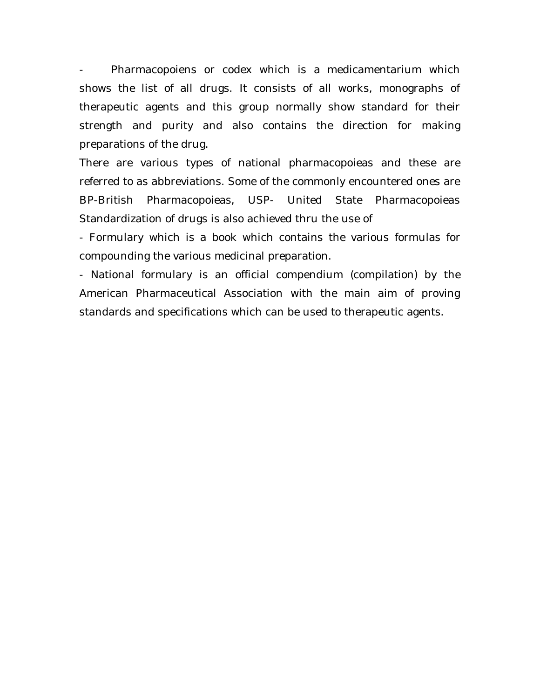Pharmacopoiens or codex which is a medicamentarium which shows the list of all drugs. It consists of all works, monographs of therapeutic agents and this group normally show standard for their strength and purity and also contains the direction for making preparations of the drug.

There are various types of national pharmacopoieas and these are referred to as abbreviations. Some of the commonly encountered ones are BP-British Pharmacopoieas, USP- United State Pharmacopoieas Standardization of drugs is also achieved thru the use of

- Formulary which is a book which contains the various formulas for compounding the various medicinal preparation.

- National formulary is an official compendium (compilation) by the American Pharmaceutical Association with the main aim of proving standards and specifications which can be used to therapeutic agents.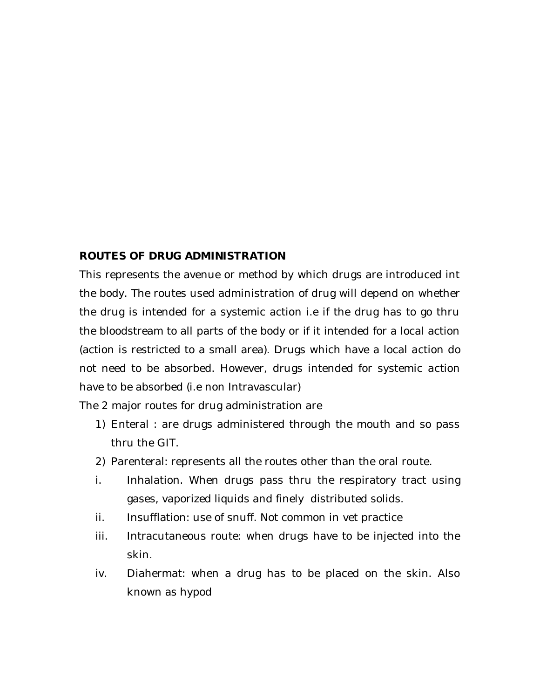#### **ROUTES OF DRUG ADMINISTRATION**

This represents the avenue or method by which drugs are introduced int the body. The routes used administration of drug will depend on whether the drug is intended for a systemic action i.e if the drug has to go thru the bloodstream to all parts of the body or if it intended for a local action (action is restricted to a small area). Drugs which have a local action do not need to be absorbed. However, drugs intended for systemic action have to be absorbed (i.e non Intravascular)

The 2 major routes for drug administration are

- 1) Enteral : are drugs administered through the mouth and so pass thru the GIT.
- 2) Parenteral: represents all the routes other than the oral route.
- i. Inhalation. When drugs pass thru the respiratory tract using gases, vaporized liquids and finely distributed solids.
- ii. Insufflation: use of snuff. Not common in vet practice
- iii. Intracutaneous route: when drugs have to be injected into the skin.
- iv. Diahermat: when a drug has to be placed on the skin. Also known as hypod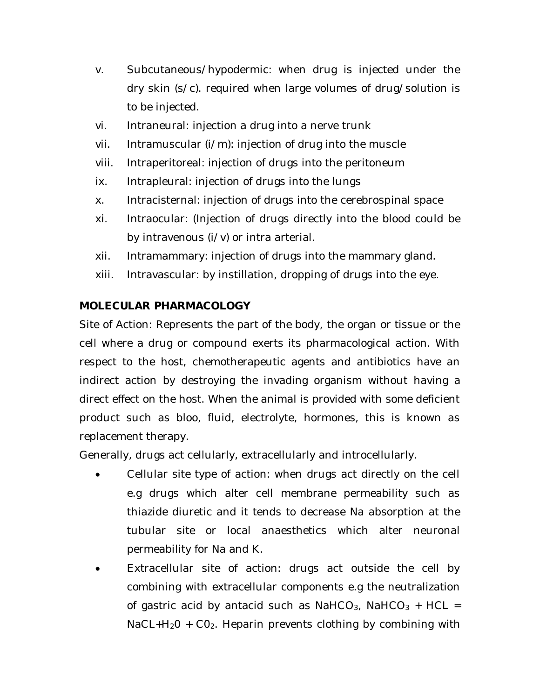- v. Subcutaneous/hypodermic: when drug is injected under the dry skin (s/c). required when large volumes of drug/solution is to be injected.
- vi. Intraneural: injection a drug into a nerve trunk
- vii. Intramuscular (i/m): injection of drug into the muscle
- viii. Intraperitoreal: injection of drugs into the peritoneum
- ix. Intrapleural: injection of drugs into the lungs
- x. Intracisternal: injection of drugs into the cerebrospinal space
- xi. Intraocular: (Injection of drugs directly into the blood could be by intravenous (i/v) or intra arterial.
- xii. Intramammary: injection of drugs into the mammary gland.
- xiii. Intravascular: by instillation, dropping of drugs into the eye.

# **MOLECULAR PHARMACOLOGY**

Site of Action: Represents the part of the body, the organ or tissue or the cell where a drug or compound exerts its pharmacological action. With respect to the host, chemotherapeutic agents and antibiotics have an indirect action by destroying the invading organism without having a direct effect on the host. When the animal is provided with some deficient product such as bloo, fluid, electrolyte, hormones, this is known as replacement therapy.

Generally, drugs act cellularly, extracellularly and introcellularly.

- Cellular site type of action: when drugs act directly on the cell e.g drugs which alter cell membrane permeability such as thiazide diuretic and it tends to decrease Na absorption at the tubular site or local anaesthetics which alter neuronal permeability for Na and K.
- Extracellular site of action: drugs act outside the cell by combining with extracellular components e.g the neutralization of gastric acid by antacid such as NaHCO<sub>3</sub>, NaHCO<sub>3</sub> + HCL =  $NaCL+H<sub>2</sub>O + CO<sub>2</sub>$ . Heparin prevents clothing by combining with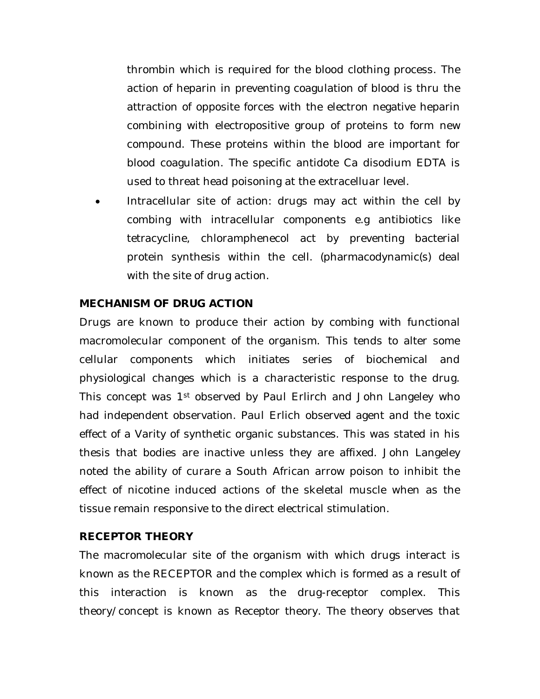thrombin which is required for the blood clothing process. The action of heparin in preventing coagulation of blood is thru the attraction of opposite forces with the electron negative heparin combining with electropositive group of proteins to form new compound. These proteins within the blood are important for blood coagulation. The specific antidote Ca disodium EDTA is used to threat head poisoning at the extracelluar level.

 Intracellular site of action: drugs may act within the cell by combing with intracellular components e.g antibiotics like tetracycline, chloramphenecol act by preventing bacterial protein synthesis within the cell. (pharmacodynamic(s) deal with the site of drug action.

### **MECHANISM OF DRUG ACTION**

Drugs are known to produce their action by combing with functional macromolecular component of the organism. This tends to alter some cellular components which initiates series of biochemical and physiological changes which is a characteristic response to the drug. This concept was 1st observed by Paul Erlirch and John Langeley who had independent observation. Paul Erlich observed agent and the toxic effect of a Varity of synthetic organic substances. This was stated in his thesis that bodies are inactive unless they are affixed. John Langeley noted the ability of curare a South African arrow poison to inhibit the effect of nicotine induced actions of the skeletal muscle when as the tissue remain responsive to the direct electrical stimulation.

#### **RECEPTOR THEORY**

The macromolecular site of the organism with which drugs interact is known as the RECEPTOR and the complex which is formed as a result of this interaction is known as the drug-receptor complex. This theory/concept is known as Receptor theory. The theory observes that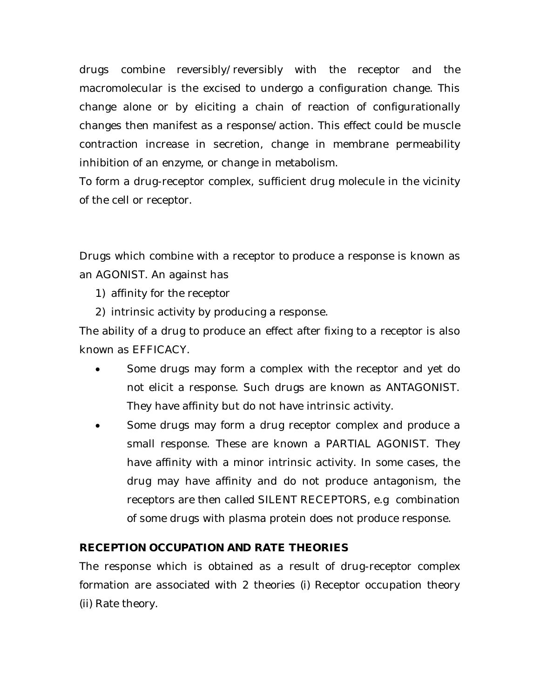drugs combine reversibly/reversibly with the receptor and the macromolecular is the excised to undergo a configuration change. This change alone or by eliciting a chain of reaction of configurationally changes then manifest as a response/action. This effect could be muscle contraction increase in secretion, change in membrane permeability inhibition of an enzyme, or change in metabolism.

To form a drug-receptor complex, sufficient drug molecule in the vicinity of the cell or receptor.

Drugs which combine with a receptor to produce a response is known as an AGONIST. An against has

- 1) affinity for the receptor
- 2) intrinsic activity by producing a response.

The ability of a drug to produce an effect after fixing to a receptor is also known as EFFICACY.

- Some drugs may form a complex with the receptor and yet do not elicit a response. Such drugs are known as ANTAGONIST. They have affinity but do not have intrinsic activity.
- Some drugs may form a drug receptor complex and produce a small response. These are known a PARTIAL AGONIST. They have affinity with a minor intrinsic activity. In some cases, the drug may have affinity and do not produce antagonism, the receptors are then called SILENT RECEPTORS, e.g combination of some drugs with plasma protein does not produce response.

# **RECEPTION OCCUPATION AND RATE THEORIES**

The response which is obtained as a result of drug-receptor complex formation are associated with 2 theories (i) Receptor occupation theory (ii) Rate theory.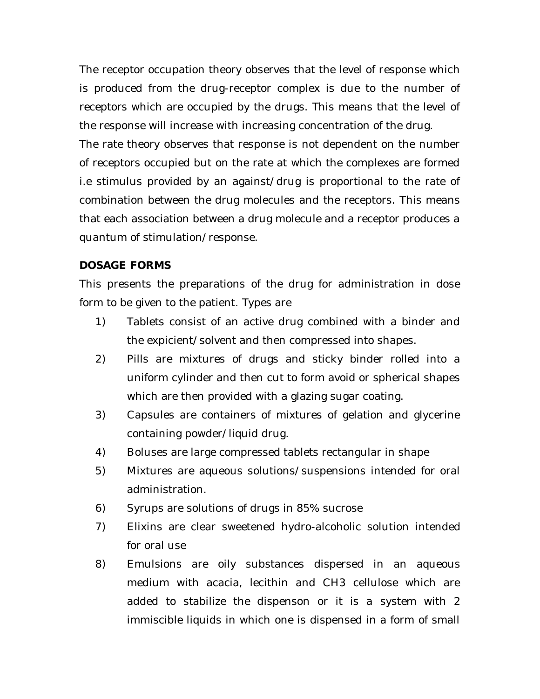The receptor occupation theory observes that the level of response which is produced from the drug-receptor complex is due to the number of receptors which are occupied by the drugs. This means that the level of the response will increase with increasing concentration of the drug.

The rate theory observes that response is not dependent on the number of receptors occupied but on the rate at which the complexes are formed i.e stimulus provided by an against/drug is proportional to the rate of combination between the drug molecules and the receptors. This means that each association between a drug molecule and a receptor produces a quantum of stimulation/response.

### **DOSAGE FORMS**

This presents the preparations of the drug for administration in dose form to be given to the patient. Types are

- 1) Tablets consist of an active drug combined with a binder and the expicient/solvent and then compressed into shapes.
- 2) Pills are mixtures of drugs and sticky binder rolled into a uniform cylinder and then cut to form avoid or spherical shapes which are then provided with a glazing sugar coating.
- 3) Capsules are containers of mixtures of gelation and glycerine containing powder/liquid drug.
- 4) Boluses are large compressed tablets rectangular in shape
- 5) Mixtures are aqueous solutions/suspensions intended for oral administration.
- 6) Syrups are solutions of drugs in 85% sucrose
- 7) Elixins are clear sweetened hydro-alcoholic solution intended for oral use
- 8) Emulsions are oily substances dispersed in an aqueous medium with acacia, lecithin and CH3 cellulose which are added to stabilize the dispenson or it is a system with 2 immiscible liquids in which one is dispensed in a form of small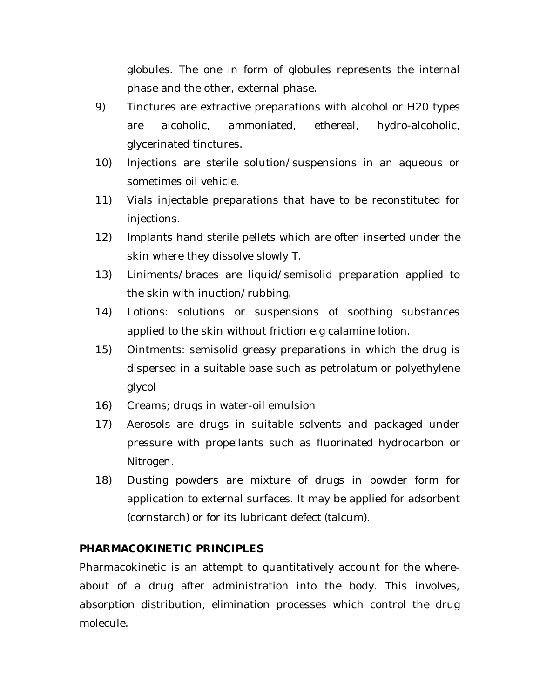globules. The one in form of globules represents the internal phase and the other, external phase.

- 9) Tinctures are extractive preparations with alcohol or H20 types are alcoholic, ammoniated, ethereal, hydro-alcoholic, glycerinated tinctures.
- 10) Injections are sterile solution/suspensions in an aqueous or sometimes oil vehicle.
- 11) Vials injectable preparations that have to be reconstituted for injections.
- 12) Implants hand sterile pellets which are often inserted under the skin where they dissolve slowly T.
- 13) Liniments/braces are liquid/semisolid preparation applied to the skin with inuction/rubbing.
- 14) Lotions: solutions or suspensions of soothing substances applied to the skin without friction e.g calamine lotion.
- 15) Ointments: semisolid greasy preparations in which the drug is dispersed in a suitable base such as petrolatum or polyethylene glycol
- 16) Creams; drugs in water-oil emulsion
- 17) Aerosols are drugs in suitable solvents and packaged under pressure with propellants such as fluorinated hydrocarbon or Nitrogen.
- 18) Dusting powders are mixture of drugs in powder form for application to external surfaces. It may be applied for adsorbent (cornstarch) or for its lubricant defect (talcum).

# **PHARMACOKINETIC PRINCIPLES**

Pharmacokinetic is an attempt to quantitatively account for the whereabout of a drug after administration into the body. This involves, absorption distribution, elimination processes which control the drug molecule.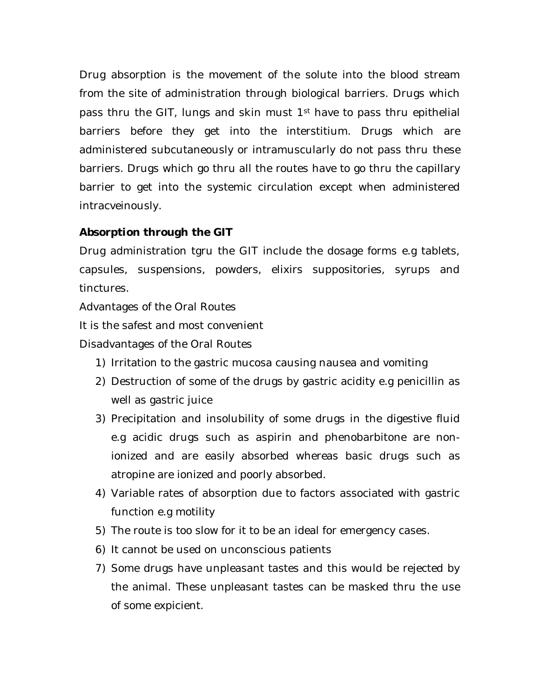Drug absorption is the movement of the solute into the blood stream from the site of administration through biological barriers. Drugs which pass thru the GIT, lungs and skin must 1<sup>st</sup> have to pass thru epithelial barriers before they get into the interstitium. Drugs which are administered subcutaneously or intramuscularly do not pass thru these barriers. Drugs which go thru all the routes have to go thru the capillary barrier to get into the systemic circulation except when administered intracveinously.

# *Absorption through the GIT*

Drug administration tgru the GIT include the dosage forms e.g tablets, capsules, suspensions, powders, elixirs suppositories, syrups and tinctures.

Advantages of the Oral Routes

It is the safest and most convenient

Disadvantages of the Oral Routes

- 1) Irritation to the gastric mucosa causing nausea and vomiting
- 2) Destruction of some of the drugs by gastric acidity e.g penicillin as well as gastric juice
- 3) Precipitation and insolubility of some drugs in the digestive fluid e.g acidic drugs such as aspirin and phenobarbitone are nonionized and are easily absorbed whereas basic drugs such as atropine are ionized and poorly absorbed.
- 4) Variable rates of absorption due to factors associated with gastric function e.g motility
- 5) The route is too slow for it to be an ideal for emergency cases.
- 6) It cannot be used on unconscious patients
- 7) Some drugs have unpleasant tastes and this would be rejected by the animal. These unpleasant tastes can be masked thru the use of some expicient.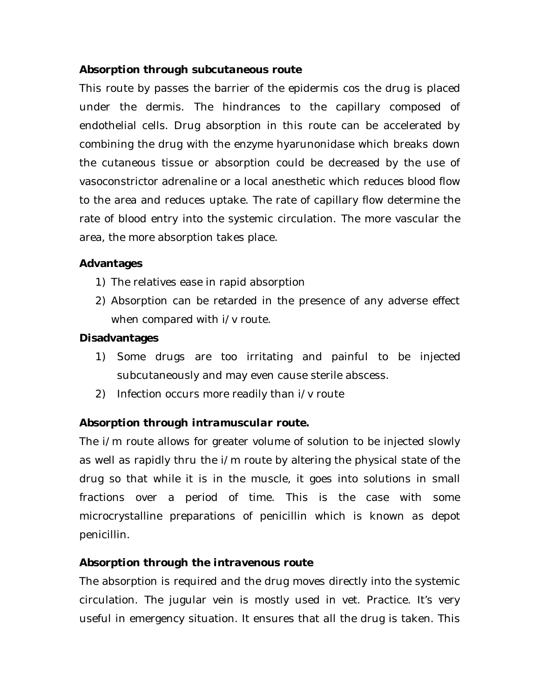### *Absorption through subcutaneous route*

This route by passes the barrier of the epidermis cos the drug is placed under the dermis. The hindrances to the capillary composed of endothelial cells. Drug absorption in this route can be accelerated by combining the drug with the enzyme hyarunonidase which breaks down the cutaneous tissue or absorption could be decreased by the use of vasoconstrictor adrenaline or a local anesthetic which reduces blood flow to the area and reduces uptake. The rate of capillary flow determine the rate of blood entry into the systemic circulation. The more vascular the area, the more absorption takes place.

### **Advantages**

- 1) The relatives ease in rapid absorption
- 2) Absorption can be retarded in the presence of any adverse effect when compared with  $i/v$  route.

#### **Disadvantages**

- 1) Some drugs are too irritating and painful to be injected subcutaneously and may even cause sterile abscess.
- 2) Infection occurs more readily than i/v route

# *Absorption through intramuscular route.*

The i/m route allows for greater volume of solution to be injected slowly as well as rapidly thru the i/m route by altering the physical state of the drug so that while it is in the muscle, it goes into solutions in small fractions over a period of time. This is the case with some microcrystalline preparations of penicillin which is known as depot penicillin.

# *Absorption through the intravenous route*

The absorption is required and the drug moves directly into the systemic circulation. The jugular vein is mostly used in vet. Practice. It's very useful in emergency situation. It ensures that all the drug is taken. This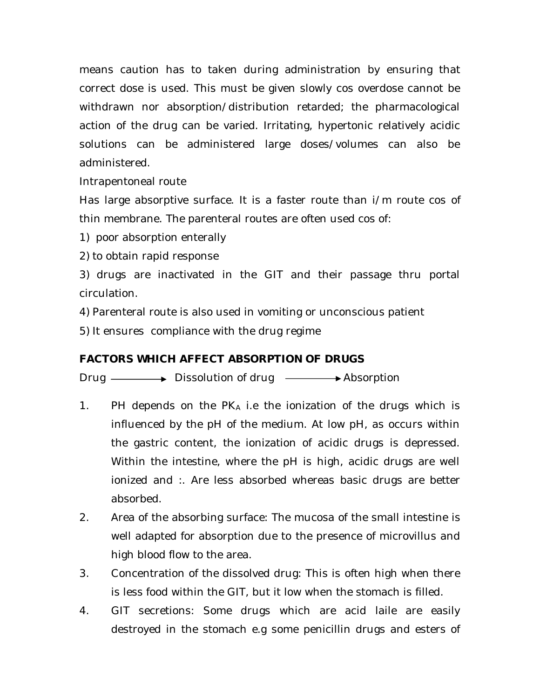means caution has to taken during administration by ensuring that correct dose is used. This must be given slowly cos overdose cannot be withdrawn nor absorption/distribution retarded; the pharmacological action of the drug can be varied. Irritating, hypertonic relatively acidic solutions can be administered large doses/volumes can also be administered.

Intrapentoneal route

Has large absorptive surface. It is a faster route than i/m route cos of thin membrane. The parenteral routes are often used cos of:

1) poor absorption enterally

2) to obtain rapid response

3) drugs are inactivated in the GIT and their passage thru portal circulation.

4) Parenteral route is also used in vomiting or unconscious patient

5) It ensures compliance with the drug regime

# **FACTORS WHICH AFFECT ABSORPTION OF DRUGS**

Drug Dissolution of drug Absorption

- 1. PH depends on the  $PK_A$  i.e the ionization of the drugs which is influenced by the pH of the medium. At low pH, as occurs within the gastric content, the ionization of acidic drugs is depressed. Within the intestine, where the pH is high, acidic drugs are well ionized and :. Are less absorbed whereas basic drugs are better absorbed.
- 2. Area of the absorbing surface: The mucosa of the small intestine is well adapted for absorption due to the presence of microvillus and high blood flow to the area.
- 3. Concentration of the dissolved drug: This is often high when there is less food within the GIT, but it low when the stomach is filled.
- 4. GIT secretions: Some drugs which are acid laile are easily destroyed in the stomach e.g some penicillin drugs and esters of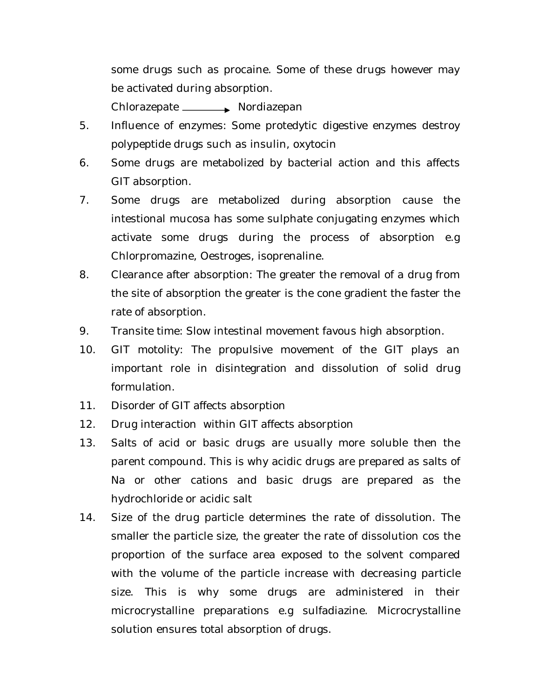some drugs such as procaine. Some of these drugs however may be activated during absorption.

Chlorazepate Nordiazepan

- 5. Influence of enzymes: Some protedytic digestive enzymes destroy polypeptide drugs such as insulin, oxytocin
- 6. Some drugs are metabolized by bacterial action and this affects GIT absorption.
- 7. Some drugs are metabolized during absorption cause the intestional mucosa has some sulphate conjugating enzymes which activate some drugs during the process of absorption e.g Chlorpromazine, Oestroges, isoprenaline.
- 8. Clearance after absorption: The greater the removal of a drug from the site of absorption the greater is the cone gradient the faster the rate of absorption.
- 9. Transite time: Slow intestinal movement favous high absorption.
- 10. GIT motolity: The propulsive movement of the GIT plays an important role in disintegration and dissolution of solid drug formulation.
- 11. Disorder of GIT affects absorption
- 12. Drug interaction within GIT affects absorption
- 13. Salts of acid or basic drugs are usually more soluble then the parent compound. This is why acidic drugs are prepared as salts of Na or other cations and basic drugs are prepared as the hydrochloride or acidic salt
- 14. Size of the drug particle determines the rate of dissolution. The smaller the particle size, the greater the rate of dissolution cos the proportion of the surface area exposed to the solvent compared with the volume of the particle increase with decreasing particle size. This is why some drugs are administered in their microcrystalline preparations e.g sulfadiazine. Microcrystalline solution ensures total absorption of drugs.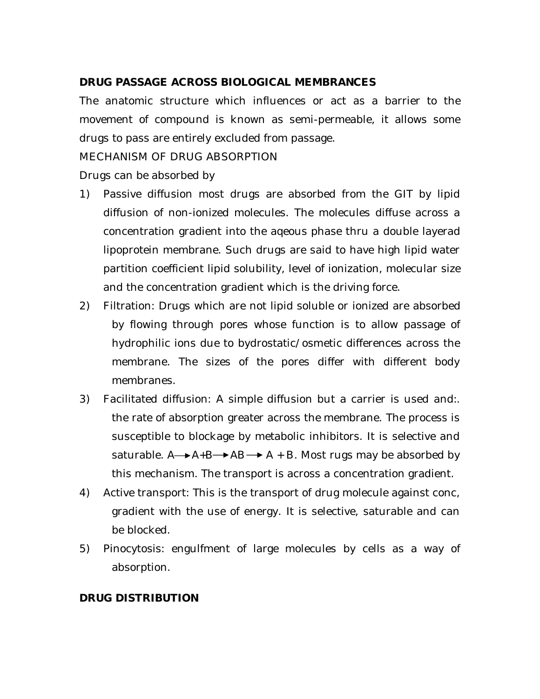# **DRUG PASSAGE ACROSS BIOLOGICAL MEMBRANCES**

The anatomic structure which influences or act as a barrier to the movement of compound is known as semi-permeable, it allows some drugs to pass are entirely excluded from passage.

#### MECHANISM OF DRUG ABSORPTION

Drugs can be absorbed by

- 1) Passive diffusion most drugs are absorbed from the GIT by lipid diffusion of non-ionized molecules. The molecules diffuse across a concentration gradient into the aqeous phase thru a double layerad lipoprotein membrane. Such drugs are said to have high lipid water partition coefficient lipid solubility, level of ionization, molecular size and the concentration gradient which is the driving force.
- 2) Filtration: Drugs which are not lipid soluble or ionized are absorbed by flowing through pores whose function is to allow passage of hydrophilic ions due to bydrostatic/osmetic differences across the membrane. The sizes of the pores differ with different body membranes.
- 3) Facilitated diffusion: A simple diffusion but a carrier is used and:. the rate of absorption greater across the membrane. The process is susceptible to blockage by metabolic inhibitors. It is selective and saturable.  $A \rightarrow A+B \rightarrow AB \rightarrow A + B$ . Most rugs may be absorbed by this mechanism. The transport is across a concentration gradient.
- 4) Active transport: This is the transport of drug molecule against conc, gradient with the use of energy. It is selective, saturable and can be blocked.
- 5) Pinocytosis: engulfment of large molecules by cells as a way of absorption.

#### **DRUG DISTRIBUTION**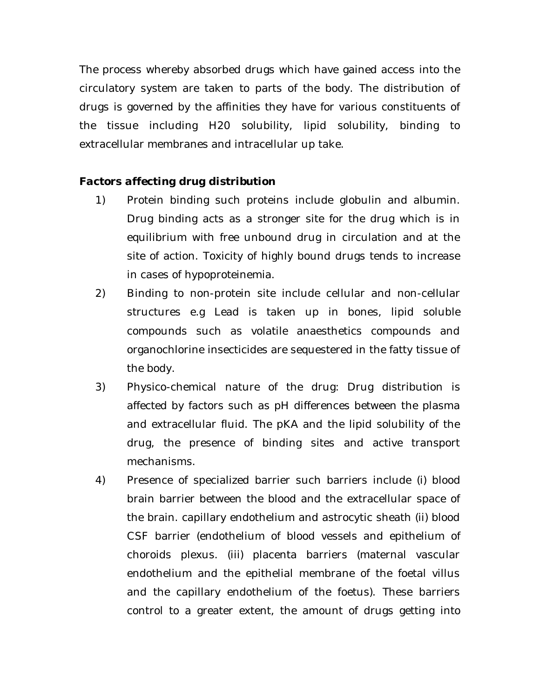The process whereby absorbed drugs which have gained access into the circulatory system are taken to parts of the body. The distribution of drugs is governed by the affinities they have for various constituents of the tissue including H20 solubility, lipid solubility, binding to extracellular membranes and intracellular up take.

# *Factors affecting drug distribution*

- 1) Protein binding such proteins include globulin and albumin. Drug binding acts as a stronger site for the drug which is in equilibrium with free unbound drug in circulation and at the site of action. Toxicity of highly bound drugs tends to increase in cases of hypoproteinemia.
- 2) Binding to non-protein site include cellular and non-cellular structures e.g Lead is taken up in bones, lipid soluble compounds such as volatile anaesthetics compounds and organochlorine insecticides are sequestered in the fatty tissue of the body.
- 3) Physico-chemical nature of the drug: Drug distribution is affected by factors such as pH differences between the plasma and extracellular fluid. The pKA and the lipid solubility of the drug, the presence of binding sites and active transport mechanisms.
- 4) Presence of specialized barrier such barriers include (i) blood brain barrier between the blood and the extracellular space of the brain. capillary endothelium and astrocytic sheath (ii) blood CSF barrier (endothelium of blood vessels and epithelium of choroids plexus. (iii) placenta barriers (maternal vascular endothelium and the epithelial membrane of the foetal villus and the capillary endothelium of the foetus). These barriers control to a greater extent, the amount of drugs getting into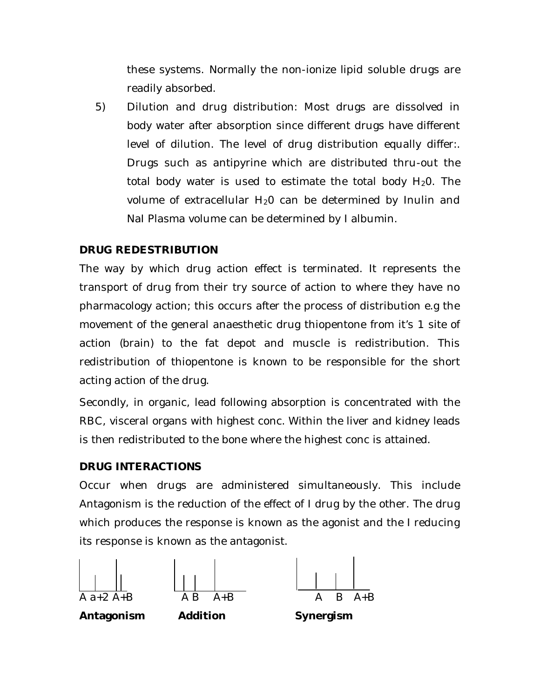these systems. Normally the non-ionize lipid soluble drugs are readily absorbed.

5) Dilution and drug distribution: Most drugs are dissolved in body water after absorption since different drugs have different level of dilution. The level of drug distribution equally differ:. Drugs such as antipyrine which are distributed thru-out the total body water is used to estimate the total body  $H_2O$ . The volume of extracellular  $H_2O$  can be determined by Inulin and NaI Plasma volume can be determined by I albumin.

# **DRUG REDESTRIBUTION**

The way by which drug action effect is terminated. It represents the transport of drug from their try source of action to where they have no pharmacology action; this occurs after the process of distribution e.g the movement of the general anaesthetic drug thiopentone from it's 1 site of action (brain) to the fat depot and muscle is redistribution. This redistribution of thiopentone is known to be responsible for the short acting action of the drug.

Secondly, in organic, lead following absorption is concentrated with the RBC, visceral organs with highest conc. Within the liver and kidney leads is then redistributed to the bone where the highest conc is attained.

# **DRUG INTERACTIONS**

Occur when drugs are administered simultaneously. This include Antagonism is the reduction of the effect of I drug by the other. The drug which produces the response is known as the agonist and the I reducing its response is known as the antagonist.







**Antagonism Addition Synergism**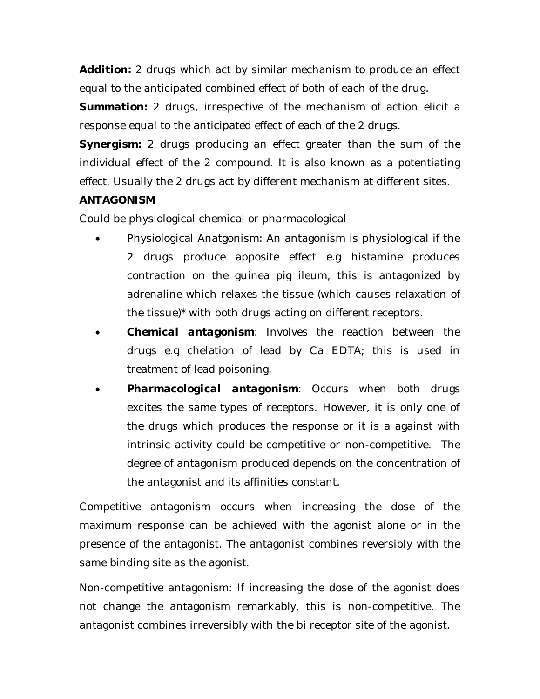*Addition:* 2 drugs which act by similar mechanism to produce an effect equal to the anticipated combined effect of both of each of the drug.

**Summation:** 2 drugs, irrespective of the mechanism of action elicit a response equal to the anticipated effect of each of the 2 drugs.

*Synergism:* 2 drugs producing an effect greater than the sum of the individual effect of the 2 compound. It is also known as a potentiating effect. Usually the 2 drugs act by different mechanism at different sites.

# **ANTAGONISM**

Could be physiological chemical or pharmacological

- Physiological Anatgonism: An antagonism is physiological if the 2 drugs produce apposite effect e.g histamine produces contraction on the guinea pig ileum, this is antagonized by adrenaline which relaxes the tissue (which causes relaxation of the tissue)\* with both drugs acting on different receptors.
- *Chemical antagonism*: Involves the reaction between the drugs e.g chelation of lead by Ca EDTA; this is used in treatment of lead poisoning.
- *Pharmacological antagonism*: Occurs when both drugs excites the same types of receptors. However, it is only one of the drugs which produces the response or it is a against with intrinsic activity could be competitive or non-competitive. The degree of antagonism produced depends on the concentration of the antagonist and its affinities constant.

Competitive antagonism occurs when increasing the dose of the maximum response can be achieved with the agonist alone or in the presence of the antagonist. The antagonist combines reversibly with the same binding site as the agonist.

Non-competitive antagonism: If increasing the dose of the agonist does not change the antagonism remarkably, this is non-competitive. The antagonist combines irreversibly with the bi receptor site of the agonist.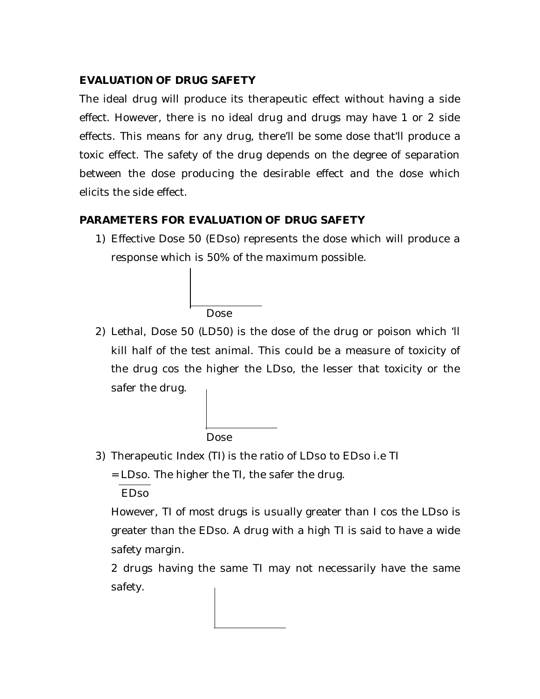# **EVALUATION OF DRUG SAFETY**

The ideal drug will produce its therapeutic effect without having a side effect. However, there is no ideal drug and drugs may have 1 or 2 side effects. This means for any drug, there'll be some dose that'll produce a toxic effect. The safety of the drug depends on the degree of separation between the dose producing the desirable effect and the dose which elicits the side effect.

# **PARAMETERS FOR EVALUATION OF DRUG SAFETY**

1) Effective Dose 50 (EDso) represents the dose which will produce a response which is 50% of the maximum possible.

Dose

2) Lethal, Dose 50 (LD50) is the dose of the drug or poison which 'll kill half of the test animal. This could be a measure of toxicity of the drug cos the higher the LDso, the lesser that toxicity or the safer the drug.

Dose

3) Therapeutic Index (TI) is the ratio of LDso to EDso i.e TI

= LDso. The higher the TI, the safer the drug.

EDso

However, TI of most drugs is usually greater than I cos the LDso is greater than the EDso. A drug with a high TI is said to have a wide safety margin.

2 drugs having the same TI may not necessarily have the same safety.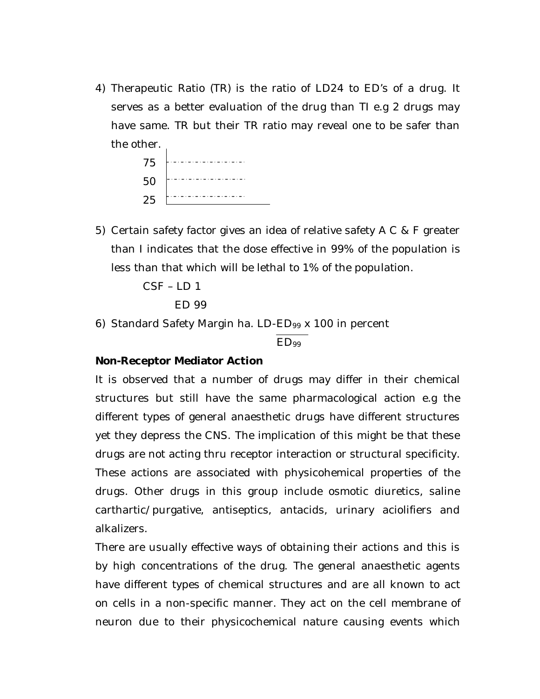4) Therapeutic Ratio (TR) is the ratio of LD24 to ED's of a drug. It serves as a better evaluation of the drug than TI e.g 2 drugs may have same. TR but their TR ratio may reveal one to be safer than the other.

| 75 |  |
|----|--|
| 50 |  |
| 25 |  |

5) Certain safety factor gives an idea of relative safety A C & F greater than I indicates that the dose effective in 99% of the population is less than that which will be lethal to 1% of the population.

CSF – LD 1

```
ED 99
```
6) Standard Safety Margin ha. LD-ED<sup>99</sup> x 100 in percent

ED<sup>99</sup>

#### **Non-Receptor Mediator Action**

It is observed that a number of drugs may differ in their chemical structures but still have the same pharmacological action e.g the different types of general anaesthetic drugs have different structures yet they depress the CNS. The implication of this might be that these drugs are not acting thru receptor interaction or structural specificity. These actions are associated with physicohemical properties of the drugs. Other drugs in this group include osmotic diuretics, saline carthartic/purgative, antiseptics, antacids, urinary aciolifiers and alkalizers.

There are usually effective ways of obtaining their actions and this is by high concentrations of the drug. The general anaesthetic agents have different types of chemical structures and are all known to act on cells in a non-specific manner. They act on the cell membrane of neuron due to their physicochemical nature causing events which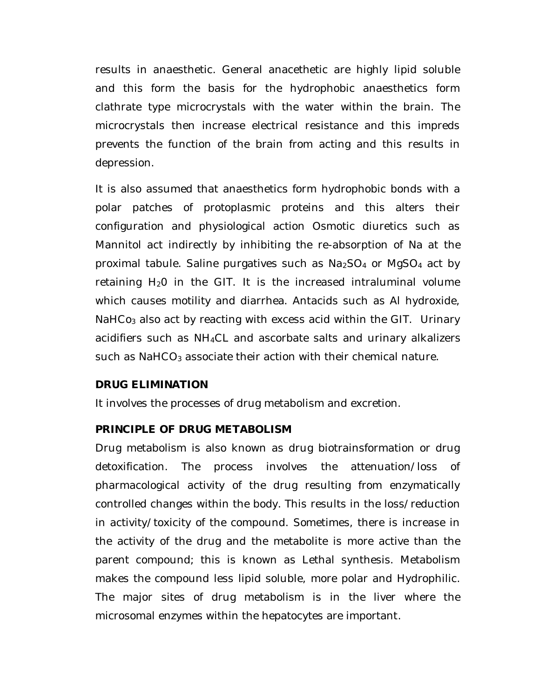results in anaesthetic. General anacethetic are highly lipid soluble and this form the basis for the hydrophobic anaesthetics form clathrate type microcrystals with the water within the brain. The microcrystals then increase electrical resistance and this impreds prevents the function of the brain from acting and this results in depression.

It is also assumed that anaesthetics form hydrophobic bonds with a polar patches of protoplasmic proteins and this alters their configuration and physiological action Osmotic diuretics such as Mannitol act indirectly by inhibiting the re-absorption of Na at the proximal tabule. Saline purgatives such as  $Na<sub>2</sub>SO<sub>4</sub>$  or MgSO<sub>4</sub> act by retaining  $H_2O$  in the GIT. It is the increased intraluminal volume which causes motility and diarrhea. Antacids such as Al hydroxide, NaHCo<sub>3</sub> also act by reacting with excess acid within the GIT. Urinary acidifiers such as NH4CL and ascorbate salts and urinary alkalizers such as  $NaHCO<sub>3</sub>$  associate their action with their chemical nature.

#### **DRUG ELIMINATION**

It involves the processes of drug metabolism and excretion.

#### **PRINCIPLE OF DRUG METABOLISM**

Drug metabolism is also known as drug biotrainsformation or drug detoxification. The process involves the attenuation/loss of pharmacological activity of the drug resulting from enzymatically controlled changes within the body. This results in the loss/reduction in activity/toxicity of the compound. Sometimes, there is increase in the activity of the drug and the metabolite is more active than the parent compound; this is known as Lethal synthesis. Metabolism makes the compound less lipid soluble, more polar and Hydrophilic. The major sites of drug metabolism is in the liver where the microsomal enzymes within the hepatocytes are important.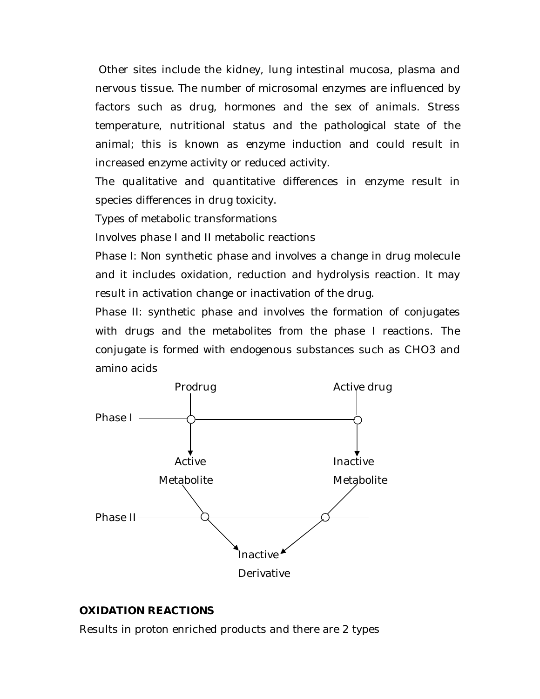Other sites include the kidney, lung intestinal mucosa, plasma and nervous tissue. The number of microsomal enzymes are influenced by factors such as drug, hormones and the sex of animals. Stress temperature, nutritional status and the pathological state of the animal; this is known as enzyme induction and could result in increased enzyme activity or reduced activity.

The qualitative and quantitative differences in enzyme result in species differences in drug toxicity.

Types of metabolic transformations

Involves phase I and II metabolic reactions

Phase I: Non synthetic phase and involves a change in drug molecule and it includes oxidation, reduction and hydrolysis reaction. It may result in activation change or inactivation of the drug.

Phase II: synthetic phase and involves the formation of conjugates with drugs and the metabolites from the phase I reactions. The conjugate is formed with endogenous substances such as CHO3 and amino acids



#### **OXIDATION REACTIONS**

Results in proton enriched products and there are 2 types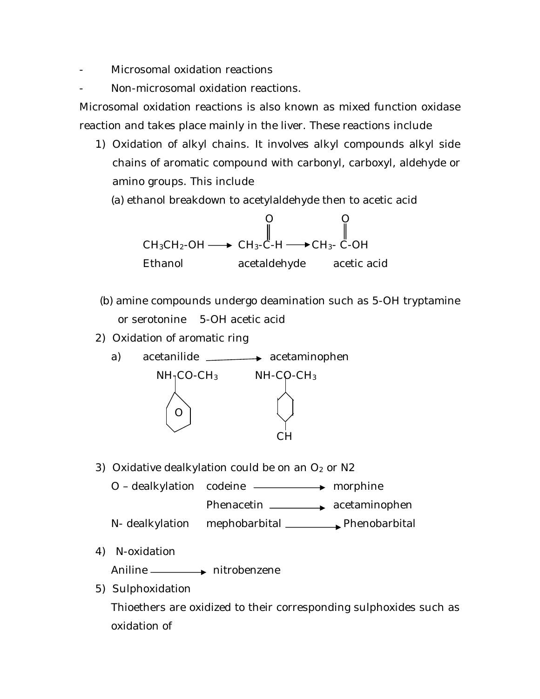- Microsomal oxidation reactions

Non-microsomal oxidation reactions.

Microsomal oxidation reactions is also known as mixed function oxidase reaction and takes place mainly in the liver. These reactions include

1) Oxidation of alkyl chains. It involves alkyl compounds alkyl side chains of aromatic compound with carbonyl, carboxyl, aldehyde or amino groups. This include

(a) ethanol breakdown to acetylaldehyde then to acetic acid



- (b) amine compounds undergo deamination such as 5-OH tryptamine or serotonine 5-OH acetic acid
- 2) Oxidation of aromatic ring
	- a) acetanilide **acetaminophen**  $NH<sub>1</sub>CO-CH<sub>3</sub>$  NH-CO-CH<sub>3</sub> O CH
- 3) Oxidative dealkylation could be on an  $O<sub>2</sub>$  or N2
	- $O -$  dealkylation codeine  $\longrightarrow$  morphine Phenacetin **All acetaminophen**
	- N- dealkylation mephobarbital \_\_\_\_\_\_\_\_\_ Phenobarbital
- 4) N-oxidation

Aniline <u>- hitrobenzene</u>

5) Sulphoxidation

Thioethers are oxidized to their corresponding sulphoxides such as oxidation of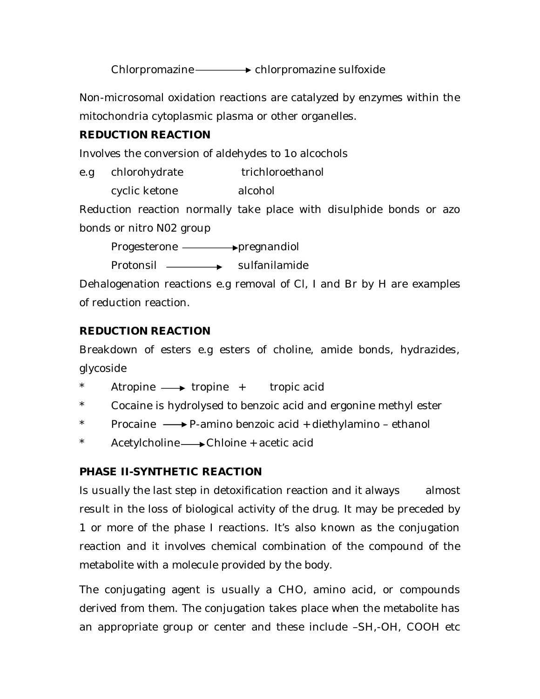Chlorpromazine — > chlorpromazine sulfoxide

Non-microsomal oxidation reactions are catalyzed by enzymes within the mitochondria cytoplasmic plasma or other organelles.

# **REDUCTION REACTION**

Involves the conversion of aldehydes to 1o alcochols

e.g chlorohydrate trichloroethanol

cyclic ketone alcohol

Reduction reaction normally take place with disulphide bonds or azo bonds or nitro N02 group

Progesterone **- pregnandiol** 

Protonsil **sulfanilamide** 

Dehalogenation reactions e.g removal of Cl, I and Br by H are examples of reduction reaction.

# **REDUCTION REACTION**

Breakdown of esters e.g esters of choline, amide bonds, hydrazides, glycoside

- Atropine  $\longrightarrow$  tropine + tropic acid
- Cocaine is hydrolysed to benzoic acid and ergonine methyl ester
- $Procaine \longrightarrow P$ -amino benzoic acid + diethylamino ethanol
- \* Acetylcholine Chloine + acetic acid

# **PHASE II-SYNTHETIC REACTION**

Is usually the last step in detoxification reaction and it always almost result in the loss of biological activity of the drug. It may be preceded by 1 or more of the phase I reactions. It's also known as the conjugation reaction and it involves chemical combination of the compound of the metabolite with a molecule provided by the body.

The conjugating agent is usually a CHO, amino acid, or compounds derived from them. The conjugation takes place when the metabolite has an appropriate group or center and these include –SH,-OH, COOH etc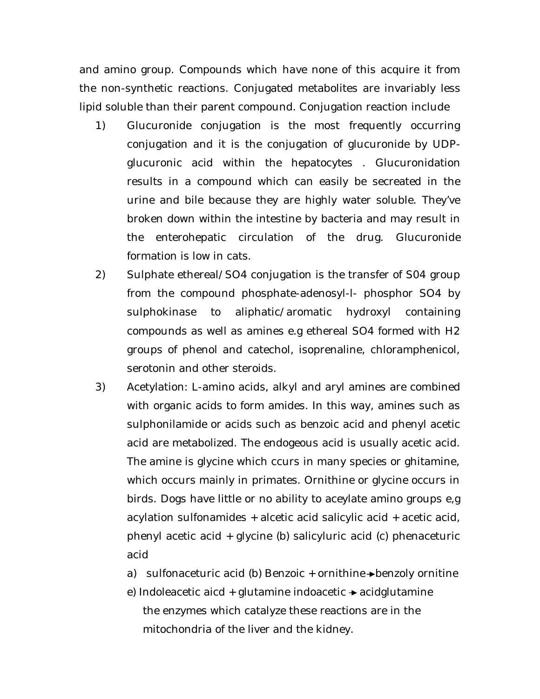and amino group. Compounds which have none of this acquire it from the non-synthetic reactions. Conjugated metabolites are invariably less lipid soluble than their parent compound. Conjugation reaction include

- 1) Glucuronide conjugation is the most frequently occurring conjugation and it is the conjugation of glucuronide by UDPglucuronic acid within the hepatocytes . Glucuronidation results in a compound which can easily be secreated in the urine and bile because they are highly water soluble. They've broken down within the intestine by bacteria and may result in the enterohepatic circulation of the drug. Glucuronide formation is low in cats.
- 2) Sulphate ethereal/SO4 conjugation is the transfer of S04 group from the compound phosphate-adenosyl-l- phosphor SO4 by sulphokinase to aliphatic/aromatic hydroxyl containing compounds as well as amines e.g ethereal SO4 formed with H2 groups of phenol and catechol, isoprenaline, chloramphenicol, serotonin and other steroids.
- 3) Acetylation: L-amino acids, alkyl and aryl amines are combined with organic acids to form amides. In this way, amines such as sulphonilamide or acids such as benzoic acid and phenyl acetic acid are metabolized. The endogeous acid is usually acetic acid. The amine is glycine which ccurs in many species or ghitamine, which occurs mainly in primates. Ornithine or glycine occurs in birds. Dogs have little or no ability to aceylate amino groups e,g acylation sulfonamides + alcetic acid salicylic acid + acetic acid, phenyl acetic acid + glycine (b) salicyluric acid (c) phenaceturic acid
	- a) sulfonaceturic acid (b) Benzoic  $+$  ornithine  $\rightarrow$  benzoly ornitine
	- e) Indoleacetic aicd + glutamine indoacetic  $\rightarrow$  acidglutamine the enzymes which catalyze these reactions are in the mitochondria of the liver and the kidney.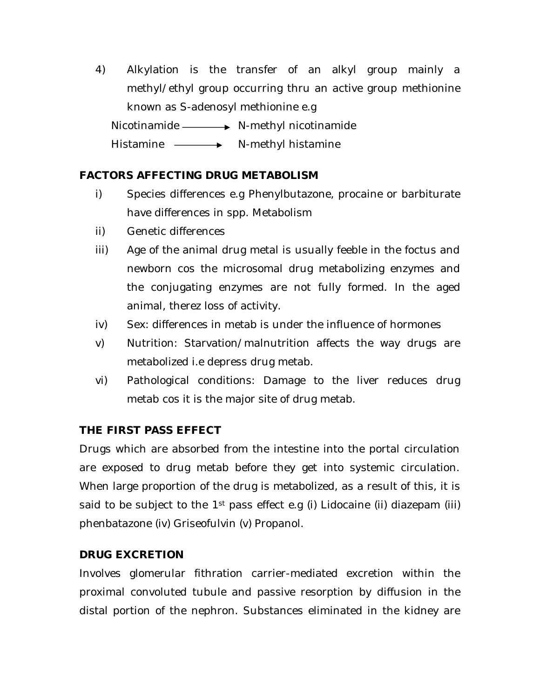4) Alkylation is the transfer of an alkyl group mainly a methyl/ethyl group occurring thru an active group methionine known as S-adenosyl methionine e.g Nicotinamide **N**-methyl nicotinamide Histamine ——**>** N-methyl histamine

### **FACTORS AFFECTING DRUG METABOLISM**

- i) Species differences e.g Phenylbutazone, procaine or barbiturate have differences in spp. Metabolism
- ii) Genetic differences
- iii) Age of the animal drug metal is usually feeble in the foctus and newborn cos the microsomal drug metabolizing enzymes and the conjugating enzymes are not fully formed. In the aged animal, therez loss of activity.
- iv) Sex: differences in metab is under the influence of hormones
- v) Nutrition: Starvation/malnutrition affects the way drugs are metabolized i.e depress drug metab.
- vi) Pathological conditions: Damage to the liver reduces drug metab cos it is the major site of drug metab.

#### **THE FIRST PASS EFFECT**

Drugs which are absorbed from the intestine into the portal circulation are exposed to drug metab before they get into systemic circulation. When large proportion of the drug is metabolized, as a result of this, it is said to be subject to the  $1<sup>st</sup>$  pass effect e.g (i) Lidocaine (ii) diazepam (iii) phenbatazone (iv) Griseofulvin (v) Propanol.

#### **DRUG EXCRETION**

Involves glomerular fithration carrier-mediated excretion within the proximal convoluted tubule and passive resorption by diffusion in the distal portion of the nephron. Substances eliminated in the kidney are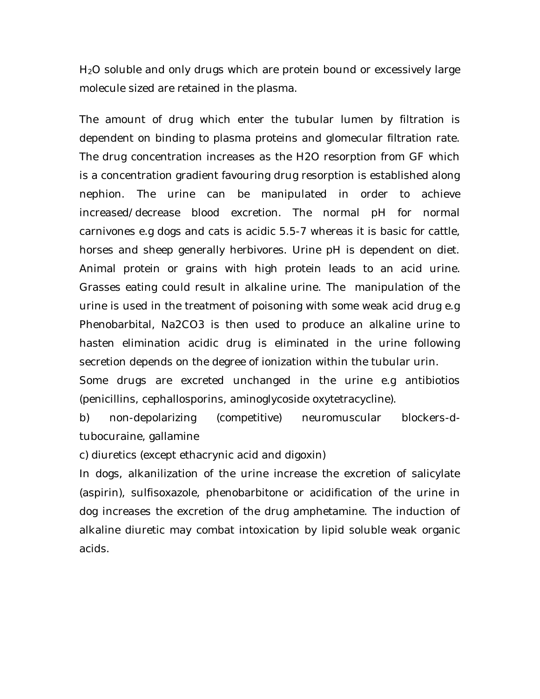H<sub>2</sub>O soluble and only drugs which are protein bound or excessively large molecule sized are retained in the plasma.

The amount of drug which enter the tubular lumen by filtration is dependent on binding to plasma proteins and glomecular filtration rate. The drug concentration increases as the H2O resorption from GF which is a concentration gradient favouring drug resorption is established along nephion. The urine can be manipulated in order to achieve increased/decrease blood excretion. The normal pH for normal carnivones e.g dogs and cats is acidic 5.5-7 whereas it is basic for cattle, horses and sheep generally herbivores. Urine pH is dependent on diet. Animal protein or grains with high protein leads to an acid urine. Grasses eating could result in alkaline urine. The manipulation of the urine is used in the treatment of poisoning with some weak acid drug e.g Phenobarbital, Na2CO3 is then used to produce an alkaline urine to hasten elimination acidic drug is eliminated in the urine following secretion depends on the degree of ionization within the tubular urin.

Some drugs are excreted unchanged in the urine e.g antibiotios (penicillins, cephallosporins, aminoglycoside oxytetracycline).

b) non-depolarizing (competitive) neuromuscular blockers-dtubocuraine, gallamine

c) diuretics (except ethacrynic acid and digoxin)

In dogs, alkanilization of the urine increase the excretion of salicylate (aspirin), sulfisoxazole, phenobarbitone or acidification of the urine in dog increases the excretion of the drug amphetamine. The induction of alkaline diuretic may combat intoxication by lipid soluble weak organic acids.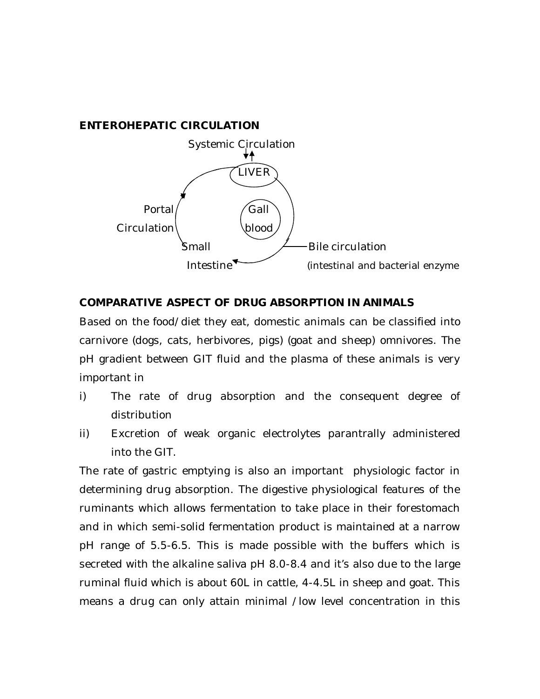#### **ENTEROHEPATIC CIRCULATION**



#### **COMPARATIVE ASPECT OF DRUG ABSORPTION IN ANIMALS**

Based on the food/diet they eat, domestic animals can be classified into carnivore (dogs, cats, herbivores, pigs) (goat and sheep) omnivores. The pH gradient between GIT fluid and the plasma of these animals is very important in

- i) The rate of drug absorption and the consequent degree of distribution
- ii) Excretion of weak organic electrolytes parantrally administered into the GIT.

The rate of gastric emptying is also an important physiologic factor in determining drug absorption. The digestive physiological features of the ruminants which allows fermentation to take place in their forestomach and in which semi-solid fermentation product is maintained at a narrow pH range of 5.5-6.5. This is made possible with the buffers which is secreted with the alkaline saliva pH 8.0-8.4 and it's also due to the large ruminal fluid which is about 60L in cattle, 4-4.5L in sheep and goat. This means a drug can only attain minimal /low level concentration in this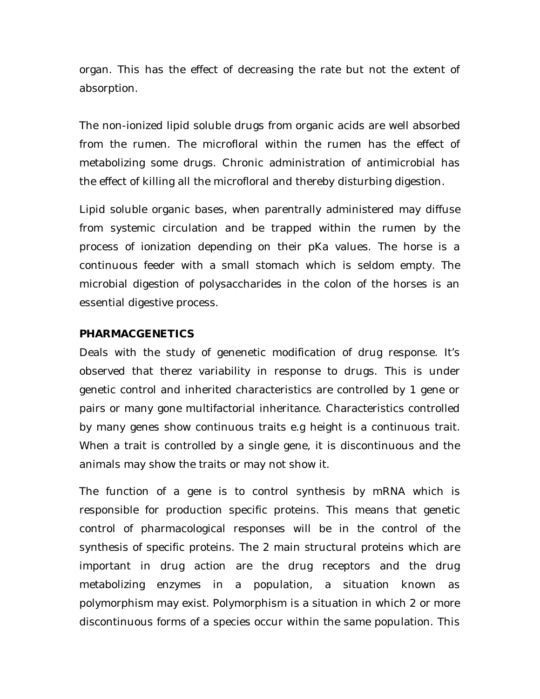organ. This has the effect of decreasing the rate but not the extent of absorption.

The non-ionized lipid soluble drugs from organic acids are well absorbed from the rumen. The microfloral within the rumen has the effect of metabolizing some drugs. Chronic administration of antimicrobial has the effect of killing all the microfloral and thereby disturbing digestion.

Lipid soluble organic bases, when parentrally administered may diffuse from systemic circulation and be trapped within the rumen by the process of ionization depending on their pKa values. The horse is a continuous feeder with a small stomach which is seldom empty. The microbial digestion of polysaccharides in the colon of the horses is an essential digestive process.

#### **PHARMACGENETICS**

Deals with the study of genenetic modification of drug response. It's observed that therez variability in response to drugs. This is under genetic control and inherited characteristics are controlled by 1 gene or pairs or many gone multifactorial inheritance. Characteristics controlled by many genes show continuous traits e.g height is a continuous trait. When a trait is controlled by a single gene, it is discontinuous and the animals may show the traits or may not show it.

The function of a gene is to control synthesis by mRNA which is responsible for production specific proteins. This means that genetic control of pharmacological responses will be in the control of the synthesis of specific proteins. The 2 main structural proteins which are important in drug action are the drug receptors and the drug metabolizing enzymes in a population, a situation known as polymorphism may exist. Polymorphism is a situation in which 2 or more discontinuous forms of a species occur within the same population. This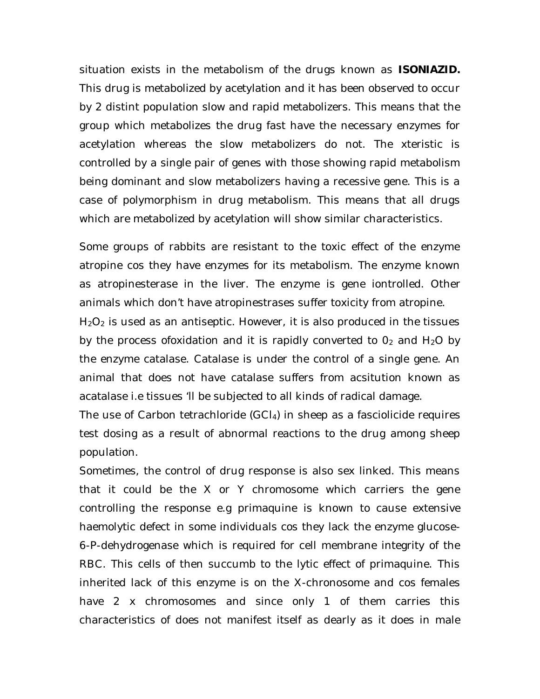situation exists in the metabolism of the drugs known as **ISONIAZID.** This drug is metabolized by acetylation and it has been observed to occur by 2 distint population slow and rapid metabolizers. This means that the group which metabolizes the drug fast have the necessary enzymes for acetylation whereas the slow metabolizers do not. The xteristic is controlled by a single pair of genes with those showing rapid metabolism being dominant and slow metabolizers having a recessive gene. This is a case of polymorphism in drug metabolism. This means that all drugs which are metabolized by acetylation will show similar characteristics.

Some groups of rabbits are resistant to the toxic effect of the enzyme atropine cos they have enzymes for its metabolism. The enzyme known as atropinesterase in the liver. The enzyme is gene iontrolled. Other animals which don't have atropinestrases suffer toxicity from atropine.

 $H<sub>2</sub>O<sub>2</sub>$  is used as an antiseptic. However, it is also produced in the tissues by the process ofoxidation and it is rapidly converted to  $O<sub>2</sub>$  and H<sub>2</sub>O by the enzyme catalase. Catalase is under the control of a single gene. An animal that does not have catalase suffers from acsitution known as acatalase i.e tissues 'll be subjected to all kinds of radical damage.

The use of Carbon tetrachloride (GCI<sub>4</sub>) in sheep as a fasciolicide requires test dosing as a result of abnormal reactions to the drug among sheep population.

Sometimes, the control of drug response is also sex linked. This means that it could be the X or Y chromosome which carriers the gene controlling the response e.g primaquine is known to cause extensive haemolytic defect in some individuals cos they lack the enzyme glucose-6-P-dehydrogenase which is required for cell membrane integrity of the RBC. This cells of then succumb to the lytic effect of primaquine. This inherited lack of this enzyme is on the X-chronosome and cos females have 2 x chromosomes and since only 1 of them carries this characteristics of does not manifest itself as dearly as it does in male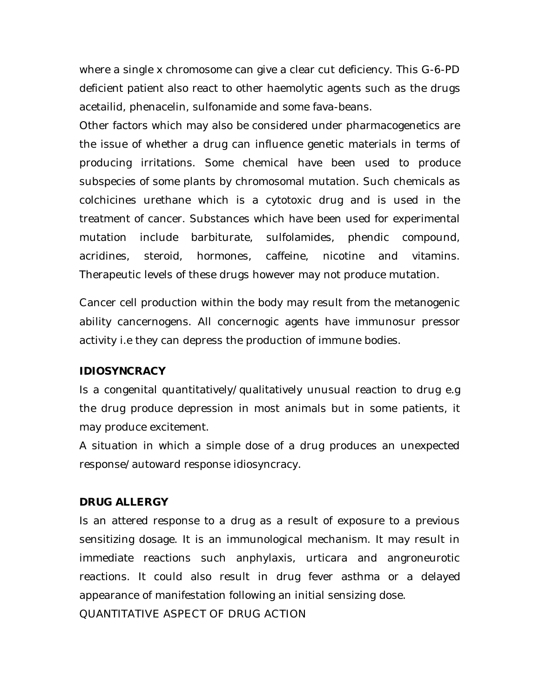where a single x chromosome can give a clear cut deficiency. This G-6-PD deficient patient also react to other haemolytic agents such as the drugs acetailid, phenacelin, sulfonamide and some fava-beans.

Other factors which may also be considered under pharmacogenetics are the issue of whether a drug can influence genetic materials in terms of producing irritations. Some chemical have been used to produce subspecies of some plants by chromosomal mutation. Such chemicals as colchicines urethane which is a cytotoxic drug and is used in the treatment of cancer. Substances which have been used for experimental mutation include barbiturate, sulfolamides, phendic compound, acridines, steroid, hormones, caffeine, nicotine and vitamins. Therapeutic levels of these drugs however may not produce mutation.

Cancer cell production within the body may result from the metanogenic ability cancernogens. All concernogic agents have immunosur pressor activity i.e they can depress the production of immune bodies.

#### **IDIOSYNCRACY**

Is a congenital quantitatively/qualitatively unusual reaction to drug e.g the drug produce depression in most animals but in some patients, it may produce excitement.

A situation in which a simple dose of a drug produces an unexpected response/autoward response idiosyncracy.

#### **DRUG ALLERGY**

Is an attered response to a drug as a result of exposure to a previous sensitizing dosage. It is an immunological mechanism. It may result in immediate reactions such anphylaxis, urticara and angroneurotic reactions. It could also result in drug fever asthma or a delayed appearance of manifestation following an initial sensizing dose.

QUANTITATIVE ASPECT OF DRUG ACTION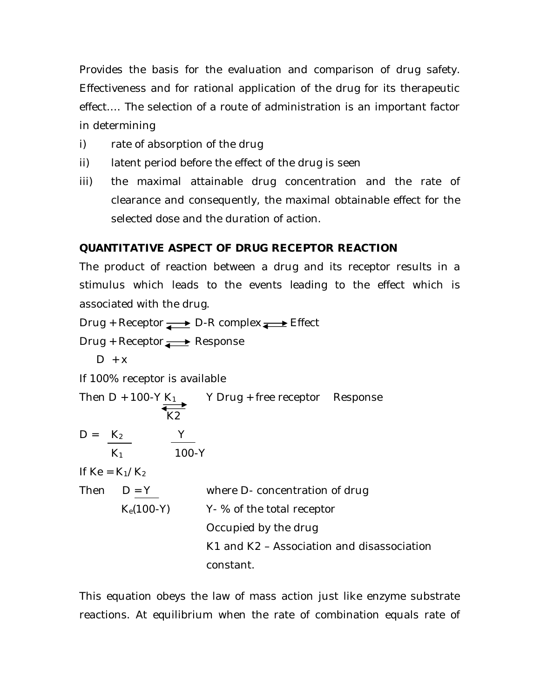Provides the basis for the evaluation and comparison of drug safety. Effectiveness and for rational application of the drug for its therapeutic effect…. The selection of a route of administration is an important factor in determining

- i) rate of absorption of the drug
- ii) latent period before the effect of the drug is seen
- iii) the maximal attainable drug concentration and the rate of clearance and consequently, the maximal obtainable effect for the selected dose and the duration of action.

# **QUANTITATIVE ASPECT OF DRUG RECEPTOR REACTION**

The product of reaction between a drug and its receptor results in a stimulus which leads to the events leading to the effect which is associated with the drug.

Drug + Receptor  $\longrightarrow$  D-R complex  $\longrightarrow$  Effect

Drug + Receptor **Response** 

$$
D + x
$$

If 100% receptor is available

|                   | Then D + 100-Y $K_1$<br>K <sub>2</sub> | Y Drug + free receptor Response            |
|-------------------|----------------------------------------|--------------------------------------------|
| $D = K_2$         | $K_1$                                  | $100 - Y$                                  |
| If $Ke = K_1/K_2$ |                                        |                                            |
| Then $D = Y$      |                                        | where D- concentration of drug             |
|                   | $K_e(100-Y)$                           | Y-% of the total receptor                  |
|                   |                                        | Occupied by the drug                       |
|                   |                                        | K1 and K2 – Association and disassociation |
|                   |                                        | constant.                                  |

This equation obeys the law of mass action just like enzyme substrate reactions. At equilibrium when the rate of combination equals rate of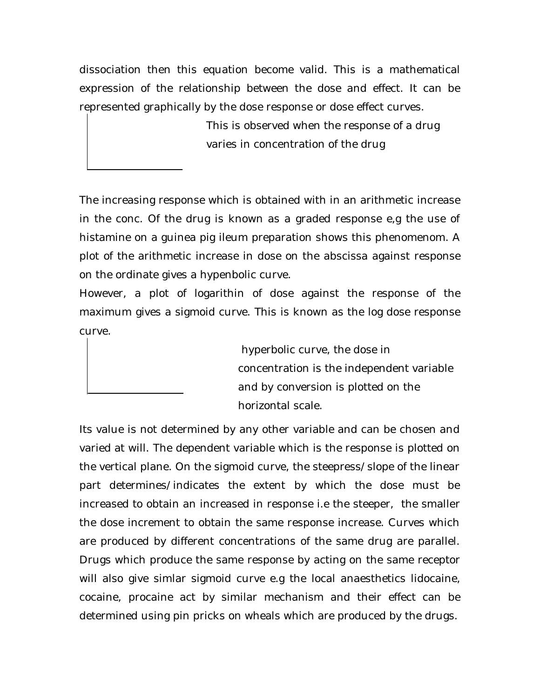dissociation then this equation become valid. This is a mathematical expression of the relationship between the dose and effect. It can be represented graphically by the dose response or dose effect curves.

> This is observed when the response of a drug varies in concentration of the drug

The increasing response which is obtained with in an arithmetic increase in the conc. Of the drug is known as a graded response e,g the use of histamine on a guinea pig ileum preparation shows this phenomenom. A plot of the arithmetic increase in dose on the abscissa against response on the ordinate gives a hypenbolic curve.

However, a plot of logarithin of dose against the response of the maximum gives a sigmoid curve. This is known as the log dose response curve.

> hyperbolic curve, the dose in concentration is the independent variable and by conversion is plotted on the horizontal scale.

Its value is not determined by any other variable and can be chosen and varied at will. The dependent variable which is the response is plotted on the vertical plane. On the sigmoid curve, the steepress/slope of the linear part determines/indicates the extent by which the dose must be increased to obtain an increased in response i.e the steeper, the smaller the dose increment to obtain the same response increase. Curves which are produced by different concentrations of the same drug are parallel. Drugs which produce the same response by acting on the same receptor will also give simlar sigmoid curve e.g the local anaesthetics lidocaine, cocaine, procaine act by similar mechanism and their effect can be determined using pin pricks on wheals which are produced by the drugs.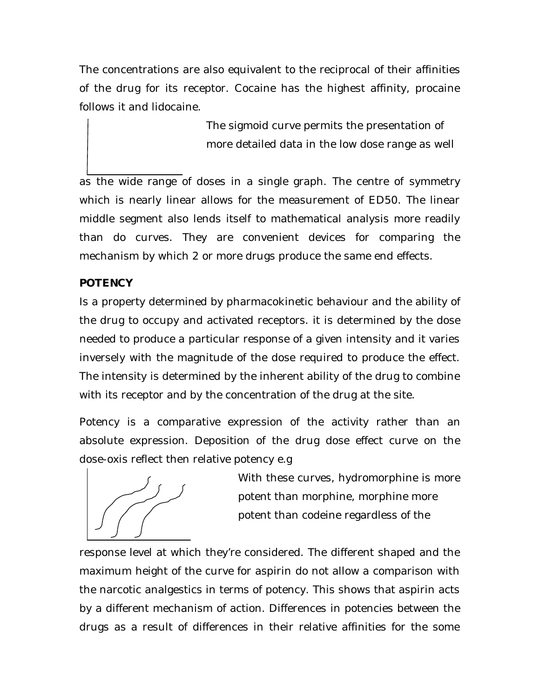The concentrations are also equivalent to the reciprocal of their affinities of the drug for its receptor. Cocaine has the highest affinity, procaine follows it and lidocaine.

> The sigmoid curve permits the presentation of more detailed data in the low dose range as well

as the wide range of doses in a single graph. The centre of symmetry which is nearly linear allows for the measurement of ED50. The linear middle segment also lends itself to mathematical analysis more readily than do curves. They are convenient devices for comparing the mechanism by which 2 or more drugs produce the same end effects.

## **POTENCY**

Is a property determined by pharmacokinetic behaviour and the ability of the drug to occupy and activated receptors. it is determined by the dose needed to produce a particular response of a given intensity and it varies inversely with the magnitude of the dose required to produce the effect. The intensity is determined by the inherent ability of the drug to combine with its receptor and by the concentration of the drug at the site.

Potency is a comparative expression of the activity rather than an absolute expression. Deposition of the drug dose effect curve on the dose-oxis reflect then relative potency e.g



With these curves, hydromorphine is more potent than morphine, morphine more potent than codeine regardless of the

response level at which they're considered. The different shaped and the maximum height of the curve for aspirin do not allow a comparison with the narcotic analgestics in terms of potency. This shows that aspirin acts by a different mechanism of action. Differences in potencies between the drugs as a result of differences in their relative affinities for the some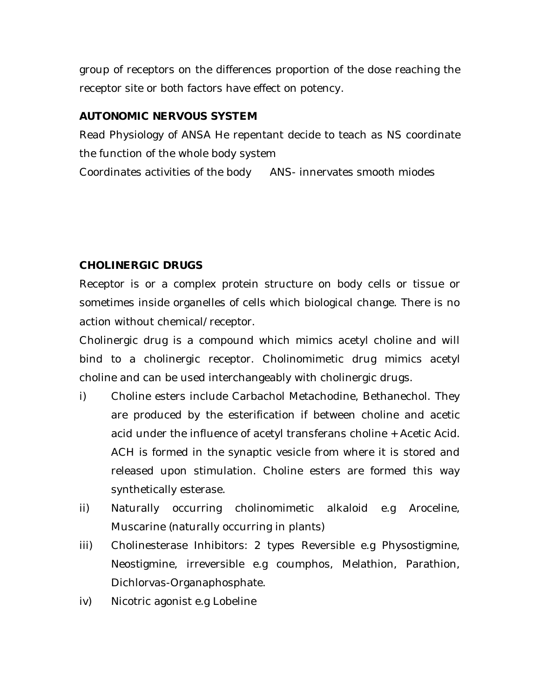group of receptors on the differences proportion of the dose reaching the receptor site or both factors have effect on potency.

## **AUTONOMIC NERVOUS SYSTEM**

Read Physiology of ANSA He repentant decide to teach as NS coordinate the function of the whole body system Coordinates activities of the body ANS- innervates smooth miodes

#### **CHOLINERGIC DRUGS**

Receptor is or a complex protein structure on body cells or tissue or sometimes inside organelles of cells which biological change. There is no action without chemical/receptor.

Cholinergic drug is a compound which mimics acetyl choline and will bind to a cholinergic receptor. Cholinomimetic drug mimics acetyl choline and can be used interchangeably with cholinergic drugs.

- i) Choline esters include Carbachol Metachodine, Bethanechol. They are produced by the esterification if between choline and acetic acid under the influence of acetyl transferans choline + Acetic Acid. ACH is formed in the synaptic vesicle from where it is stored and released upon stimulation. Choline esters are formed this way synthetically esterase.
- ii) Naturally occurring cholinomimetic alkaloid e.g Aroceline, Muscarine (naturally occurring in plants)
- iii) Cholinesterase Inhibitors: 2 types Reversible e.g Physostigmine, Neostigmine, irreversible e.g coumphos, Melathion, Parathion, Dichlorvas-Organaphosphate.
- iv) Nicotric agonist e.g Lobeline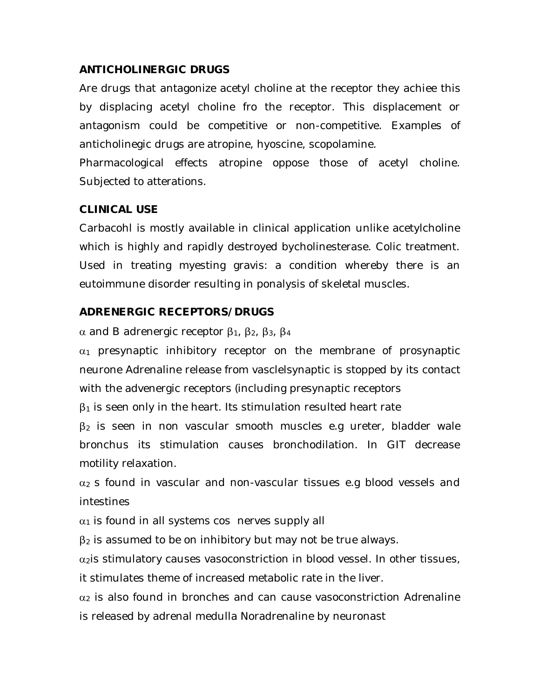#### **ANTICHOLINERGIC DRUGS**

Are drugs that antagonize acetyl choline at the receptor they achiee this by displacing acetyl choline fro the receptor. This displacement or antagonism could be competitive or non-competitive. Examples of anticholinegic drugs are atropine, hyoscine, scopolamine.

Pharmacological effects atropine oppose those of acetyl choline. Subjected to atterations.

#### **CLINICAL USE**

Carbacohl is mostly available in clinical application unlike acetylcholine which is highly and rapidly destroyed bycholinesterase. Colic treatment. Used in treating myesting gravis: a condition whereby there is an eutoimmune disorder resulting in ponalysis of skeletal muscles.

#### **ADRENERGIC RECEPTORS/DRUGS**

 $\alpha$  and B adrenergic receptor  $\beta_1$ ,  $\beta_2$ ,  $\beta_3$ ,  $\beta_4$ 

 $\alpha_1$  presynaptic inhibitory receptor on the membrane of prosynaptic neurone Adrenaline release from vasclelsynaptic is stopped by its contact with the advenergic receptors (including presynaptic receptors

 $\beta_1$  is seen only in the heart. Its stimulation resulted heart rate

 $\beta_2$  is seen in non vascular smooth muscles e.g ureter, bladder wale bronchus its stimulation causes bronchodilation. In GIT decrease motility relaxation.

 $\alpha_2$  s found in vascular and non-vascular tissues e.g blood vessels and intestines

 $\alpha_1$  is found in all systems cos nerves supply all

 $\beta_2$  is assumed to be on inhibitory but may not be true always.

 $\alpha_2$  is stimulatory causes vasoconstriction in blood vessel. In other tissues,

it stimulates theme of increased metabolic rate in the liver.

 $\alpha_2$  is also found in bronches and can cause vasoconstriction Adrenaline is released by adrenal medulla Noradrenaline by neuronast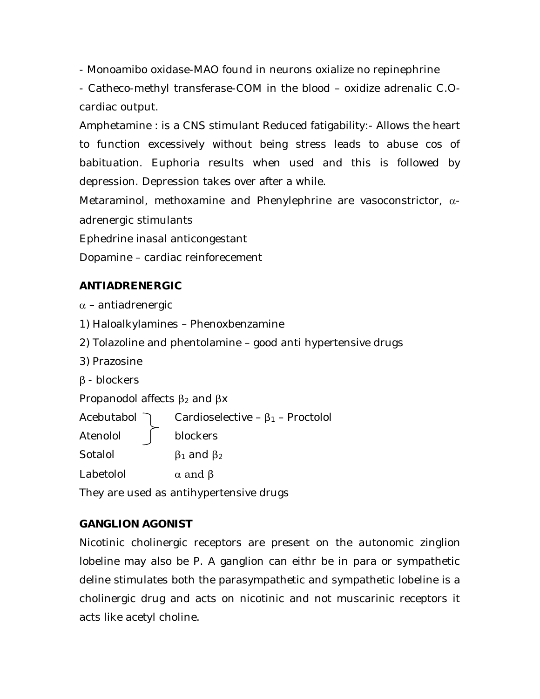- Monoamibo oxidase-MAO found in neurons oxialize no repinephrine

- Catheco-methyl transferase-COM in the blood – oxidize adrenalic C.Ocardiac output.

Amphetamine : is a CNS stimulant Reduced fatigability:- Allows the heart to function excessively without being stress leads to abuse cos of babituation. Euphoria results when used and this is followed by depression. Depression takes over after a while.

Metaraminol, methoxamine and Phenylephrine are vasoconstrictor,  $\alpha$ adrenergic stimulants

Ephedrine inasal anticongestant

Dopamine – cardiac reinforecement

## **ANTIADRENERGIC**

 $\alpha$  – antiadrenergic

- 1) Haloalkylamines Phenoxbenzamine
- 2) Tolazoline and phentolamine good anti hypertensive drugs
- 3) Prazosine
- β blockers

Propanodol affects  $β_2$  and  $βx$ 

Acebutabol  $\bigcap$  Cardioselective –  $\beta_1$  – Proctolol

Atenolol blockers

Sotalol  $\beta_1$  and  $\beta_2$ 

Labetolol  $\alpha$  and  $\beta$ 

They are used as antihypertensive drugs

## **GANGLION AGONIST**

Nicotinic cholinergic receptors are present on the autonomic zinglion lobeline may also be P. A ganglion can eithr be in para or sympathetic deline stimulates both the parasympathetic and sympathetic lobeline is a cholinergic drug and acts on nicotinic and not muscarinic receptors it acts like acetyl choline.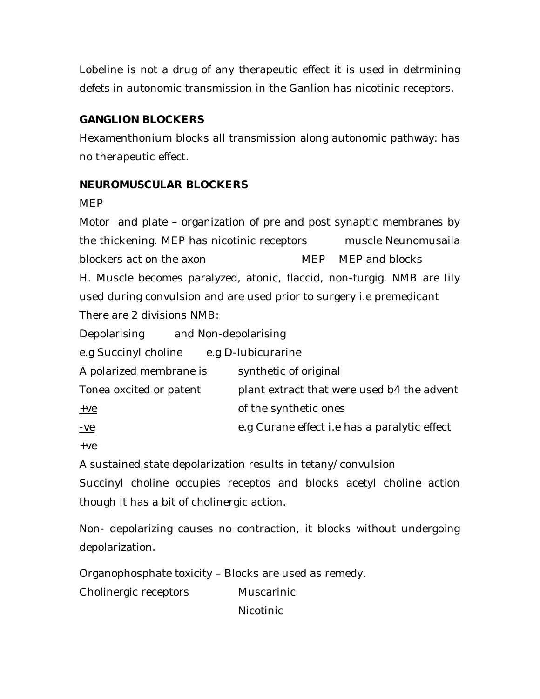Lobeline is not a drug of any therapeutic effect it is used in detrmining defets in autonomic transmission in the Ganlion has nicotinic receptors.

## **GANGLION BLOCKERS**

Hexamenthonium blocks all transmission along autonomic pathway: has no therapeutic effect.

## **NEUROMUSCULAR BLOCKERS**

MEP

Motor and plate – organization of pre and post synaptic membranes by the thickening. MEP has nicotinic receptors muscle Neunomusaila blockers act on the axon MEP MEP and blocks H. Muscle becomes paralyzed, atonic, flaccid, non-turgig. NMB are Iily used during convulsion and are used prior to surgery i.e premedicant There are 2 divisions NMB:

Depolarising and Non-depolarising

e.g Succinyl choline e.g D-Iubicurarine

| A polarized membrane is | synthetic of original                               |
|-------------------------|-----------------------------------------------------|
| Tonea oxcited or patent | plant extract that were used b4 the advent          |
| $+ve$                   | of the synthetic ones                               |
| <u>-ve</u>              | e.g Curane effect <i>i.e</i> has a paralytic effect |

+ve

A sustained state depolarization results in tetany/convulsion

Succinyl choline occupies receptos and blocks acetyl choline action though it has a bit of cholinergic action.

Non- depolarizing causes no contraction, it blocks without undergoing depolarization.

Organophosphate toxicity – Blocks are used as remedy.

Cholinergic receptors Muscarinic

Nicotinic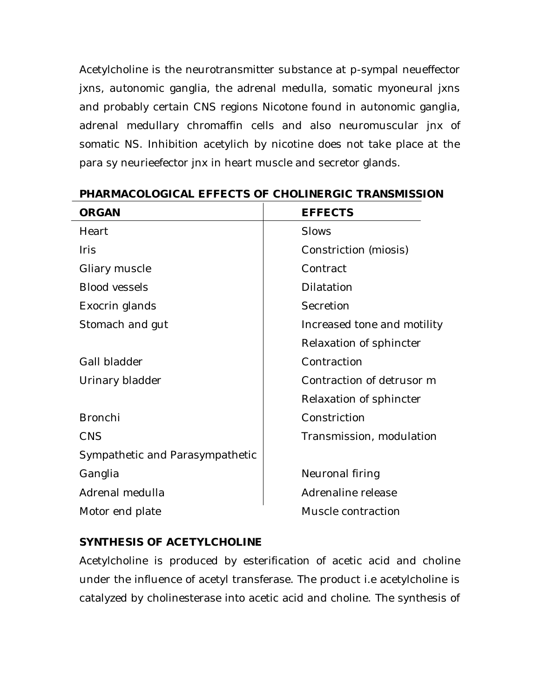Acetylcholine is the neurotransmitter substance at p-sympal neueffector jxns, autonomic ganglia, the adrenal medulla, somatic myoneural jxns and probably certain CNS regions Nicotone found in autonomic ganglia, adrenal medullary chromaffin cells and also neuromuscular jnx of somatic NS. Inhibition acetylich by nicotine does not take place at the para sy neurieefector jnx in heart muscle and secretor glands.

| <b>ORGAN</b>                    | <b>EFFECTS</b>              |
|---------------------------------|-----------------------------|
| Heart                           | <b>Slows</b>                |
| <b>Iris</b>                     | Constriction (miosis)       |
| Gliary muscle                   | Contract                    |
| <b>Blood vessels</b>            | Dilatation                  |
| Exocrin glands                  | Secretion                   |
| Stomach and gut                 | Increased tone and motility |
|                                 | Relaxation of sphincter     |
| Gall bladder                    | Contraction                 |
| Urinary bladder                 | Contraction of detrusor m   |
|                                 | Relaxation of sphincter     |
| <b>Bronchi</b>                  | Constriction                |
| <b>CNS</b>                      | Transmission, modulation    |
| Sympathetic and Parasympathetic |                             |
| Ganglia                         | Neuronal firing             |
| Adrenal medulla                 | Adrenaline release          |
| Motor end plate                 | Muscle contraction          |
|                                 |                             |

#### **PHARMACOLOGICAL EFFECTS OF CHOLINERGIC TRANSMISSION**

## **SYNTHESIS OF ACETYLCHOLINE**

Acetylcholine is produced by esterification of acetic acid and choline under the influence of acetyl transferase. The product i.e acetylcholine is catalyzed by cholinesterase into acetic acid and choline. The synthesis of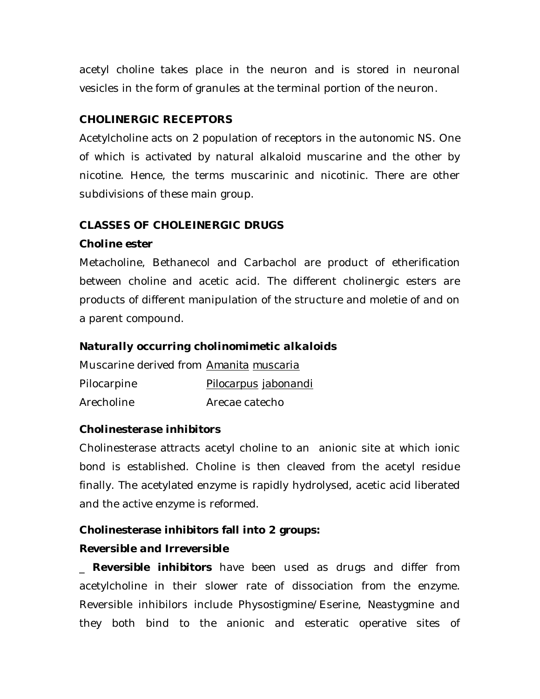acetyl choline takes place in the neuron and is stored in neuronal vesicles in the form of granules at the terminal portion of the neuron.

## **CHOLINERGIC RECEPTORS**

Acetylcholine acts on 2 population of receptors in the autonomic NS. One of which is activated by natural alkaloid muscarine and the other by nicotine. Hence, the terms muscarinic and nicotinic. There are other subdivisions of these main group.

## **CLASSES OF CHOLEINERGIC DRUGS**

## *Choline ester*

Metacholine, Bethanecol and Carbachol are product of etherification between choline and acetic acid. The different cholinergic esters are products of different manipulation of the structure and moletie of and on a parent compound.

## *Naturally occurring cholinomimetic alkaloids*

Muscarine derived from *Amanita muscaria* Pilocarpine *Pilocarpus jabonandi* Arecholine Arecae catecho

## *Cholinesterase inhibitors*

Cholinesterase attracts acetyl choline to an anionic site at which ionic bond is established. Choline is then cleaved from the acetyl residue finally. The acetylated enzyme is rapidly hydrolysed, acetic acid liberated and the active enzyme is reformed.

# **Cholinesterase inhibitors fall into 2 groups:**

## *Reversible and Irreversible*

\_ **Reversible inhibitors** have been used as drugs and differ from acetylcholine in their slower rate of dissociation from the enzyme. Reversible inhibilors include Physostigmine/Eserine, Neastygmine and they both bind to the anionic and esteratic operative sites of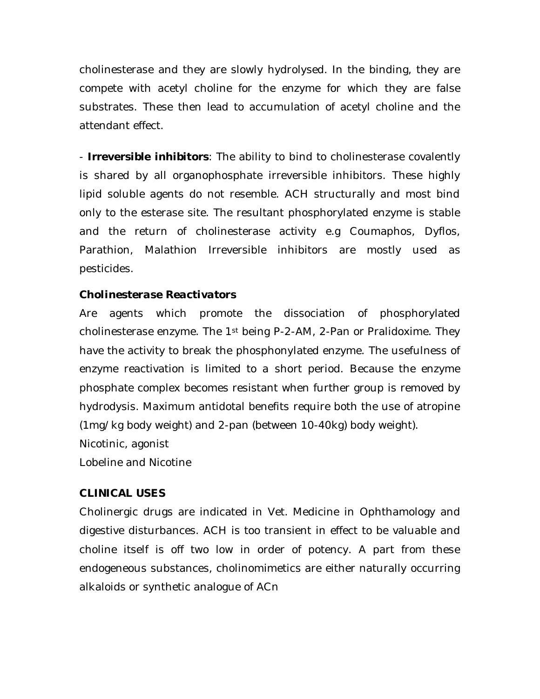cholinesterase and they are slowly hydrolysed. In the binding, they are compete with acetyl choline for the enzyme for which they are false substrates. These then lead to accumulation of acetyl choline and the attendant effect.

- **Irreversible inhibitors**: The ability to bind to cholinesterase covalently is shared by all organophosphate irreversible inhibitors. These highly lipid soluble agents do not resemble. ACH structurally and most bind only to the esterase site. The resultant phosphorylated enzyme is stable and the return of cholinesterase activity e.g Coumaphos, Dyflos, Parathion, Malathion Irreversible inhibitors are mostly used as pesticides.

#### *Cholinesterase Reactivators*

Are agents which promote the dissociation of phosphorylated cholinesterase enzyme. The 1<sup>st</sup> being P-2-AM, 2-Pan or Pralidoxime. They have the activity to break the phosphonylated enzyme. The usefulness of enzyme reactivation is limited to a short period. Because the enzyme phosphate complex becomes resistant when further group is removed by hydrodysis. Maximum antidotal benefits require both the use of atropine (1mg/kg body weight) and 2-pan (between 10-40kg) body weight). Nicotinic, agonist Lobeline and Nicotine

#### **CLINICAL USES**

Cholinergic drugs are indicated in Vet. Medicine in Ophthamology and digestive disturbances. ACH is too transient in effect to be valuable and choline itself is off two low in order of potency. A part from these endogeneous substances, cholinomimetics are either naturally occurring alkaloids or synthetic analogue of ACn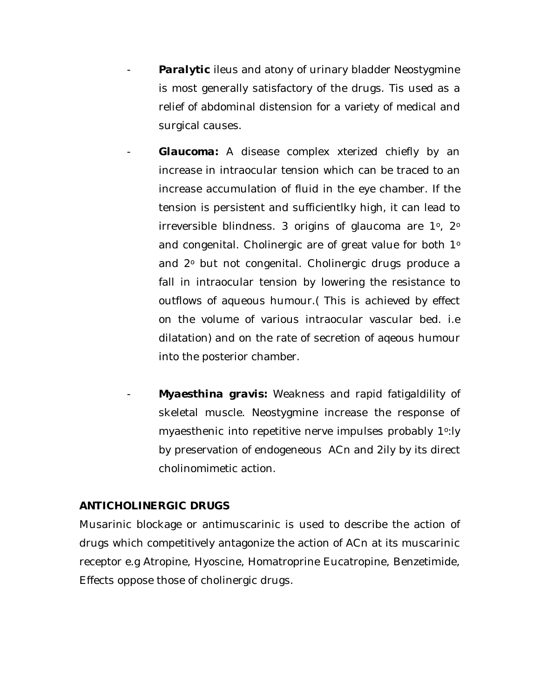- **Paralytic** ileus and atony of urinary bladder Neostygmine is most generally satisfactory of the drugs. Tis used as a relief of abdominal distension for a variety of medical and surgical causes.
- *Glaucoma:* A disease complex xterized chiefly by an increase in intraocular tension which can be traced to an increase accumulation of fluid in the eye chamber. If the tension is persistent and sufficientlky high, it can lead to irreversible blindness. 3 origins of glaucoma are 1<sup>o</sup>, 2<sup>o</sup> and congenital. Cholinergic are of great value for both 1º and 2° but not congenital. Cholinergic drugs produce a fall in intraocular tension by lowering the resistance to outflows of aqueous humour.( This is achieved by effect on the volume of various intraocular vascular bed. i.e dilatation) and on the rate of secretion of aqeous humour into the posterior chamber.
- Myaesthina gravis: Weakness and rapid fatigaldility of skeletal muscle. Neostygmine increase the response of myaesthenic into repetitive nerve impulses probably 1<sup>o</sup>:ly by preservation of endogeneous ACn and 2ily by its direct cholinomimetic action.

#### **ANTICHOLINERGIC DRUGS**

Musarinic blockage or antimuscarinic is used to describe the action of drugs which competitively antagonize the action of ACn at its muscarinic receptor e.g Atropine, Hyoscine, Homatroprine Eucatropine, Benzetimide, Effects oppose those of cholinergic drugs.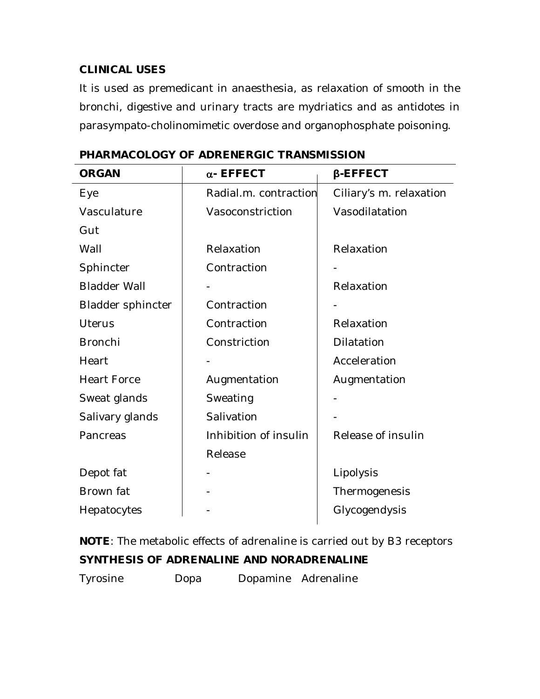## **CLINICAL USES**

It is used as premedicant in anaesthesia, as relaxation of smooth in the bronchi, digestive and urinary tracts are mydriatics and as antidotes in parasympato-cholinomimetic overdose and organophosphate poisoning.

| <b>ORGAN</b>             | $\alpha$ - EFFECT     | <b><i>B-EFFECT</i></b>  |
|--------------------------|-----------------------|-------------------------|
| Eye                      | Radial.m. contraction | Ciliary's m. relaxation |
| Vasculature              | Vasoconstriction      | Vasodilatation          |
| Gut                      |                       |                         |
| Wall                     | Relaxation            | Relaxation              |
| Sphincter                | Contraction           |                         |
| <b>Bladder Wall</b>      |                       | Relaxation              |
| <b>Bladder sphincter</b> | Contraction           |                         |
| <b>Uterus</b>            | Contraction           | Relaxation              |
| <b>Bronchi</b>           | Constriction          | Dilatation              |
| Heart                    |                       | Acceleration            |
| <b>Heart Force</b>       | Augmentation          | Augmentation            |
| Sweat glands             | Sweating              |                         |
| Salivary glands          | Salivation            |                         |
| Pancreas                 | Inhibition of insulin | Release of insulin      |
|                          | Release               |                         |
| Depot fat                |                       | Lipolysis               |
| Brown fat                |                       | Thermogenesis           |
| Hepatocytes              |                       | Glycogendysis           |

**PHARMACOLOGY OF ADRENERGIC TRANSMISSION**

*NOTE*: The metabolic effects of adrenaline is carried out by B3 receptors **SYNTHESIS OF ADRENALINE AND NORADRENALINE** Tyrosine Dopa Dopamine Adrenaline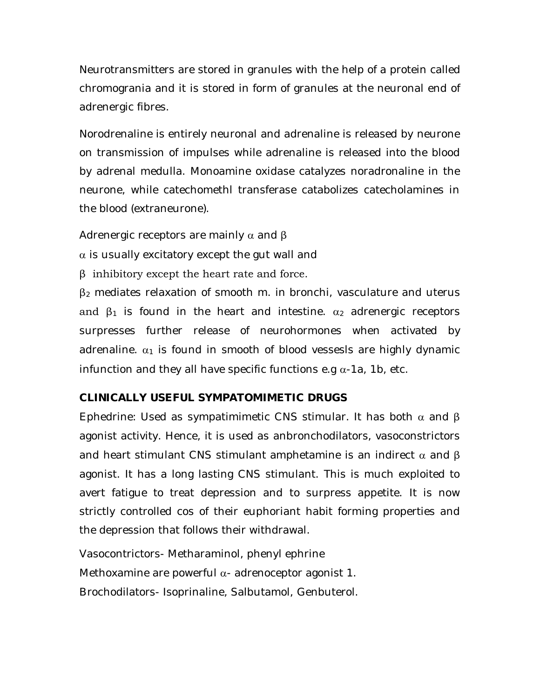Neurotransmitters are stored in granules with the help of a protein called chromogrania and it is stored in form of granules at the neuronal end of adrenergic fibres.

Norodrenaline is entirely neuronal and adrenaline is released by neurone on transmission of impulses while adrenaline is released into the blood by adrenal medulla. Monoamine oxidase catalyzes noradronaline in the neurone, while catechomethl transferase catabolizes catecholamines in the blood (extraneurone).

Adrenergic receptors are mainly  $\alpha$  and  $\beta$ 

 $\alpha$  is usually excitatory except the gut wall and

β inhibitory except the heart rate and force.

 $\beta_2$  mediates relaxation of smooth m. in bronchi, vasculature and uterus and  $\beta_1$  is found in the heart and intestine.  $\alpha_2$  adrenergic receptors surpresses further release of neurohormones when activated by adrenaline.  $\alpha_1$  is found in smooth of blood vessesls are highly dynamic infunction and they all have specific functions e.g  $\alpha$ -1a, 1b, etc.

## **CLINICALLY USEFUL SYMPATOMIMETIC DRUGS**

Ephedrine: Used as sympatimimetic CNS stimular. It has both  $\alpha$  and  $\beta$ agonist activity. Hence, it is used as anbronchodilators, vasoconstrictors and heart stimulant CNS stimulant amphetamine is an indirect  $\alpha$  and  $\beta$ agonist. It has a long lasting CNS stimulant. This is much exploited to avert fatigue to treat depression and to surpress appetite. It is now strictly controlled cos of their euphoriant habit forming properties and the depression that follows their withdrawal.

Vasocontrictors- Metharaminol, phenyl ephrine Methoxamine are powerful  $\alpha$ - adrenoceptor agonist 1. Brochodilators- Isoprinaline, Salbutamol, Genbuterol.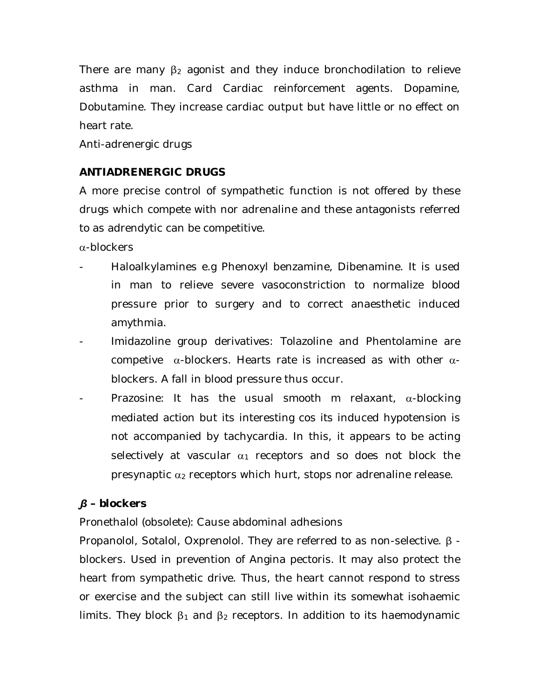There are many  $\beta_2$  agonist and they induce bronchodilation to relieve asthma in man. Card Cardiac reinforcement agents. Dopamine, Dobutamine. They increase cardiac output but have little or no effect on heart rate.

Anti-adrenergic drugs

## **ANTIADRENERGIC DRUGS**

A more precise control of sympathetic function is not offered by these drugs which compete with nor adrenaline and these antagonists referred to as adrendytic can be competitive.

 $\alpha$ -blockers

- Haloalkylamines e.g Phenoxyl benzamine, Dibenamine. It is used in man to relieve severe vasoconstriction to normalize blood pressure prior to surgery and to correct anaesthetic induced amythmia.
- Imidazoline group derivatives: Tolazoline and Phentolamine are competive  $\alpha$ -blockers. Hearts rate is increased as with other  $\alpha$ blockers. A fall in blood pressure thus occur.
- Prazosine: It has the usual smooth m relaxant,  $\alpha$ -blocking mediated action but its interesting cos its induced hypotension is not accompanied by tachycardia. In this, it appears to be acting selectively at vascular  $\alpha_1$  receptors and so does not block the presynaptic  $\alpha_2$  receptors which hurt, stops nor adrenaline release.

## *β – blockers*

Pronethalol (obsolete): Cause abdominal adhesions

Propanolol, Sotalol, Oxprenolol. They are referred to as non-selective. β blockers. Used in prevention of Angina pectoris. It may also protect the heart from sympathetic drive. Thus, the heart cannot respond to stress or exercise and the subject can still live within its somewhat isohaemic limits. They block  $β_1$  and  $β_2$  receptors. In addition to its haemodynamic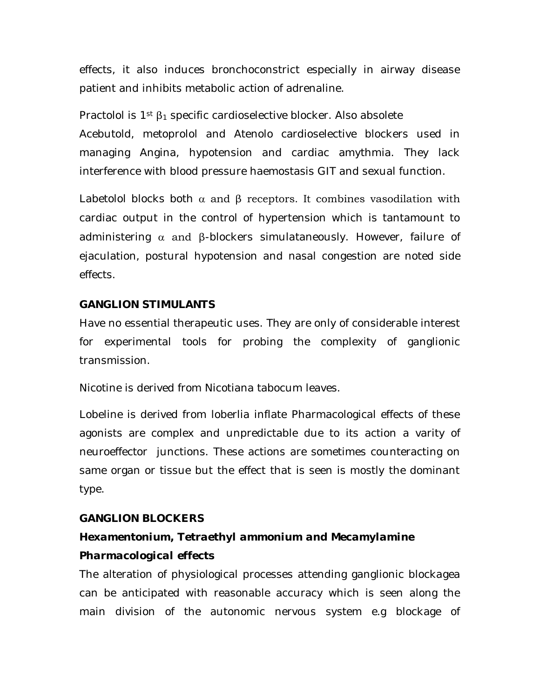effects, it also induces bronchoconstrict especially in airway disease patient and inhibits metabolic action of adrenaline.

Practolol is  $1^{st}$   $\beta_1$  specific cardioselective blocker. Also absolete Acebutold, metoprolol and Atenolo cardioselective blockers used in managing Angina, hypotension and cardiac amythmia. They lack interference with blood pressure haemostasis GIT and sexual function.

Labetolol blocks both  $\alpha$  and  $\beta$  receptors. It combines vasodilation with cardiac output in the control of hypertension which is tantamount to administering  $\alpha$  and β-blockers simulataneously. However, failure of ejaculation, postural hypotension and nasal congestion are noted side effects.

#### **GANGLION STIMULANTS**

Have no essential therapeutic uses. They are only of considerable interest for experimental tools for probing the complexity of ganglionic transmission.

Nicotine is derived from Nicotiana tabocum leaves.

Lobeline is derived from loberlia inflate Pharmacological effects of these agonists are complex and unpredictable due to its action a varity of neuroeffector junctions. These actions are sometimes counteracting on same organ or tissue but the effect that is seen is mostly the dominant type.

#### **GANGLION BLOCKERS**

## *Hexamentonium, Tetraethyl ammonium and Mecamylamine Pharmacological effects*

The alteration of physiological processes attending ganglionic blockagea can be anticipated with reasonable accuracy which is seen along the main division of the autonomic nervous system e.g blockage of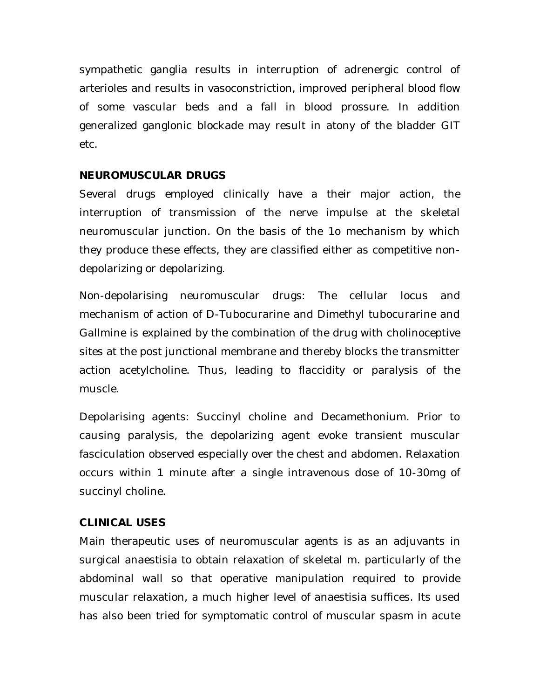sympathetic ganglia results in interruption of adrenergic control of arterioles and results in vasoconstriction, improved peripheral blood flow of some vascular beds and a fall in blood prossure. In addition generalized ganglonic blockade may result in atony of the bladder GIT etc.

#### **NEUROMUSCULAR DRUGS**

Several drugs employed clinically have a their major action, the interruption of transmission of the nerve impulse at the skeletal neuromuscular junction. On the basis of the 1o mechanism by which they produce these effects, they are classified either as competitive nondepolarizing or depolarizing.

Non-depolarising neuromuscular drugs: The cellular locus and mechanism of action of D-Tubocurarine and Dimethyl tubocurarine and Gallmine is explained by the combination of the drug with cholinoceptive sites at the post junctional membrane and thereby blocks the transmitter action acetylcholine. Thus, leading to flaccidity or paralysis of the muscle.

Depolarising agents: Succinyl choline and Decamethonium. Prior to causing paralysis, the depolarizing agent evoke transient muscular fasciculation observed especially over the chest and abdomen. Relaxation occurs within 1 minute after a single intravenous dose of 10-30mg of succinyl choline.

#### **CLINICAL USES**

Main therapeutic uses of neuromuscular agents is as an adjuvants in surgical anaestisia to obtain relaxation of skeletal m. particularly of the abdominal wall so that operative manipulation required to provide muscular relaxation, a much higher level of anaestisia suffices. Its used has also been tried for symptomatic control of muscular spasm in acute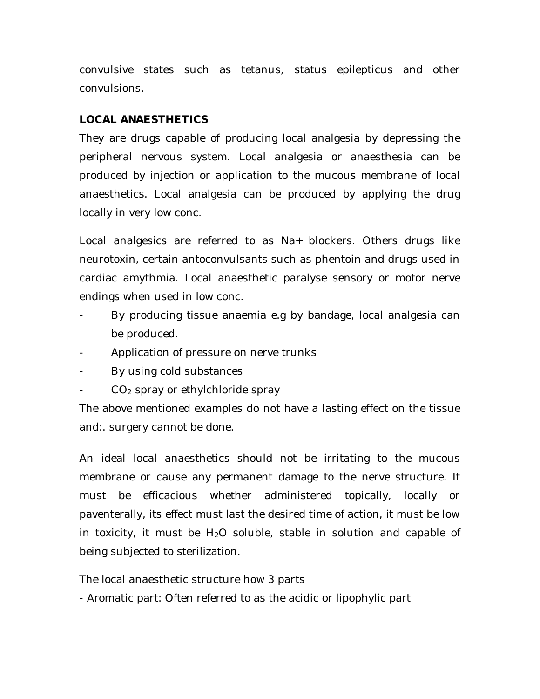convulsive states such as tetanus, status epilepticus and other convulsions.

#### **LOCAL ANAESTHETICS**

They are drugs capable of producing local analgesia by depressing the peripheral nervous system. Local analgesia or anaesthesia can be produced by injection or application to the mucous membrane of local anaesthetics. Local analgesia can be produced by applying the drug locally in very low conc.

Local analgesics are referred to as Na+ blockers. Others drugs like neurotoxin, certain antoconvulsants such as phentoin and drugs used in cardiac amythmia. Local anaesthetic paralyse sensory or motor nerve endings when used in low conc.

- By producing tissue anaemia e.g by bandage, local analgesia can be produced.
- Application of pressure on nerve trunks
- By using cold substances
- $CO<sub>2</sub>$  spray or ethylchloride spray

The above mentioned examples do not have a lasting effect on the tissue and:. surgery cannot be done.

An ideal local anaesthetics should not be irritating to the mucous membrane or cause any permanent damage to the nerve structure. It must be efficacious whether administered topically, locally or paventerally, its effect must last the desired time of action, it must be low in toxicity, it must be  $H_2O$  soluble, stable in solution and capable of being subjected to sterilization.

The local anaesthetic structure how 3 parts

- Aromatic part: Often referred to as the acidic or lipophylic part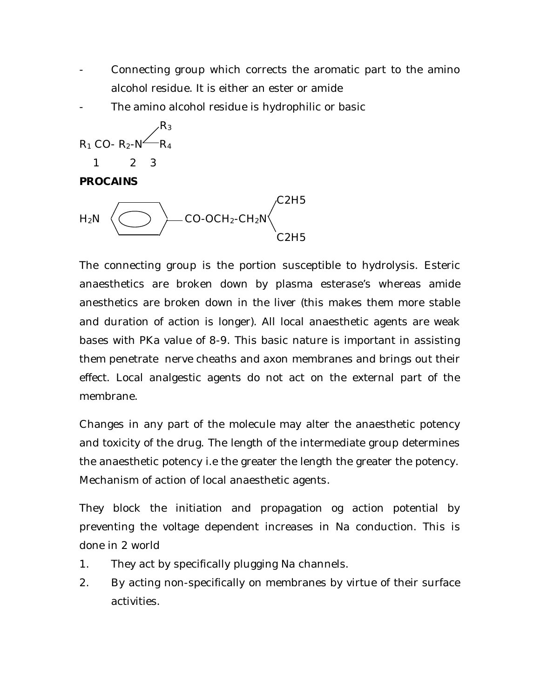- Connecting group which corrects the aromatic part to the amino alcohol residue. It is either an ester or amide
- The amino alcohol residue is hydrophilic or basic



#### **PROCAINS**



The connecting group is the portion susceptible to hydrolysis. Esteric anaesthetics are broken down by plasma esterase's whereas amide anesthetics are broken down in the liver (this makes them more stable and duration of action is longer). All local anaesthetic agents are weak bases with PKa value of 8-9. This basic nature is important in assisting them penetrate nerve cheaths and axon membranes and brings out their effect. Local analgestic agents do not act on the external part of the membrane.

Changes in any part of the molecule may alter the anaesthetic potency and toxicity of the drug. The length of the intermediate group determines the anaesthetic potency i.e the greater the length the greater the potency. Mechanism of action of local anaesthetic agents.

They block the initiation and propagation og action potential by preventing the voltage dependent increases in Na conduction. This is done in 2 world

- 1. They act by specifically plugging Na channels.
- 2. By acting non-specifically on membranes by virtue of their surface activities.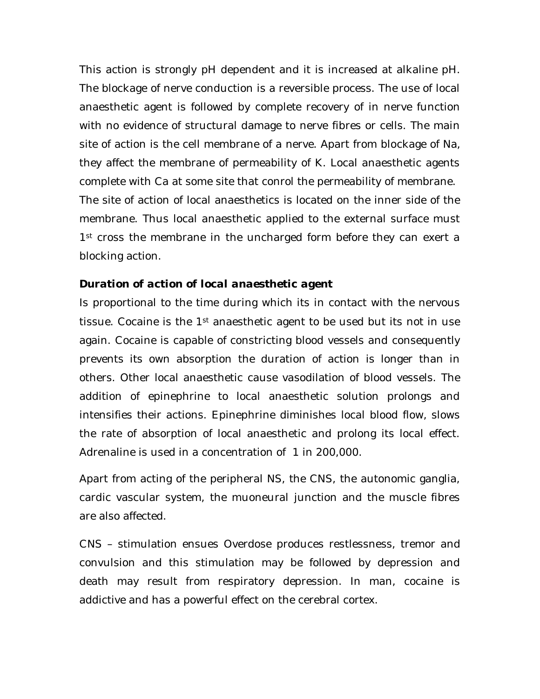This action is strongly pH dependent and it is increased at alkaline pH. The blockage of nerve conduction is a reversible process. The use of local anaesthetic agent is followed by complete recovery of in nerve function with no evidence of structural damage to nerve fibres or cells. The main site of action is the cell membrane of a nerve. Apart from blockage of Na, they affect the membrane of permeability of K. Local anaesthetic agents complete with Ca at some site that conrol the permeability of membrane. The site of action of local anaesthetics is located on the inner side of the membrane. Thus local anaesthetic applied to the external surface must 1<sup>st</sup> cross the membrane in the uncharged form before they can exert a blocking action.

#### *Duration of action of local anaesthetic agent*

Is proportional to the time during which its in contact with the nervous tissue. Cocaine is the 1st anaesthetic agent to be used but its not in use again. Cocaine is capable of constricting blood vessels and consequently prevents its own absorption the duration of action is longer than in others. Other local anaesthetic cause vasodilation of blood vessels. The addition of epinephrine to local anaesthetic solution prolongs and intensifies their actions. Epinephrine diminishes local blood flow, slows the rate of absorption of local anaesthetic and prolong its local effect. Adrenaline is used in a concentration of 1 in 200,000.

Apart from acting of the peripheral NS, the CNS, the autonomic ganglia, cardic vascular system, the muoneural junction and the muscle fibres are also affected.

CNS – stimulation ensues Overdose produces restlessness, tremor and convulsion and this stimulation may be followed by depression and death may result from respiratory depression. In man, cocaine is addictive and has a powerful effect on the cerebral cortex.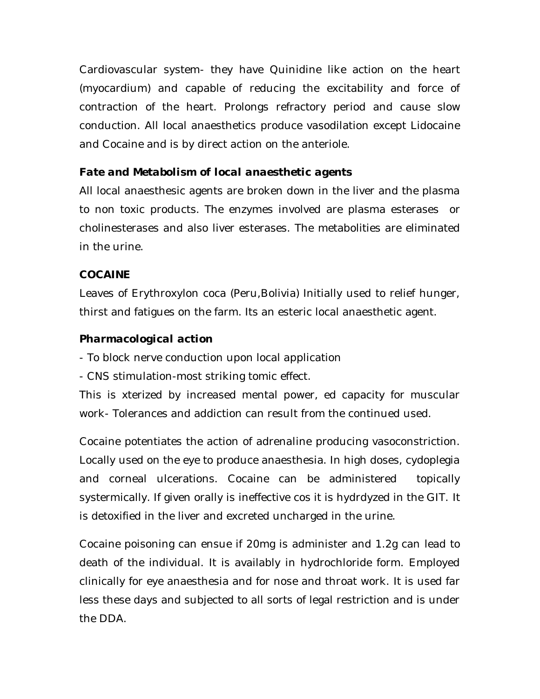Cardiovascular system- they have Quinidine like action on the heart (myocardium) and capable of reducing the excitability and force of contraction of the heart. Prolongs refractory period and cause slow conduction. All local anaesthetics produce vasodilation except Lidocaine and Cocaine and is by direct action on the anteriole.

## *Fate and Metabolism of local anaesthetic agents*

All local anaesthesic agents are broken down in the liver and the plasma to non toxic products. The enzymes involved are plasma esterases or cholinesterases and also liver esterases. The metabolities are eliminated in the urine.

## **COCAINE**

Leaves of Erythroxylon coca (Peru,Bolivia) Initially used to relief hunger, thirst and fatigues on the farm. Its an esteric local anaesthetic agent.

## *Pharmacological action*

- To block nerve conduction upon local application

- CNS stimulation-most striking tomic effect.

This is xterized by increased mental power, ed capacity for muscular work- Tolerances and addiction can result from the continued used.

Cocaine potentiates the action of adrenaline producing vasoconstriction. Locally used on the eye to produce anaesthesia. In high doses, cydoplegia and corneal ulcerations. Cocaine can be administered topically systermically. If given orally is ineffective cos it is hydrdyzed in the GIT. It is detoxified in the liver and excreted uncharged in the urine.

Cocaine poisoning can ensue if 20mg is administer and 1.2g can lead to death of the individual. It is availably in hydrochloride form. Employed clinically for eye anaesthesia and for nose and throat work. It is used far less these days and subjected to all sorts of legal restriction and is under the DDA.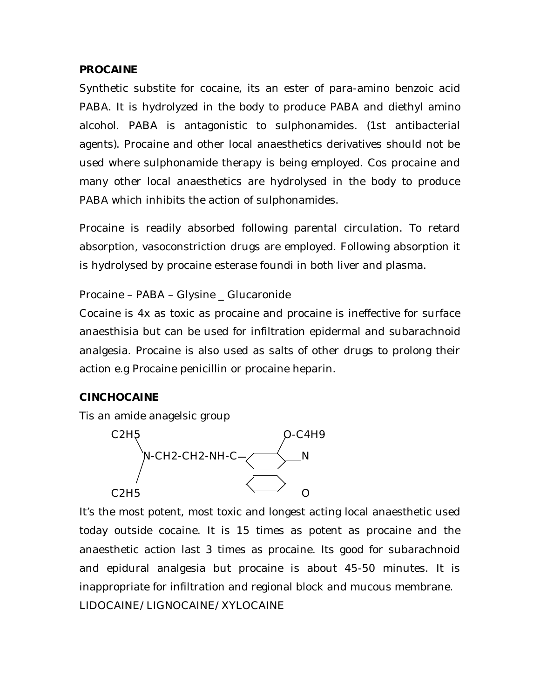#### **PROCAINE**

Synthetic substite for cocaine, its an ester of para-amino benzoic acid PABA. It is hydrolyzed in the body to produce PABA and diethyl amino alcohol. PABA is antagonistic to sulphonamides. (1st antibacterial agents). Procaine and other local anaesthetics derivatives should not be used where sulphonamide therapy is being employed. Cos procaine and many other local anaesthetics are hydrolysed in the body to produce PABA which inhibits the action of sulphonamides.

Procaine is readily absorbed following parental circulation. To retard absorption, vasoconstriction drugs are employed. Following absorption it is hydrolysed by procaine esterase foundi in both liver and plasma.

#### Procaine – PABA – Glysine \_ Glucaronide

Cocaine is 4x as toxic as procaine and procaine is ineffective for surface anaesthisia but can be used for infiltration epidermal and subarachnoid analgesia. Procaine is also used as salts of other drugs to prolong their action e.g Procaine penicillin or procaine heparin.

## **CINCHOCAINE**

Tis an amide anagelsic group



It's the most potent, most toxic and longest acting local anaesthetic used today outside cocaine. It is 15 times as potent as procaine and the anaesthetic action last 3 times as procaine. Its good for subarachnoid and epidural analgesia but procaine is about 45-50 minutes. It is inappropriate for infiltration and regional block and mucous membrane. LIDOCAINE/LIGNOCAINE/XYLOCAINE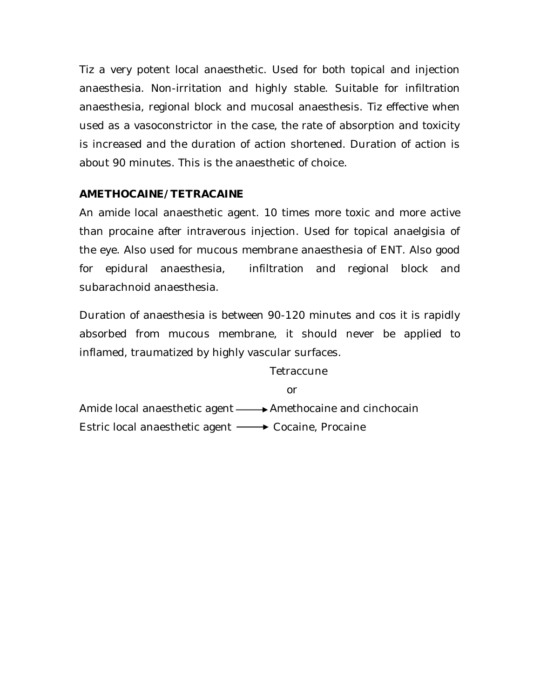Tiz a very potent local anaesthetic. Used for both topical and injection anaesthesia. Non-irritation and highly stable. Suitable for infiltration anaesthesia, regional block and mucosal anaesthesis. Tiz effective when used as a vasoconstrictor in the case, the rate of absorption and toxicity is increased and the duration of action shortened. Duration of action is about 90 minutes. This is the anaesthetic of choice.

## **AMETHOCAINE/TETRACAINE**

An amide local anaesthetic agent. 10 times more toxic and more active than procaine after intraverous injection. Used for topical anaelgisia of the eye. Also used for mucous membrane anaesthesia of ENT. Also good for epidural anaesthesia, infiltration and regional block and subarachnoid anaesthesia.

Duration of anaesthesia is between 90-120 minutes and cos it is rapidly absorbed from mucous membrane, it should never be applied to inflamed, traumatized by highly vascular surfaces.

**Tetraccune** 

or

Amide local anaesthetic agent  $\longrightarrow$  Amethocaine and cinchocain Estric local anaesthetic agent → Cocaine, Procaine